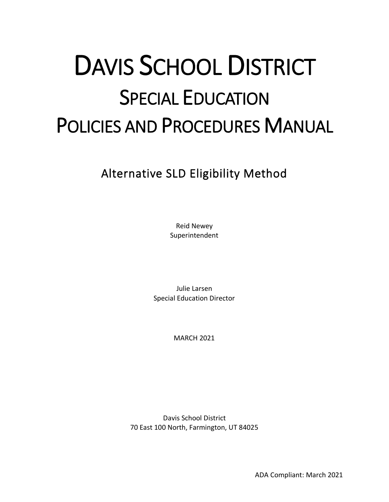# DAVIS SCHOOL DISTRICT SPECIAL EDUCATION POLICIES AND PROCEDURES MANUAL

Alternative SLD Eligibility Method

Reid Newey Superintendent

Julie Larsen Special Education Director

MARCH 2021

Davis School District 70 East 100 North, Farmington, UT 84025

ADA Compliant: March 2021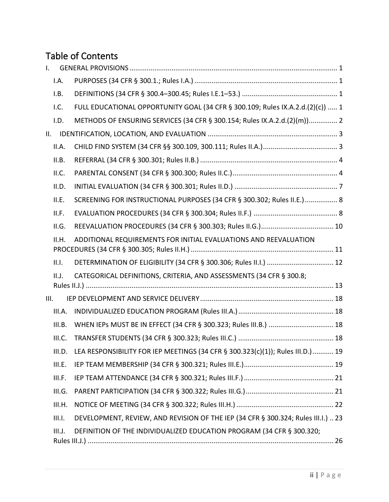# Table of Contents

| $\mathsf{L}$ |        |                                                                                   |
|--------------|--------|-----------------------------------------------------------------------------------|
|              | I.A.   |                                                                                   |
|              | I.B.   |                                                                                   |
|              | I.C.   | FULL EDUCATIONAL OPPORTUNITY GOAL (34 CFR § 300.109; Rules IX.A.2.d.(2)(c))  1    |
|              | I.D.   | METHODS OF ENSURING SERVICES (34 CFR § 300.154; Rules IX.A.2.d.(2)(m)) 2          |
| II.          |        |                                                                                   |
|              | II.A.  |                                                                                   |
|              | II.B.  |                                                                                   |
|              | II.C.  |                                                                                   |
|              | II.D.  |                                                                                   |
|              | II.E.  | SCREENING FOR INSTRUCTIONAL PURPOSES (34 CFR § 300.302; Rules II.E.)  8           |
|              | II.F.  |                                                                                   |
|              | II.G.  |                                                                                   |
|              | II.H.  | ADDITIONAL REQUIREMENTS FOR INITIAL EVALUATIONS AND REEVALUATION                  |
|              | II.I.  |                                                                                   |
|              | II.J.  | CATEGORICAL DEFINITIONS, CRITERIA, AND ASSESSMENTS (34 CFR § 300.8;               |
| III.         |        |                                                                                   |
|              | III.A. |                                                                                   |
|              | III.B. |                                                                                   |
|              | III.C. |                                                                                   |
|              | III.D. | LEA RESPONSIBILITY FOR IEP MEETINGS (34 CFR § 300.323(c)(1)); Rules III.D.) 19    |
|              | III.E. |                                                                                   |
|              | III.F. |                                                                                   |
|              | III.G. |                                                                                   |
|              | III.H. |                                                                                   |
|              | III.I. | DEVELOPMENT, REVIEW, AND REVISION OF THE IEP (34 CFR § 300.324; Rules III.I.)  23 |
|              | III.J. | DEFINITION OF THE INDIVIDUALIZED EDUCATION PROGRAM (34 CFR § 300.320;             |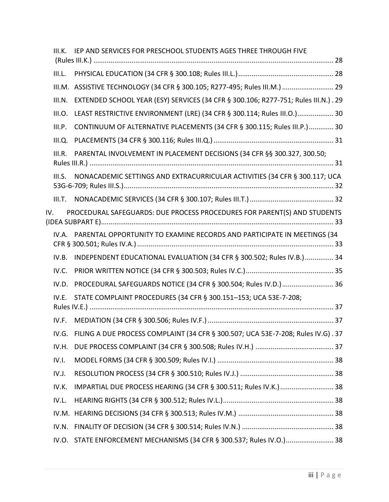| IEP AND SERVICES FOR PRESCHOOL STUDENTS AGES THREE THROUGH FIVE                                                                                                                                                       |                                                                                                                                                                                                                                     |
|-----------------------------------------------------------------------------------------------------------------------------------------------------------------------------------------------------------------------|-------------------------------------------------------------------------------------------------------------------------------------------------------------------------------------------------------------------------------------|
|                                                                                                                                                                                                                       |                                                                                                                                                                                                                                     |
|                                                                                                                                                                                                                       |                                                                                                                                                                                                                                     |
|                                                                                                                                                                                                                       |                                                                                                                                                                                                                                     |
| EXTENDED SCHOOL YEAR (ESY) SERVICES (34 CFR § 300.106; R277-751; Rules III.N.). 29                                                                                                                                    |                                                                                                                                                                                                                                     |
| LEAST RESTRICTIVE ENVIRONMENT (LRE) (34 CFR § 300.114; Rules III.O.) 30                                                                                                                                               |                                                                                                                                                                                                                                     |
| CONTINUUM OF ALTERNATIVE PLACEMENTS (34 CFR § 300.115; Rules III.P.) 30                                                                                                                                               |                                                                                                                                                                                                                                     |
|                                                                                                                                                                                                                       |                                                                                                                                                                                                                                     |
| PARENTAL INVOLVEMENT IN PLACEMENT DECISIONS (34 CFR §§ 300.327, 300.50;                                                                                                                                               |                                                                                                                                                                                                                                     |
| NONACADEMIC SETTINGS AND EXTRACURRICULAR ACTIVITIES (34 CFR § 300.117; UCA                                                                                                                                            |                                                                                                                                                                                                                                     |
|                                                                                                                                                                                                                       |                                                                                                                                                                                                                                     |
|                                                                                                                                                                                                                       |                                                                                                                                                                                                                                     |
|                                                                                                                                                                                                                       |                                                                                                                                                                                                                                     |
| INDEPENDENT EDUCATIONAL EVALUATION (34 CFR § 300.502; Rules IV.B.) 34                                                                                                                                                 |                                                                                                                                                                                                                                     |
|                                                                                                                                                                                                                       |                                                                                                                                                                                                                                     |
| PROCEDURAL SAFEGUARDS NOTICE (34 CFR § 300.504; Rules IV.D.) 36                                                                                                                                                       |                                                                                                                                                                                                                                     |
| STATE COMPLAINT PROCEDURES (34 CFR § 300.151-153; UCA 53E-7-208;                                                                                                                                                      |                                                                                                                                                                                                                                     |
|                                                                                                                                                                                                                       |                                                                                                                                                                                                                                     |
| FILING A DUE PROCESS COMPLAINT (34 CFR § 300.507; UCA 53E-7-208; Rules IV.G). 37                                                                                                                                      |                                                                                                                                                                                                                                     |
|                                                                                                                                                                                                                       |                                                                                                                                                                                                                                     |
|                                                                                                                                                                                                                       |                                                                                                                                                                                                                                     |
|                                                                                                                                                                                                                       |                                                                                                                                                                                                                                     |
| IMPARTIAL DUE PROCESS HEARING (34 CFR § 300.511; Rules IV.K.)  38                                                                                                                                                     |                                                                                                                                                                                                                                     |
|                                                                                                                                                                                                                       |                                                                                                                                                                                                                                     |
|                                                                                                                                                                                                                       |                                                                                                                                                                                                                                     |
|                                                                                                                                                                                                                       |                                                                                                                                                                                                                                     |
| STATE ENFORCEMENT MECHANISMS (34 CFR § 300.537; Rules IV.O.) 38                                                                                                                                                       |                                                                                                                                                                                                                                     |
| III.K.<br>III.L.<br>III.M.<br>III.N.<br>III.O.<br>III.P.<br>III.Q.<br>III.R.<br>III.S.<br>III.T.<br>IV.B.<br>IV.C.<br>IV.D.<br>IV.E.<br>IV.F.<br>IV.G.<br>IV.H.<br>IV.I.<br>IV.J.<br>IV.K.<br>IV.L.<br>IV.N.<br>IV.O. | ASSISTIVE TECHNOLOGY (34 CFR § 300.105; R277-495; Rules III.M.)  29<br>PROCEDURAL SAFEGUARDS: DUE PROCESS PROCEDURES FOR PARENT(S) AND STUDENTS<br>PARENTAL OPPORTUNITY TO EXAMINE RECORDS AND PARTICIPATE IN MEETINGS (34<br>IV.A. |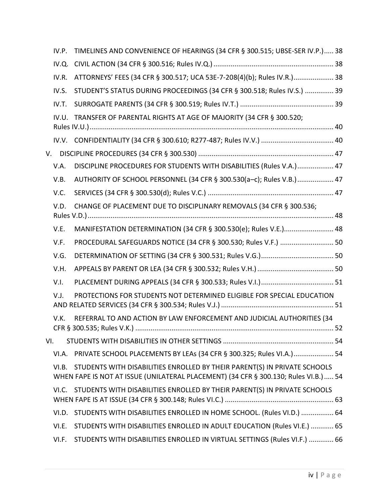|     | IV.P. | TIMELINES AND CONVENIENCE OF HEARINGS (34 CFR § 300.515; UBSE-SER IV.P.) 38                                                                                       |  |
|-----|-------|-------------------------------------------------------------------------------------------------------------------------------------------------------------------|--|
|     | IV.Q. |                                                                                                                                                                   |  |
|     | IV.R. | ATTORNEYS' FEES (34 CFR § 300.517; UCA 53E-7-208(4)(b); Rules IV.R.) 38                                                                                           |  |
|     | IV.S. | STUDENT'S STATUS DURING PROCEEDINGS (34 CFR § 300.518; Rules IV.S.)  39                                                                                           |  |
|     | IV.T. |                                                                                                                                                                   |  |
|     | IV.U. | TRANSFER OF PARENTAL RIGHTS AT AGE OF MAJORITY (34 CFR § 300.520;                                                                                                 |  |
|     |       |                                                                                                                                                                   |  |
|     |       |                                                                                                                                                                   |  |
|     | V.A.  | DISCIPLINE PROCEDURES FOR STUDENTS WITH DISABILITIES (Rules V.A.) 47                                                                                              |  |
|     | V.B.  | AUTHORITY OF SCHOOL PERSONNEL (34 CFR § 300.530(a-c); Rules V.B.) 47                                                                                              |  |
|     | V.C.  |                                                                                                                                                                   |  |
|     | V.D.  | CHANGE OF PLACEMENT DUE TO DISCIPLINARY REMOVALS (34 CFR § 300.536;                                                                                               |  |
|     | V.E.  | MANIFESTATION DETERMINATION (34 CFR § 300.530(e); Rules V.E.) 48                                                                                                  |  |
|     | V.F.  | PROCEDURAL SAFEGUARDS NOTICE (34 CFR § 300.530; Rules V.F.)  50                                                                                                   |  |
|     | V.G.  |                                                                                                                                                                   |  |
|     | V.H.  |                                                                                                                                                                   |  |
|     | V.I.  |                                                                                                                                                                   |  |
|     | V.J.  | PROTECTIONS FOR STUDENTS NOT DETERMINED ELIGIBLE FOR SPECIAL EDUCATION                                                                                            |  |
|     | V.K.  | REFERRAL TO AND ACTION BY LAW ENFORCEMENT AND JUDICIAL AUTHORITIES (34                                                                                            |  |
| VI. |       |                                                                                                                                                                   |  |
|     | VI.A. | PRIVATE SCHOOL PLACEMENTS BY LEAs (34 CFR § 300.325; Rules VI.A.) 54                                                                                              |  |
|     | VI.B. | STUDENTS WITH DISABILITIES ENROLLED BY THEIR PARENT(S) IN PRIVATE SCHOOLS<br>WHEN FAPE IS NOT AT ISSUE (UNILATERAL PLACEMENT) (34 CFR § 300.130; Rules VI.B.)  54 |  |
|     |       | VI.C. STUDENTS WITH DISABILITIES ENROLLED BY THEIR PARENT(S) IN PRIVATE SCHOOLS                                                                                   |  |
|     | VI.D. | STUDENTS WITH DISABILITIES ENROLLED IN HOME SCHOOL. (Rules VI.D.)  64                                                                                             |  |
|     | VI.E. | STUDENTS WITH DISABILITIES ENROLLED IN ADULT EDUCATION (Rules VI.E.)  65                                                                                          |  |
|     | VI.F. | STUDENTS WITH DISABILITIES ENROLLED IN VIRTUAL SETTINGS (Rules VI.F.)  66                                                                                         |  |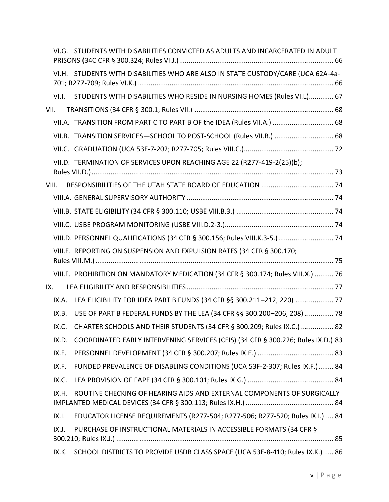|      |       | VI.G. STUDENTS WITH DISABILITIES CONVICTED AS ADULTS AND INCARCERATED IN ADULT    |
|------|-------|-----------------------------------------------------------------------------------|
|      |       | VI.H. STUDENTS WITH DISABILITIES WHO ARE ALSO IN STATE CUSTODY/CARE (UCA 62A-4a-  |
|      | VI.I. | STUDENTS WITH DISABILITIES WHO RESIDE IN NURSING HOMES (Rules VI.L) 67            |
| VII. |       |                                                                                   |
|      |       | VII.A. TRANSITION FROM PART C TO PART B OF the IDEA (Rules VII.A.)  68            |
|      |       | VII.B. TRANSITION SERVICES-SCHOOL TO POST-SCHOOL (Rules VII.B.)  68               |
|      |       |                                                                                   |
|      |       | VII.D. TERMINATION OF SERVICES UPON REACHING AGE 22 (R277-419-2(25)(b);           |
|      | VIII. |                                                                                   |
|      |       |                                                                                   |
|      |       |                                                                                   |
|      |       |                                                                                   |
|      |       | VIII.D. PERSONNEL QUALIFICATIONS (34 CFR § 300.156; Rules VIII.K.3-5.)  74        |
|      |       | VIII.E. REPORTING ON SUSPENSION AND EXPULSION RATES (34 CFR § 300.170;            |
|      |       | VIII.F. PROHIBITION ON MANDATORY MEDICATION (34 CFR § 300.174; Rules VIII.X.)  76 |
| IX.  |       |                                                                                   |
|      | IX.A. | LEA ELIGIBILITY FOR IDEA PART B FUNDS (34 CFR §§ 300.211-212, 220)  77            |
|      | IX.B. | USE OF PART B FEDERAL FUNDS BY THE LEA (34 CFR §§ 300.200-206, 208)  78           |
|      |       | IX.C. CHARTER SCHOOLS AND THEIR STUDENTS (34 CFR § 300.209; Rules IX.C.)  82      |
|      | IX.D. | COORDINATED EARLY INTERVENING SERVICES (CEIS) (34 CFR § 300.226; Rules IX.D.) 83  |
|      | IX.E. |                                                                                   |
|      | IX.F. | FUNDED PREVALENCE OF DISABLING CONDITIONS (UCA 53F-2-307; Rules IX.F.) 84         |
|      | IX.G. |                                                                                   |
|      | IX.H. | ROUTINE CHECKING OF HEARING AIDS AND EXTERNAL COMPONENTS OF SURGICALLY            |
|      | IX.I. | EDUCATOR LICENSE REQUIREMENTS (R277-504; R277-506; R277-520; Rules IX.I.)  84     |
|      | IX.J. | PURCHASE OF INSTRUCTIONAL MATERIALS IN ACCESSIBLE FORMATS (34 CFR §               |
|      | IX.K. | SCHOOL DISTRICTS TO PROVIDE USDB CLASS SPACE (UCA 53E-8-410; Rules IX.K.)  86     |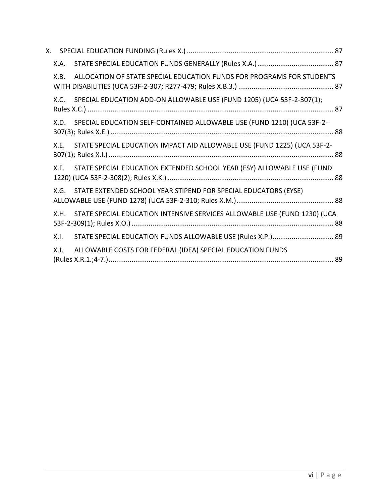| X.A. |                                                                           |  |
|------|---------------------------------------------------------------------------|--|
| X.B. | ALLOCATION OF STATE SPECIAL EDUCATION FUNDS FOR PROGRAMS FOR STUDENTS     |  |
| X.C. | SPECIAL EDUCATION ADD-ON ALLOWABLE USE (FUND 1205) (UCA 53F-2-307(1);     |  |
| X.D. | SPECIAL EDUCATION SELF-CONTAINED ALLOWABLE USE (FUND 1210) (UCA 53F-2-    |  |
| X.E. | STATE SPECIAL EDUCATION IMPACT AID ALLOWABLE USE (FUND 1225) (UCA 53F-2-  |  |
| X.F. | STATE SPECIAL EDUCATION EXTENDED SCHOOL YEAR (ESY) ALLOWABLE USE (FUND    |  |
| X.G. | STATE EXTENDED SCHOOL YEAR STIPEND FOR SPECIAL EDUCATORS (EYSE)           |  |
| X.H. | STATE SPECIAL EDUCATION INTENSIVE SERVICES ALLOWABLE USE (FUND 1230) (UCA |  |
| X.I. | STATE SPECIAL EDUCATION FUNDS ALLOWABLE USE (Rules X.P.) 89               |  |
| X.J. | ALLOWABLE COSTS FOR FEDERAL (IDEA) SPECIAL EDUCATION FUNDS                |  |
|      |                                                                           |  |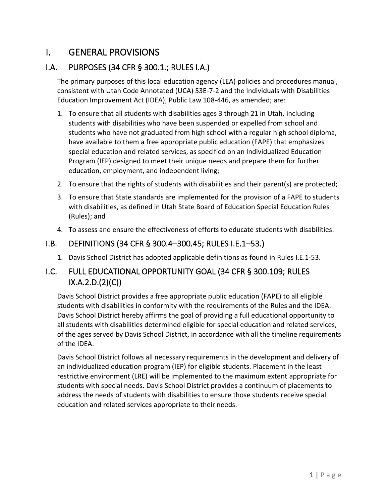# <span id="page-6-0"></span>I. GENERAL PROVISIONS

# <span id="page-6-1"></span>I.A. PURPOSES (34 CFR § 300.1.; RULES I.A.)

The primary purposes of this local education agency (LEA) policies and procedures manual, consistent with Utah Code Annotated (UCA) 53E-7-2 and the Individuals with Disabilities Education Improvement Act (IDEA), Public Law 108-446, as amended; are:

- 1. To ensure that all students with disabilities ages 3 through 21 in Utah, including students with disabilities who have been suspended or expelled from school and students who have not graduated from high school with a regular high school diploma, have available to them a free appropriate public education (FAPE) that emphasizes special education and related services, as specified on an Individualized Education Program (IEP) designed to meet their unique needs and prepare them for further education, employment, and independent living;
- 2. To ensure that the rights of students with disabilities and their parent(s) are protected;
- 3. To ensure that State standards are implemented for the provision of a FAPE to students with disabilities, as defined in Utah State Board of Education Special Education Rules (Rules); and
- 4. To assess and ensure the effectiveness of efforts to educate students with disabilities.

#### <span id="page-6-2"></span>I.B. DEFINITIONS (34 CFR § 300.4–300.45; RULES I.E.1–53.)

1. Davis School District has adopted applicable definitions as found in Rules I.E.1-53.

# <span id="page-6-3"></span>I.C. FULL EDUCATIONAL OPPORTUNITY GOAL (34 CFR § 300.109; RULES IX.A.2.D.(2)(C))

Davis School District provides a free appropriate public education (FAPE) to all eligible students with disabilities in conformity with the requirements of the Rules and the IDEA. Davis School District hereby affirms the goal of providing a full educational opportunity to all students with disabilities determined eligible for special education and related services, of the ages served by Davis School District, in accordance with all the timeline requirements of the IDEA.

Davis School District follows all necessary requirements in the development and delivery of an individualized education program (IEP) for eligible students. Placement in the least restrictive environment (LRE) will be implemented to the maximum extent appropriate for students with special needs. Davis School District provides a continuum of placements to address the needs of students with disabilities to ensure those students receive special education and related services appropriate to their needs.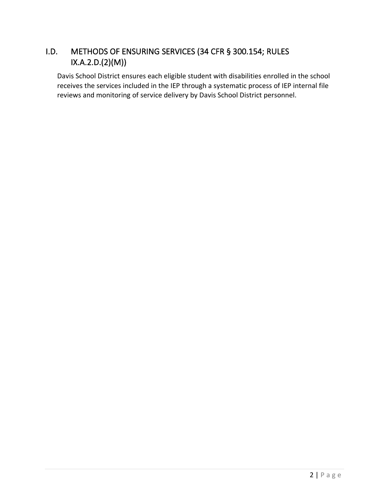# <span id="page-7-0"></span>I.D. METHODS OF ENSURING SERVICES (34 CFR § 300.154; RULES IX.A.2.D.(2)(M))

Davis School District ensures each eligible student with disabilities enrolled in the school receives the services included in the IEP through a systematic process of IEP internal file reviews and monitoring of service delivery by Davis School District personnel.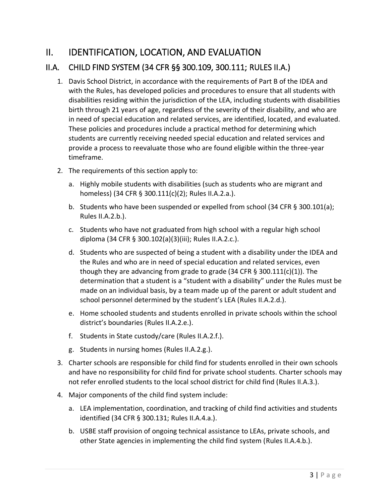# <span id="page-8-0"></span>II. IDENTIFICATION, LOCATION, AND EVALUATION

# <span id="page-8-1"></span>II.A. CHILD FIND SYSTEM (34 CFR §§ 300.109, 300.111; RULES II.A.)

- 1. Davis School District, in accordance with the requirements of Part B of the IDEA and with the Rules, has developed policies and procedures to ensure that all students with disabilities residing within the jurisdiction of the LEA, including students with disabilities birth through 21 years of age, regardless of the severity of their disability, and who are in need of special education and related services, are identified, located, and evaluated. These policies and procedures include a practical method for determining which students are currently receiving needed special education and related services and provide a process to reevaluate those who are found eligible within the three-year timeframe.
- 2. The requirements of this section apply to:
	- a. Highly mobile students with disabilities (such as students who are migrant and homeless) (34 CFR § 300.111(c)(2); Rules II.A.2.a.).
	- b. Students who have been suspended or expelled from school (34 CFR § 300.101(a); Rules II.A.2.b.).
	- c. Students who have not graduated from high school with a regular high school diploma (34 CFR § 300.102(a)(3)(iii); Rules II.A.2.c.).
	- d. Students who are suspected of being a student with a disability under the IDEA and the Rules and who are in need of special education and related services, even though they are advancing from grade to grade (34 CFR § 300.111(c)(1)). The determination that a student is a "student with a disability" under the Rules must be made on an individual basis, by a team made up of the parent or adult student and school personnel determined by the student's LEA (Rules II.A.2.d.).
	- e. Home schooled students and students enrolled in private schools within the school district's boundaries (Rules II.A.2.e.).
	- f. Students in State custody/care (Rules II.A.2.f.).
	- g. Students in nursing homes (Rules II.A.2.g.).
- 3. Charter schools are responsible for child find for students enrolled in their own schools and have no responsibility for child find for private school students. Charter schools may not refer enrolled students to the local school district for child find (Rules II.A.3.).
- 4. Major components of the child find system include:
	- a. LEA implementation, coordination, and tracking of child find activities and students identified (34 CFR § 300.131; Rules II.A.4.a.).
	- b. USBE staff provision of ongoing technical assistance to LEAs, private schools, and other State agencies in implementing the child find system (Rules II.A.4.b.).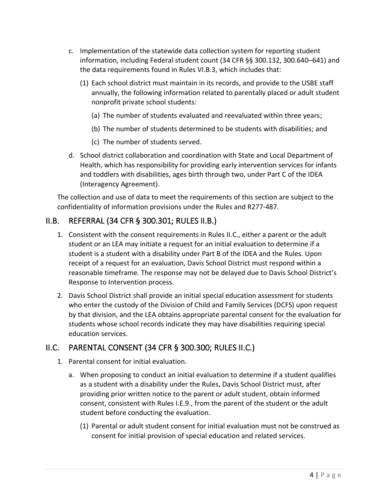- c. Implementation of the statewide data collection system for reporting student information, including Federal student count (34 CFR §§ 300.132, 300.640–641) and the data requirements found in Rules VI.B.3, which includes that:
	- (1) Each school district must maintain in its records, and provide to the USBE staff annually, the following information related to parentally placed or adult student nonprofit private school students:
		- (a) The number of students evaluated and reevaluated within three years;
		- (b) The number of students determined to be students with disabilities; and
		- (c) The number of students served.
- d. School district collaboration and coordination with State and Local Department of Health, which has responsibility for providing early intervention services for infants and toddlers with disabilities, ages birth through two, under Part C of the IDEA (Interagency Agreement).

The collection and use of data to meet the requirements of this section are subject to the confidentiality of information provisions under the Rules and R277-487.

# <span id="page-9-0"></span>II.B. REFERRAL (34 CFR § 300.301; RULES II.B.)

- 1. Consistent with the consent requirements in Rules II.C., either a parent or the adult student or an LEA may initiate a request for an initial evaluation to determine if a student is a student with a disability under Part B of the IDEA and the Rules. Upon receipt of a request for an evaluation, Davis School District must respond within a reasonable timeframe. The response may not be delayed due to Davis School District's Response to Intervention process.
- 2. Davis School District shall provide an initial special education assessment for students who enter the custody of the Division of Child and Family Services (DCFS) upon request by that division, and the LEA obtains appropriate parental consent for the evaluation for students whose school records indicate they may have disabilities requiring special education services.

# <span id="page-9-1"></span>II.C. PARENTAL CONSENT (34 CFR § 300.300; RULES II.C.)

- 1. Parental consent for initial evaluation.
	- a. When proposing to conduct an initial evaluation to determine if a student qualifies as a student with a disability under the Rules, Davis School District must, after providing prior written notice to the parent or adult student, obtain informed consent, consistent with Rules I.E.9., from the parent of the student or the adult student before conducting the evaluation.
		- (1) Parental or adult student consent for initial evaluation must not be construed as consent for initial provision of special education and related services.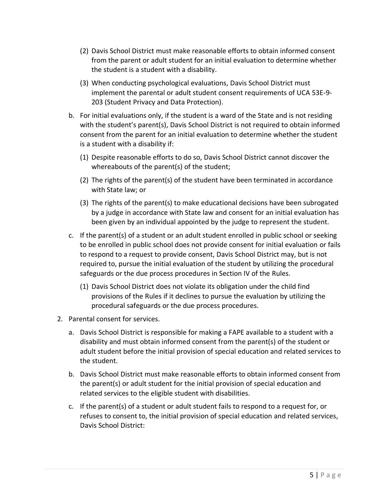- (2) Davis School District must make reasonable efforts to obtain informed consent from the parent or adult student for an initial evaluation to determine whether the student is a student with a disability.
- (3) When conducting psychological evaluations, Davis School District must implement the parental or adult student consent requirements of UCA 53E-9- 203 (Student Privacy and Data Protection).
- b. For initial evaluations only, if the student is a ward of the State and is not residing with the student's parent(s), Davis School District is not required to obtain informed consent from the parent for an initial evaluation to determine whether the student is a student with a disability if:
	- (1) Despite reasonable efforts to do so, Davis School District cannot discover the whereabouts of the parent(s) of the student;
	- (2) The rights of the parent(s) of the student have been terminated in accordance with State law; or
	- (3) The rights of the parent(s) to make educational decisions have been subrogated by a judge in accordance with State law and consent for an initial evaluation has been given by an individual appointed by the judge to represent the student.
- c. If the parent(s) of a student or an adult student enrolled in public school or seeking to be enrolled in public school does not provide consent for initial evaluation or fails to respond to a request to provide consent, Davis School District may, but is not required to, pursue the initial evaluation of the student by utilizing the procedural safeguards or the due process procedures in Section IV of the Rules.
	- (1) Davis School District does not violate its obligation under the child find provisions of the Rules if it declines to pursue the evaluation by utilizing the procedural safeguards or the due process procedures.
- 2. Parental consent for services.
	- a. Davis School District is responsible for making a FAPE available to a student with a disability and must obtain informed consent from the parent(s) of the student or adult student before the initial provision of special education and related services to the student.
	- b. Davis School District must make reasonable efforts to obtain informed consent from the parent(s) or adult student for the initial provision of special education and related services to the eligible student with disabilities.
	- c. If the parent(s) of a student or adult student fails to respond to a request for, or refuses to consent to, the initial provision of special education and related services, Davis School District: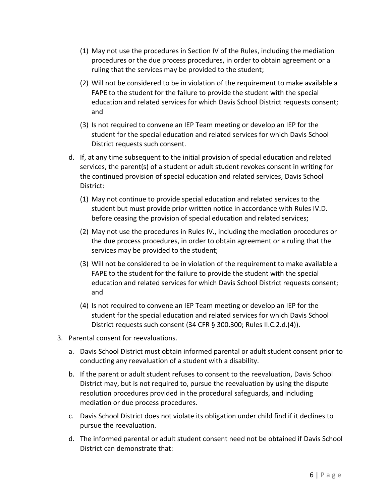- (1) May not use the procedures in Section IV of the Rules, including the mediation procedures or the due process procedures, in order to obtain agreement or a ruling that the services may be provided to the student;
- (2) Will not be considered to be in violation of the requirement to make available a FAPE to the student for the failure to provide the student with the special education and related services for which Davis School District requests consent; and
- (3) Is not required to convene an IEP Team meeting or develop an IEP for the student for the special education and related services for which Davis School District requests such consent.
- d. If, at any time subsequent to the initial provision of special education and related services, the parent(s) of a student or adult student revokes consent in writing for the continued provision of special education and related services, Davis School District:
	- (1) May not continue to provide special education and related services to the student but must provide prior written notice in accordance with Rules IV.D. before ceasing the provision of special education and related services;
	- (2) May not use the procedures in Rules IV., including the mediation procedures or the due process procedures, in order to obtain agreement or a ruling that the services may be provided to the student;
	- (3) Will not be considered to be in violation of the requirement to make available a FAPE to the student for the failure to provide the student with the special education and related services for which Davis School District requests consent; and
	- (4) Is not required to convene an IEP Team meeting or develop an IEP for the student for the special education and related services for which Davis School District requests such consent (34 CFR § 300.300; Rules II.C.2.d.(4)).
- 3. Parental consent for reevaluations.
	- a. Davis School District must obtain informed parental or adult student consent prior to conducting any reevaluation of a student with a disability.
	- b. If the parent or adult student refuses to consent to the reevaluation, Davis School District may, but is not required to, pursue the reevaluation by using the dispute resolution procedures provided in the procedural safeguards, and including mediation or due process procedures.
	- c. Davis School District does not violate its obligation under child find if it declines to pursue the reevaluation.
	- d. The informed parental or adult student consent need not be obtained if Davis School District can demonstrate that: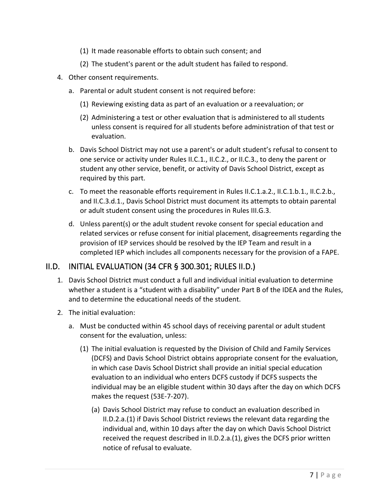- (1) It made reasonable efforts to obtain such consent; and
- (2) The student's parent or the adult student has failed to respond.
- 4. Other consent requirements.
	- a. Parental or adult student consent is not required before:
		- (1) Reviewing existing data as part of an evaluation or a reevaluation; or
		- (2) Administering a test or other evaluation that is administered to all students unless consent is required for all students before administration of that test or evaluation.
	- b. Davis School District may not use a parent's or adult student's refusal to consent to one service or activity under Rules II.C.1., II.C.2., or II.C.3., to deny the parent or student any other service, benefit, or activity of Davis School District, except as required by this part.
	- c. To meet the reasonable efforts requirement in Rules II.C.1.a.2., II.C.1.b.1., II.C.2.b., and II.C.3.d.1., Davis School District must document its attempts to obtain parental or adult student consent using the procedures in Rules III.G.3.
	- d. Unless parent(s) or the adult student revoke consent for special education and related services or refuse consent for initial placement, disagreements regarding the provision of IEP services should be resolved by the IEP Team and result in a completed IEP which includes all components necessary for the provision of a FAPE.

# <span id="page-12-0"></span>II.D. INITIAL EVALUATION (34 CFR § 300.301; RULES II.D.)

- 1. Davis School District must conduct a full and individual initial evaluation to determine whether a student is a "student with a disability" under Part B of the IDEA and the Rules, and to determine the educational needs of the student.
- 2. The initial evaluation:
	- a. Must be conducted within 45 school days of receiving parental or adult student consent for the evaluation, unless:
		- (1) The initial evaluation is requested by the Division of Child and Family Services (DCFS) and Davis School District obtains appropriate consent for the evaluation, in which case Davis School District shall provide an initial special education evaluation to an individual who enters DCFS custody if DCFS suspects the individual may be an eligible student within 30 days after the day on which DCFS makes the request (53E-7-207).
			- (a) Davis School District may refuse to conduct an evaluation described in II.D.2.a.(1) if Davis School District reviews the relevant data regarding the individual and, within 10 days after the day on which Davis School District received the request described in II.D.2.a.(1), gives the DCFS prior written notice of refusal to evaluate.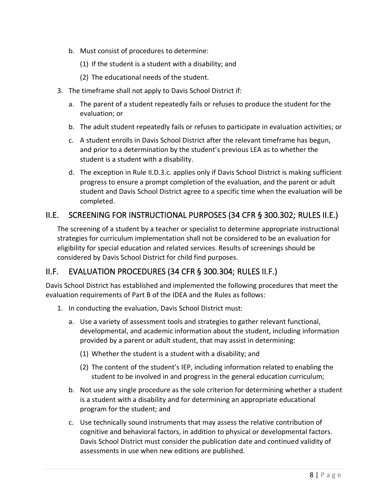- b. Must consist of procedures to determine:
	- (1) If the student is a student with a disability; and
	- (2) The educational needs of the student.
- 3. The timeframe shall not apply to Davis School District if:
	- a. The parent of a student repeatedly fails or refuses to produce the student for the evaluation; or
	- b. The adult student repeatedly fails or refuses to participate in evaluation activities; or
	- c. A student enrolls in Davis School District after the relevant timeframe has begun, and prior to a determination by the student's previous LEA as to whether the student is a student with a disability.
	- d. The exception in Rule II.D.3.c. applies only if Davis School District is making sufficient progress to ensure a prompt completion of the evaluation, and the parent or adult student and Davis School District agree to a specific time when the evaluation will be completed.

# <span id="page-13-0"></span>II.E. SCREENING FOR INSTRUCTIONAL PURPOSES (34 CFR § 300.302; RULES II.E.)

The screening of a student by a teacher or specialist to determine appropriate instructional strategies for curriculum implementation shall not be considered to be an evaluation for eligibility for special education and related services. Results of screenings should be considered by Davis School District for child find purposes.

#### <span id="page-13-1"></span>II.F. EVALUATION PROCEDURES (34 CFR § 300.304; RULES II.F.)

Davis School District has established and implemented the following procedures that meet the evaluation requirements of Part B of the IDEA and the Rules as follows:

- 1. In conducting the evaluation, Davis School District must:
	- a. Use a variety of assessment tools and strategies to gather relevant functional, developmental, and academic information about the student, including information provided by a parent or adult student, that may assist in determining:
		- (1) Whether the student is a student with a disability; and
		- (2) The content of the student's IEP, including information related to enabling the student to be involved in and progress in the general education curriculum;
	- b. Not use any single procedure as the sole criterion for determining whether a student is a student with a disability and for determining an appropriate educational program for the student; and
	- c. Use technically sound instruments that may assess the relative contribution of cognitive and behavioral factors, in addition to physical or developmental factors. Davis School District must consider the publication date and continued validity of assessments in use when new editions are published.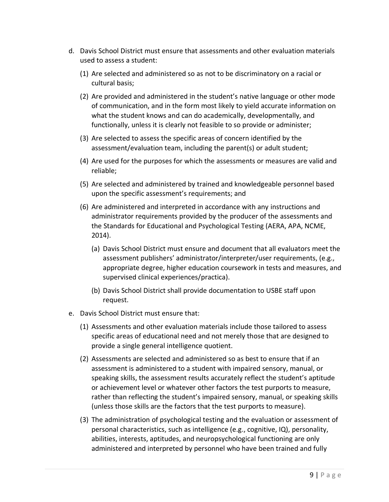- d. Davis School District must ensure that assessments and other evaluation materials used to assess a student:
	- (1) Are selected and administered so as not to be discriminatory on a racial or cultural basis;
	- (2) Are provided and administered in the student's native language or other mode of communication, and in the form most likely to yield accurate information on what the student knows and can do academically, developmentally, and functionally, unless it is clearly not feasible to so provide or administer;
	- (3) Are selected to assess the specific areas of concern identified by the assessment/evaluation team, including the parent(s) or adult student;
	- (4) Are used for the purposes for which the assessments or measures are valid and reliable;
	- (5) Are selected and administered by trained and knowledgeable personnel based upon the specific assessment's requirements; and
	- (6) Are administered and interpreted in accordance with any instructions and administrator requirements provided by the producer of the assessments and the Standards for Educational and Psychological Testing (AERA, APA, NCME, 2014).
		- (a) Davis School District must ensure and document that all evaluators meet the assessment publishers' administrator/interpreter/user requirements, (e.g., appropriate degree, higher education coursework in tests and measures, and supervised clinical experiences/practica).
		- (b) Davis School District shall provide documentation to USBE staff upon request.
- e. Davis School District must ensure that:
	- (1) Assessments and other evaluation materials include those tailored to assess specific areas of educational need and not merely those that are designed to provide a single general intelligence quotient.
	- (2) Assessments are selected and administered so as best to ensure that if an assessment is administered to a student with impaired sensory, manual, or speaking skills, the assessment results accurately reflect the student's aptitude or achievement level or whatever other factors the test purports to measure, rather than reflecting the student's impaired sensory, manual, or speaking skills (unless those skills are the factors that the test purports to measure).
	- (3) The administration of psychological testing and the evaluation or assessment of personal characteristics, such as intelligence (e.g., cognitive, IQ), personality, abilities, interests, aptitudes, and neuropsychological functioning are only administered and interpreted by personnel who have been trained and fully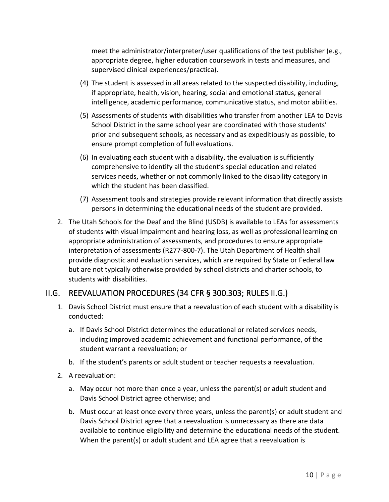meet the administrator/interpreter/user qualifications of the test publisher (e.g., appropriate degree, higher education coursework in tests and measures, and supervised clinical experiences/practica).

- (4) The student is assessed in all areas related to the suspected disability, including, if appropriate, health, vision, hearing, social and emotional status, general intelligence, academic performance, communicative status, and motor abilities.
- (5) Assessments of students with disabilities who transfer from another LEA to Davis School District in the same school year are coordinated with those students' prior and subsequent schools, as necessary and as expeditiously as possible, to ensure prompt completion of full evaluations.
- (6) In evaluating each student with a disability, the evaluation is sufficiently comprehensive to identify all the student's special education and related services needs, whether or not commonly linked to the disability category in which the student has been classified.
- (7) Assessment tools and strategies provide relevant information that directly assists persons in determining the educational needs of the student are provided.
- 2. The Utah Schools for the Deaf and the Blind (USDB) is available to LEAs for assessments of students with visual impairment and hearing loss, as well as professional learning on appropriate administration of assessments, and procedures to ensure appropriate interpretation of assessments (R277-800-7). The Utah Department of Health shall provide diagnostic and evaluation services, which are required by State or Federal law but are not typically otherwise provided by school districts and charter schools, to students with disabilities.

#### <span id="page-15-0"></span>II.G. REEVALUATION PROCEDURES (34 CFR § 300.303; RULES II.G.)

- 1. Davis School District must ensure that a reevaluation of each student with a disability is conducted:
	- a. If Davis School District determines the educational or related services needs, including improved academic achievement and functional performance, of the student warrant a reevaluation; or
	- b. If the student's parents or adult student or teacher requests a reevaluation.
- 2. A reevaluation:
	- a. May occur not more than once a year, unless the parent(s) or adult student and Davis School District agree otherwise; and
	- b. Must occur at least once every three years, unless the parent(s) or adult student and Davis School District agree that a reevaluation is unnecessary as there are data available to continue eligibility and determine the educational needs of the student. When the parent(s) or adult student and LEA agree that a reevaluation is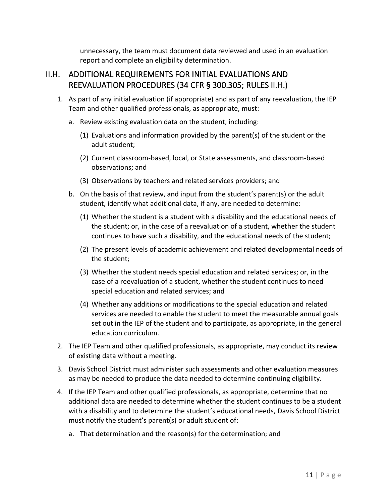unnecessary, the team must document data reviewed and used in an evaluation report and complete an eligibility determination.

#### <span id="page-16-0"></span>II.H. ADDITIONAL REQUIREMENTS FOR INITIAL EVALUATIONS AND REEVALUATION PROCEDURES (34 CFR § 300.305; RULES II.H.)

- 1. As part of any initial evaluation (if appropriate) and as part of any reevaluation, the IEP Team and other qualified professionals, as appropriate, must:
	- a. Review existing evaluation data on the student, including:
		- (1) Evaluations and information provided by the parent(s) of the student or the adult student;
		- (2) Current classroom-based, local, or State assessments, and classroom-based observations; and
		- (3) Observations by teachers and related services providers; and
	- b. On the basis of that review, and input from the student's parent(s) or the adult student, identify what additional data, if any, are needed to determine:
		- (1) Whether the student is a student with a disability and the educational needs of the student; or, in the case of a reevaluation of a student, whether the student continues to have such a disability, and the educational needs of the student;
		- (2) The present levels of academic achievement and related developmental needs of the student;
		- (3) Whether the student needs special education and related services; or, in the case of a reevaluation of a student, whether the student continues to need special education and related services; and
		- (4) Whether any additions or modifications to the special education and related services are needed to enable the student to meet the measurable annual goals set out in the IEP of the student and to participate, as appropriate, in the general education curriculum.
- 2. The IEP Team and other qualified professionals, as appropriate, may conduct its review of existing data without a meeting.
- 3. Davis School District must administer such assessments and other evaluation measures as may be needed to produce the data needed to determine continuing eligibility.
- 4. If the IEP Team and other qualified professionals, as appropriate, determine that no additional data are needed to determine whether the student continues to be a student with a disability and to determine the student's educational needs, Davis School District must notify the student's parent(s) or adult student of:
	- a. That determination and the reason(s) for the determination; and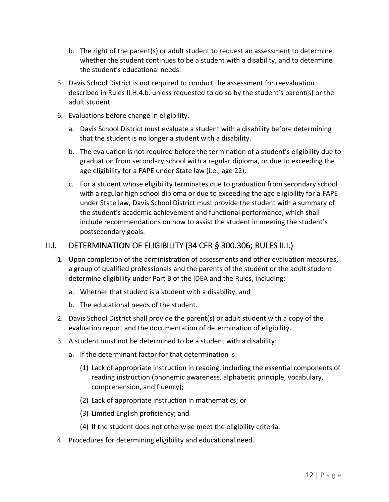- b. The right of the parent(s) or adult student to request an assessment to determine whether the student continues to be a student with a disability, and to determine the student's educational needs.
- 5. Davis School District is not required to conduct the assessment for reevaluation described in Rules II.H.4.b. unless requested to do so by the student's parent(s) or the adult student.
- 6. Evaluations before change in eligibility.
	- a. Davis School District must evaluate a student with a disability before determining that the student is no longer a student with a disability.
	- b. The evaluation is not required before the termination of a student's eligibility due to graduation from secondary school with a regular diploma, or due to exceeding the age eligibility for a FAPE under State law (i.e., age 22).
	- c. For a student whose eligibility terminates due to graduation from secondary school with a regular high school diploma or due to exceeding the age eligibility for a FAPE under State law, Davis School District must provide the student with a summary of the student's academic achievement and functional performance, which shall include recommendations on how to assist the student in meeting the student's postsecondary goals.

#### <span id="page-17-0"></span>II.I. DETERMINATION OF ELIGIBILITY (34 CFR § 300.306; RULES II.I.)

- 1. Upon completion of the administration of assessments and other evaluation measures, a group of qualified professionals and the parents of the student or the adult student determine eligibility under Part B of the IDEA and the Rules, including:
	- a. Whether that student is a student with a disability, and
	- b. The educational needs of the student.
- 2. Davis School District shall provide the parent(s) or adult student with a copy of the evaluation report and the documentation of determination of eligibility.
- 3. A student must not be determined to be a student with a disability:
	- a. If the determinant factor for that determination is:
		- (1) Lack of appropriate instruction in reading, including the essential components of reading instruction (phonemic awareness, alphabetic principle, vocabulary, comprehension, and fluency);
		- (2) Lack of appropriate instruction in mathematics; or
		- (3) Limited English proficiency; and
		- (4) If the student does not otherwise meet the eligibility criteria.
- 4. Procedures for determining eligibility and educational need.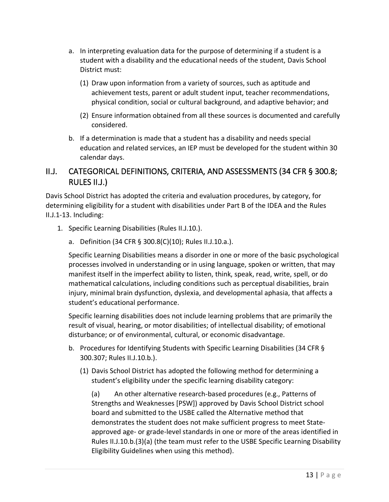- a. In interpreting evaluation data for the purpose of determining if a student is a student with a disability and the educational needs of the student, Davis School District must:
	- (1) Draw upon information from a variety of sources, such as aptitude and achievement tests, parent or adult student input, teacher recommendations, physical condition, social or cultural background, and adaptive behavior; and
	- (2) Ensure information obtained from all these sources is documented and carefully considered.
- b. If a determination is made that a student has a disability and needs special education and related services, an IEP must be developed for the student within 30 calendar days.

# <span id="page-18-0"></span>II.J. CATEGORICAL DEFINITIONS, CRITERIA, AND ASSESSMENTS (34 CFR § 300.8; RULES II.J.)

Davis School District has adopted the criteria and evaluation procedures, by category, for determining eligibility for a student with disabilities under Part B of the IDEA and the Rules II.J.1-13. Including:

- 1. Specific Learning Disabilities (Rules II.J.10.).
	- a. Definition (34 CFR § 300.8(C)(10); Rules II.J.10.a.).

Specific Learning Disabilities means a disorder in one or more of the basic psychological processes involved in understanding or in using language, spoken or written, that may manifest itself in the imperfect ability to listen, think, speak, read, write, spell, or do mathematical calculations, including conditions such as perceptual disabilities, brain injury, minimal brain dysfunction, dyslexia, and developmental aphasia, that affects a student's educational performance.

Specific learning disabilities does not include learning problems that are primarily the result of visual, hearing, or motor disabilities; of intellectual disability; of emotional disturbance; or of environmental, cultural, or economic disadvantage.

- b. Procedures for Identifying Students with Specific Learning Disabilities (34 CFR § 300.307; Rules II.J.10.b.).
	- (1) Davis School District has adopted the following method for determining a student's eligibility under the specific learning disability category:

(a) An other alternative research-based procedures (e.g., Patterns of Strengths and Weaknesses [PSW]) approved by Davis School District school board and submitted to the USBE called the Alternative method that demonstrates the student does not make sufficient progress to meet Stateapproved age- or grade-level standards in one or more of the areas identified in Rules II.J.10.b.(3)(a) (the team must refer to the USBE Specific Learning Disability Eligibility Guidelines when using this method).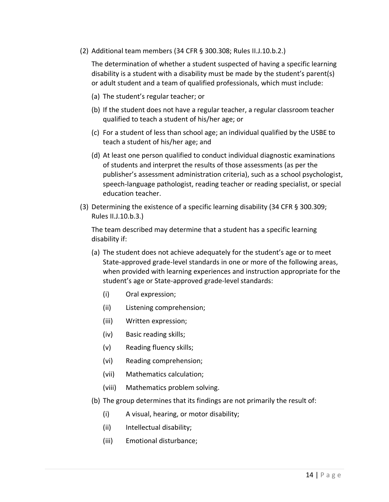(2) Additional team members (34 CFR § 300.308; Rules II.J.10.b.2.)

The determination of whether a student suspected of having a specific learning disability is a student with a disability must be made by the student's parent(s) or adult student and a team of qualified professionals, which must include:

- (a) The student's regular teacher; or
- (b) If the student does not have a regular teacher, a regular classroom teacher qualified to teach a student of his/her age; or
- (c) For a student of less than school age; an individual qualified by the USBE to teach a student of his/her age; and
- (d) At least one person qualified to conduct individual diagnostic examinations of students and interpret the results of those assessments (as per the publisher's assessment administration criteria), such as a school psychologist, speech-language pathologist, reading teacher or reading specialist, or special education teacher.
- (3) Determining the existence of a specific learning disability (34 CFR § 300.309; Rules II.J.10.b.3.)

The team described may determine that a student has a specific learning disability if:

- (a) The student does not achieve adequately for the student's age or to meet State-approved grade-level standards in one or more of the following areas, when provided with learning experiences and instruction appropriate for the student's age or State-approved grade-level standards:
	- (i) Oral expression;
	- (ii) Listening comprehension;
	- (iii) Written expression;
	- (iv) Basic reading skills;
	- (v) Reading fluency skills;
	- (vi) Reading comprehension;
	- (vii) Mathematics calculation;
	- (viii) Mathematics problem solving.
- (b) The group determines that its findings are not primarily the result of:
	- (i) A visual, hearing, or motor disability;
	- (ii) Intellectual disability;
	- (iii) Emotional disturbance;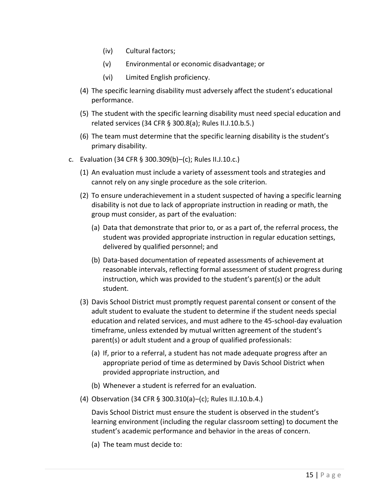- (iv) Cultural factors;
- (v) Environmental or economic disadvantage; or
- (vi) Limited English proficiency.
- (4) The specific learning disability must adversely affect the student's educational performance.
- (5) The student with the specific learning disability must need special education and related services (34 CFR § 300.8(a); Rules II.J.10.b.5.)
- (6) The team must determine that the specific learning disability is the student's primary disability.
- c. Evaluation (34 CFR § 300.309(b)–(c); Rules II.J.10.c.)
	- (1) An evaluation must include a variety of assessment tools and strategies and cannot rely on any single procedure as the sole criterion.
	- (2) To ensure underachievement in a student suspected of having a specific learning disability is not due to lack of appropriate instruction in reading or math, the group must consider, as part of the evaluation:
		- (a) Data that demonstrate that prior to, or as a part of, the referral process, the student was provided appropriate instruction in regular education settings, delivered by qualified personnel; and
		- (b) Data-based documentation of repeated assessments of achievement at reasonable intervals, reflecting formal assessment of student progress during instruction, which was provided to the student's parent(s) or the adult student.
	- (3) Davis School District must promptly request parental consent or consent of the adult student to evaluate the student to determine if the student needs special education and related services, and must adhere to the 45-school-day evaluation timeframe, unless extended by mutual written agreement of the student's parent(s) or adult student and a group of qualified professionals:
		- (a) If, prior to a referral, a student has not made adequate progress after an appropriate period of time as determined by Davis School District when provided appropriate instruction, and
		- (b) Whenever a student is referred for an evaluation.
	- (4) Observation (34 CFR § 300.310(a)–(c); Rules II.J.10.b.4.)

Davis School District must ensure the student is observed in the student's learning environment (including the regular classroom setting) to document the student's academic performance and behavior in the areas of concern.

(a) The team must decide to: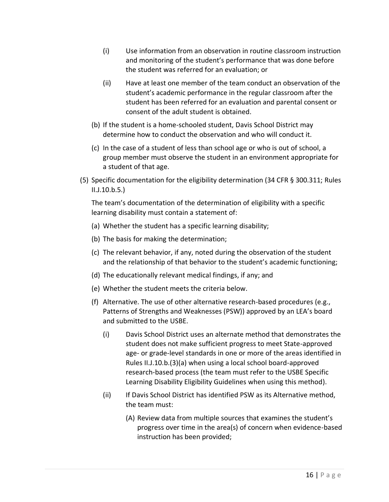- (i) Use information from an observation in routine classroom instruction and monitoring of the student's performance that was done before the student was referred for an evaluation; or
- (ii) Have at least one member of the team conduct an observation of the student's academic performance in the regular classroom after the student has been referred for an evaluation and parental consent or consent of the adult student is obtained.
- (b) If the student is a home-schooled student, Davis School District may determine how to conduct the observation and who will conduct it.
- (c) In the case of a student of less than school age or who is out of school, a group member must observe the student in an environment appropriate for a student of that age.
- (5) Specific documentation for the eligibility determination (34 CFR § 300.311; Rules II.J.10.b.5.)

The team's documentation of the determination of eligibility with a specific learning disability must contain a statement of:

- (a) Whether the student has a specific learning disability;
- (b) The basis for making the determination;
- (c) The relevant behavior, if any, noted during the observation of the student and the relationship of that behavior to the student's academic functioning;
- (d) The educationally relevant medical findings, if any; and
- (e) Whether the student meets the criteria below.
- (f) Alternative. The use of other alternative research-based procedures (e.g., Patterns of Strengths and Weaknesses (PSW)) approved by an LEA's board and submitted to the USBE.
	- (i) Davis School District uses an alternate method that demonstrates the student does not make sufficient progress to meet State-approved age- or grade-level standards in one or more of the areas identified in Rules II.J.10.b.(3)(a) when using a local school board-approved research-based process (the team must refer to the USBE Specific Learning Disability Eligibility Guidelines when using this method).
	- (ii) If Davis School District has identified PSW as its Alternative method, the team must:
		- (A) Review data from multiple sources that examines the student's progress over time in the area(s) of concern when evidence-based instruction has been provided;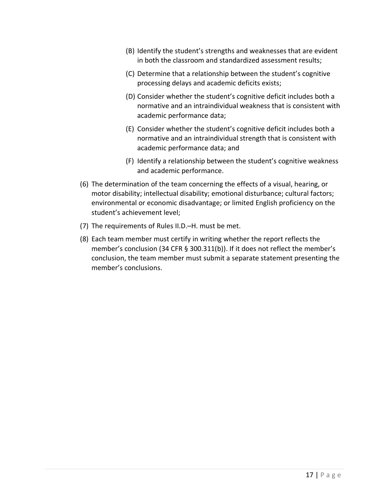- (B) Identify the student's strengths and weaknesses that are evident in both the classroom and standardized assessment results;
- (C) Determine that a relationship between the student's cognitive processing delays and academic deficits exists;
- (D) Consider whether the student's cognitive deficit includes both a normative and an intraindividual weakness that is consistent with academic performance data;
- (E) Consider whether the student's cognitive deficit includes both a normative and an intraindividual strength that is consistent with academic performance data; and
- (F) Identify a relationship between the student's cognitive weakness and academic performance.
- (6) The determination of the team concerning the effects of a visual, hearing, or motor disability; intellectual disability; emotional disturbance; cultural factors; environmental or economic disadvantage; or limited English proficiency on the student's achievement level;
- (7) The requirements of Rules II.D.–H. must be met.
- (8) Each team member must certify in writing whether the report reflects the member's conclusion (34 CFR § 300.311(b)). If it does not reflect the member's conclusion, the team member must submit a separate statement presenting the member's conclusions.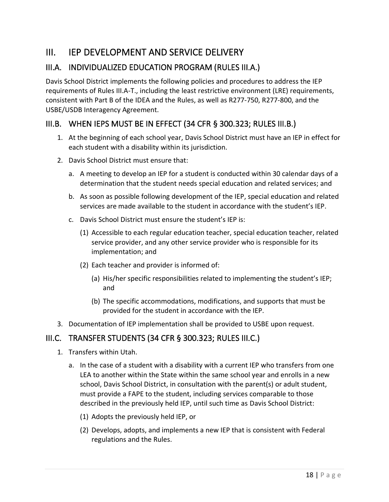# <span id="page-23-0"></span>III. IEP DEVELOPMENT AND SERVICE DELIVERY

# <span id="page-23-1"></span>III.A. INDIVIDUALIZED EDUCATION PROGRAM (RULES III.A.)

Davis School District implements the following policies and procedures to address the IEP requirements of Rules III.A-T., including the least restrictive environment (LRE) requirements, consistent with Part B of the IDEA and the Rules, as well as R277-750, R277-800, and the USBE/USDB Interagency Agreement.

#### <span id="page-23-2"></span>III.B. WHEN IEPS MUST BE IN EFFECT (34 CFR § 300.323; RULES III.B.)

- 1. At the beginning of each school year, Davis School District must have an IEP in effect for each student with a disability within its jurisdiction.
- 2. Davis School District must ensure that:
	- a. A meeting to develop an IEP for a student is conducted within 30 calendar days of a determination that the student needs special education and related services; and
	- b. As soon as possible following development of the IEP, special education and related services are made available to the student in accordance with the student's IEP.
	- c. Davis School District must ensure the student's IEP is:
		- (1) Accessible to each regular education teacher, special education teacher, related service provider, and any other service provider who is responsible for its implementation; and
		- (2) Each teacher and provider is informed of:
			- (a) His/her specific responsibilities related to implementing the student's IEP; and
			- (b) The specific accommodations, modifications, and supports that must be provided for the student in accordance with the IEP.
- 3. Documentation of IEP implementation shall be provided to USBE upon request.

#### <span id="page-23-3"></span>III.C. TRANSFER STUDENTS (34 CFR § 300.323; RULES III.C.)

- 1. Transfers within Utah.
	- a. In the case of a student with a disability with a current IEP who transfers from one LEA to another within the State within the same school year and enrolls in a new school, Davis School District, in consultation with the parent(s) or adult student, must provide a FAPE to the student, including services comparable to those described in the previously held IEP, until such time as Davis School District:
		- (1) Adopts the previously held IEP, or
		- (2) Develops, adopts, and implements a new IEP that is consistent with Federal regulations and the Rules.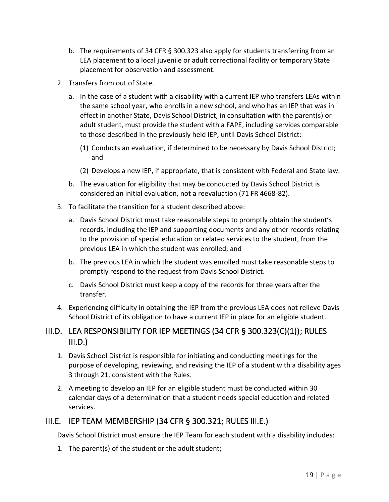- b. The requirements of 34 CFR § 300.323 also apply for students transferring from an LEA placement to a local juvenile or adult correctional facility or temporary State placement for observation and assessment.
- 2. Transfers from out of State.
	- a. In the case of a student with a disability with a current IEP who transfers LEAs within the same school year, who enrolls in a new school, and who has an IEP that was in effect in another State, Davis School District, in consultation with the parent(s) or adult student, must provide the student with a FAPE, including services comparable to those described in the previously held IEP, until Davis School District:
		- (1) Conducts an evaluation, if determined to be necessary by Davis School District; and
		- (2) Develops a new IEP, if appropriate, that is consistent with Federal and State law.
	- b. The evaluation for eligibility that may be conducted by Davis School District is considered an initial evaluation, not a reevaluation (71 FR 4668-82).
- 3. To facilitate the transition for a student described above:
	- a. Davis School District must take reasonable steps to promptly obtain the student's records, including the IEP and supporting documents and any other records relating to the provision of special education or related services to the student, from the previous LEA in which the student was enrolled; and
	- b. The previous LEA in which the student was enrolled must take reasonable steps to promptly respond to the request from Davis School District.
	- c. Davis School District must keep a copy of the records for three years after the transfer.
- 4. Experiencing difficulty in obtaining the IEP from the previous LEA does not relieve Davis School District of its obligation to have a current IEP in place for an eligible student.

#### <span id="page-24-0"></span>III.D. LEA RESPONSIBILITY FOR IEP MEETINGS (34 CFR § 300.323(C)(1)); RULES  $III.D.$

- 1. Davis School District is responsible for initiating and conducting meetings for the purpose of developing, reviewing, and revising the IEP of a student with a disability ages 3 through 21, consistent with the Rules.
- 2. A meeting to develop an IEP for an eligible student must be conducted within 30 calendar days of a determination that a student needs special education and related services.

# <span id="page-24-1"></span>III.E. IEP TEAM MEMBERSHIP (34 CFR § 300.321; RULES III.E.)

Davis School District must ensure the IEP Team for each student with a disability includes:

1. The parent(s) of the student or the adult student;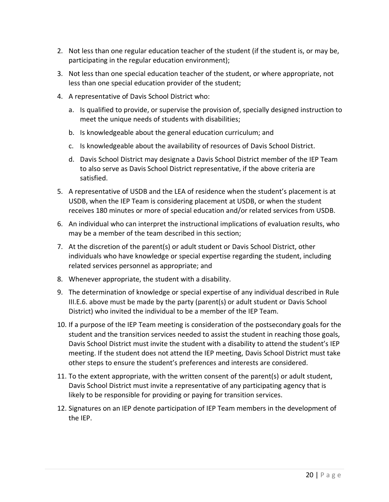- 2. Not less than one regular education teacher of the student (if the student is, or may be, participating in the regular education environment);
- 3. Not less than one special education teacher of the student, or where appropriate, not less than one special education provider of the student;
- 4. A representative of Davis School District who:
	- a. Is qualified to provide, or supervise the provision of, specially designed instruction to meet the unique needs of students with disabilities;
	- b. Is knowledgeable about the general education curriculum; and
	- c. Is knowledgeable about the availability of resources of Davis School District.
	- d. Davis School District may designate a Davis School District member of the IEP Team to also serve as Davis School District representative, if the above criteria are satisfied.
- 5. A representative of USDB and the LEA of residence when the student's placement is at USDB, when the IEP Team is considering placement at USDB, or when the student receives 180 minutes or more of special education and/or related services from USDB.
- 6. An individual who can interpret the instructional implications of evaluation results, who may be a member of the team described in this section;
- 7. At the discretion of the parent(s) or adult student or Davis School District, other individuals who have knowledge or special expertise regarding the student, including related services personnel as appropriate; and
- 8. Whenever appropriate, the student with a disability.
- 9. The determination of knowledge or special expertise of any individual described in Rule III.E.6. above must be made by the party (parent(s) or adult student or Davis School District) who invited the individual to be a member of the IEP Team.
- 10. If a purpose of the IEP Team meeting is consideration of the postsecondary goals for the student and the transition services needed to assist the student in reaching those goals, Davis School District must invite the student with a disability to attend the student's IEP meeting. If the student does not attend the IEP meeting, Davis School District must take other steps to ensure the student's preferences and interests are considered.
- 11. To the extent appropriate, with the written consent of the parent(s) or adult student, Davis School District must invite a representative of any participating agency that is likely to be responsible for providing or paying for transition services.
- 12. Signatures on an IEP denote participation of IEP Team members in the development of the IEP.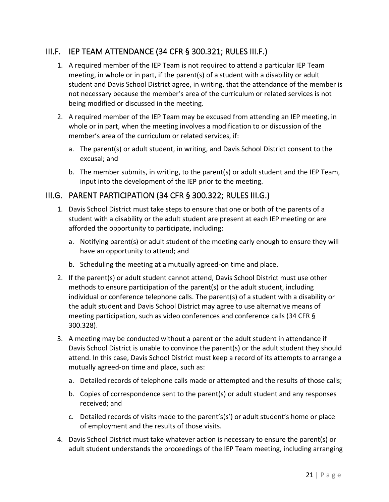#### <span id="page-26-0"></span>III.F. IEP TEAM ATTENDANCE (34 CFR § 300.321; RULES III.F.)

- 1. A required member of the IEP Team is not required to attend a particular IEP Team meeting, in whole or in part, if the parent(s) of a student with a disability or adult student and Davis School District agree, in writing, that the attendance of the member is not necessary because the member's area of the curriculum or related services is not being modified or discussed in the meeting.
- 2. A required member of the IEP Team may be excused from attending an IEP meeting, in whole or in part, when the meeting involves a modification to or discussion of the member's area of the curriculum or related services, if:
	- a. The parent(s) or adult student, in writing, and Davis School District consent to the excusal; and
	- b. The member submits, in writing, to the parent(s) or adult student and the IEP Team, input into the development of the IEP prior to the meeting.

#### <span id="page-26-1"></span>III.G. PARENT PARTICIPATION (34 CFR § 300.322; RULES III.G.)

- 1. Davis School District must take steps to ensure that one or both of the parents of a student with a disability or the adult student are present at each IEP meeting or are afforded the opportunity to participate, including:
	- a. Notifying parent(s) or adult student of the meeting early enough to ensure they will have an opportunity to attend; and
	- b. Scheduling the meeting at a mutually agreed-on time and place.
- 2. If the parent(s) or adult student cannot attend, Davis School District must use other methods to ensure participation of the parent(s) or the adult student, including individual or conference telephone calls. The parent(s) of a student with a disability or the adult student and Davis School District may agree to use alternative means of meeting participation, such as video conferences and conference calls (34 CFR § 300.328).
- 3. A meeting may be conducted without a parent or the adult student in attendance if Davis School District is unable to convince the parent(s) or the adult student they should attend. In this case, Davis School District must keep a record of its attempts to arrange a mutually agreed-on time and place, such as:
	- a. Detailed records of telephone calls made or attempted and the results of those calls;
	- b. Copies of correspondence sent to the parent(s) or adult student and any responses received; and
	- c. Detailed records of visits made to the parent's(s') or adult student's home or place of employment and the results of those visits.
- 4. Davis School District must take whatever action is necessary to ensure the parent(s) or adult student understands the proceedings of the IEP Team meeting, including arranging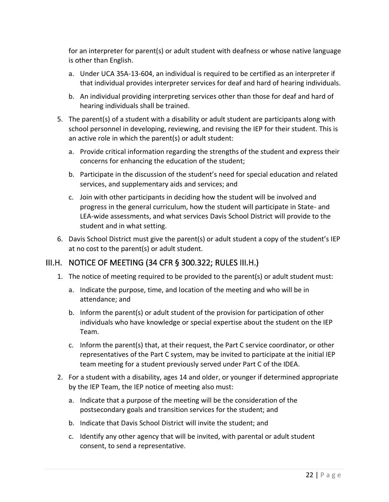for an interpreter for parent(s) or adult student with deafness or whose native language is other than English.

- a. Under UCA 35A-13-604, an individual is required to be certified as an interpreter if that individual provides interpreter services for deaf and hard of hearing individuals.
- b. An individual providing interpreting services other than those for deaf and hard of hearing individuals shall be trained.
- 5. The parent(s) of a student with a disability or adult student are participants along with school personnel in developing, reviewing, and revising the IEP for their student. This is an active role in which the parent(s) or adult student:
	- a. Provide critical information regarding the strengths of the student and express their concerns for enhancing the education of the student;
	- b. Participate in the discussion of the student's need for special education and related services, and supplementary aids and services; and
	- c. Join with other participants in deciding how the student will be involved and progress in the general curriculum, how the student will participate in State- and LEA-wide assessments, and what services Davis School District will provide to the student and in what setting.
- 6. Davis School District must give the parent(s) or adult student a copy of the student's IEP at no cost to the parent(s) or adult student.

# <span id="page-27-0"></span>III.H. NOTICE OF MEETING (34 CFR § 300.322; RULES III.H.)

- 1. The notice of meeting required to be provided to the parent(s) or adult student must:
	- a. Indicate the purpose, time, and location of the meeting and who will be in attendance; and
	- b. Inform the parent(s) or adult student of the provision for participation of other individuals who have knowledge or special expertise about the student on the IEP Team.
	- c. Inform the parent(s) that, at their request, the Part C service coordinator, or other representatives of the Part C system, may be invited to participate at the initial IEP team meeting for a student previously served under Part C of the IDEA.
- 2. For a student with a disability, ages 14 and older, or younger if determined appropriate by the IEP Team, the IEP notice of meeting also must:
	- a. Indicate that a purpose of the meeting will be the consideration of the postsecondary goals and transition services for the student; and
	- b. Indicate that Davis School District will invite the student; and
	- c. Identify any other agency that will be invited, with parental or adult student consent, to send a representative.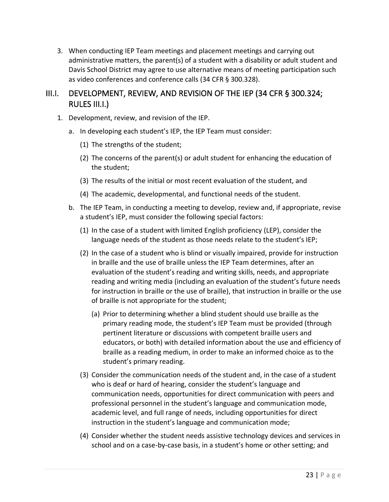3. When conducting IEP Team meetings and placement meetings and carrying out administrative matters, the parent(s) of a student with a disability or adult student and Davis School District may agree to use alternative means of meeting participation such as video conferences and conference calls (34 CFR § 300.328).

# <span id="page-28-0"></span>III.I. DEVELOPMENT, REVIEW, AND REVISION OF THE IEP (34 CFR § 300.324; RULES III.I.)

- 1. Development, review, and revision of the IEP.
	- a. In developing each student's IEP, the IEP Team must consider:
		- (1) The strengths of the student;
		- (2) The concerns of the parent(s) or adult student for enhancing the education of the student;
		- (3) The results of the initial or most recent evaluation of the student, and
		- (4) The academic, developmental, and functional needs of the student.
	- b. The IEP Team, in conducting a meeting to develop, review and, if appropriate, revise a student's IEP, must consider the following special factors:
		- (1) In the case of a student with limited English proficiency (LEP), consider the language needs of the student as those needs relate to the student's IEP;
		- (2) In the case of a student who is blind or visually impaired, provide for instruction in braille and the use of braille unless the IEP Team determines, after an evaluation of the student's reading and writing skills, needs, and appropriate reading and writing media (including an evaluation of the student's future needs for instruction in braille or the use of braille), that instruction in braille or the use of braille is not appropriate for the student;
			- (a) Prior to determining whether a blind student should use braille as the primary reading mode, the student's IEP Team must be provided (through pertinent literature or discussions with competent braille users and educators, or both) with detailed information about the use and efficiency of braille as a reading medium, in order to make an informed choice as to the student's primary reading.
		- (3) Consider the communication needs of the student and, in the case of a student who is deaf or hard of hearing, consider the student's language and communication needs, opportunities for direct communication with peers and professional personnel in the student's language and communication mode, academic level, and full range of needs, including opportunities for direct instruction in the student's language and communication mode;
		- (4) Consider whether the student needs assistive technology devices and services in school and on a case-by-case basis, in a student's home or other setting; and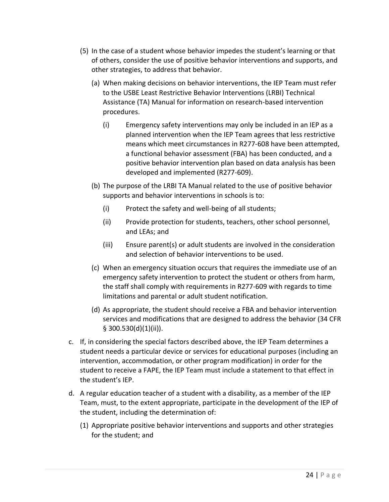- (5) In the case of a student whose behavior impedes the student's learning or that of others, consider the use of positive behavior interventions and supports, and other strategies, to address that behavior.
	- (a) When making decisions on behavior interventions, the IEP Team must refer to the USBE Least Restrictive Behavior Interventions (LRBI) Technical Assistance (TA) Manual for information on research-based intervention procedures.
		- (i) Emergency safety interventions may only be included in an IEP as a planned intervention when the IEP Team agrees that less restrictive means which meet circumstances in R277-608 have been attempted, a functional behavior assessment (FBA) has been conducted, and a positive behavior intervention plan based on data analysis has been developed and implemented (R277-609).
	- (b) The purpose of the LRBI TA Manual related to the use of positive behavior supports and behavior interventions in schools is to:
		- (i) Protect the safety and well-being of all students;
		- (ii) Provide protection for students, teachers, other school personnel, and LEAs; and
		- (iii) Ensure parent(s) or adult students are involved in the consideration and selection of behavior interventions to be used.
	- (c) When an emergency situation occurs that requires the immediate use of an emergency safety intervention to protect the student or others from harm, the staff shall comply with requirements in R277-609 with regards to time limitations and parental or adult student notification.
	- (d) As appropriate, the student should receive a FBA and behavior intervention services and modifications that are designed to address the behavior (34 CFR  $§$  300.530(d)(1)(ii)).
- c. If, in considering the special factors described above, the IEP Team determines a student needs a particular device or services for educational purposes (including an intervention, accommodation, or other program modification) in order for the student to receive a FAPE, the IEP Team must include a statement to that effect in the student's IEP.
- d. A regular education teacher of a student with a disability, as a member of the IEP Team, must, to the extent appropriate, participate in the development of the IEP of the student, including the determination of:
	- (1) Appropriate positive behavior interventions and supports and other strategies for the student; and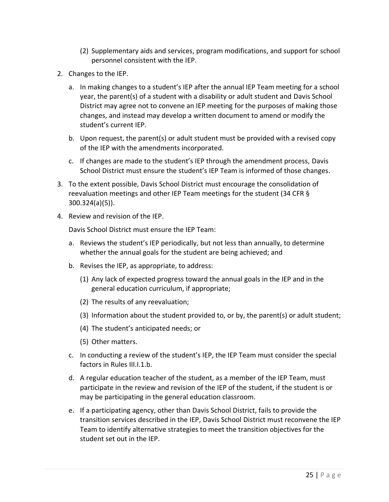- (2) Supplementary aids and services, program modifications, and support for school personnel consistent with the IEP.
- 2. Changes to the IEP.
	- a. In making changes to a student's IEP after the annual IEP Team meeting for a school year, the parent(s) of a student with a disability or adult student and Davis School District may agree not to convene an IEP meeting for the purposes of making those changes, and instead may develop a written document to amend or modify the student's current IEP.
	- b. Upon request, the parent(s) or adult student must be provided with a revised copy of the IEP with the amendments incorporated.
	- c. If changes are made to the student's IEP through the amendment process, Davis School District must ensure the student's IEP Team is informed of those changes.
- 3. To the extent possible, Davis School District must encourage the consolidation of reevaluation meetings and other IEP Team meetings for the student (34 CFR § 300.324(a)(5)).
- 4. Review and revision of the IEP.

Davis School District must ensure the IEP Team:

- a. Reviews the student's IEP periodically, but not less than annually, to determine whether the annual goals for the student are being achieved; and
- b. Revises the IEP, as appropriate, to address:
	- (1) Any lack of expected progress toward the annual goals in the IEP and in the general education curriculum, if appropriate;
	- (2) The results of any reevaluation;
	- (3) Information about the student provided to, or by, the parent(s) or adult student;
	- (4) The student's anticipated needs; or
	- (5) Other matters.
- c. In conducting a review of the student's IEP, the IEP Team must consider the special factors in Rules III.I.1.b.
- d. A regular education teacher of the student, as a member of the IEP Team, must participate in the review and revision of the IEP of the student, if the student is or may be participating in the general education classroom.
- e. If a participating agency, other than Davis School District, fails to provide the transition services described in the IEP, Davis School District must reconvene the IEP Team to identify alternative strategies to meet the transition objectives for the student set out in the IEP.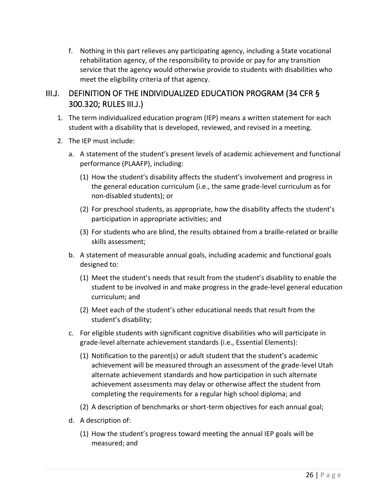f. Nothing in this part relieves any participating agency, including a State vocational rehabilitation agency, of the responsibility to provide or pay for any transition service that the agency would otherwise provide to students with disabilities who meet the eligibility criteria of that agency.

# <span id="page-31-0"></span>III.J. DEFINITION OF THE INDIVIDUALIZED EDUCATION PROGRAM (34 CFR § 300.320; RULES III.J.)

- 1. The term individualized education program (IEP) means a written statement for each student with a disability that is developed, reviewed, and revised in a meeting.
- 2. The IEP must include:
	- a. A statement of the student's present levels of academic achievement and functional performance (PLAAFP), including:
		- (1) How the student's disability affects the student's involvement and progress in the general education curriculum (i.e., the same grade-level curriculum as for non-disabled students); or
		- (2) For preschool students, as appropriate, how the disability affects the student's participation in appropriate activities; and
		- (3) For students who are blind, the results obtained from a braille-related or braille skills assessment;
	- b. A statement of measurable annual goals, including academic and functional goals designed to:
		- (1) Meet the student's needs that result from the student's disability to enable the student to be involved in and make progress in the grade-level general education curriculum; and
		- (2) Meet each of the student's other educational needs that result from the student's disability;
	- c. For eligible students with significant cognitive disabilities who will participate in grade-level alternate achievement standards (i.e., Essential Elements):
		- (1) Notification to the parent(s) or adult student that the student's academic achievement will be measured through an assessment of the grade-level Utah alternate achievement standards and how participation in such alternate achievement assessments may delay or otherwise affect the student from completing the requirements for a regular high school diploma; and
		- (2) A description of benchmarks or short-term objectives for each annual goal;
	- d. A description of:
		- (1) How the student's progress toward meeting the annual IEP goals will be measured; and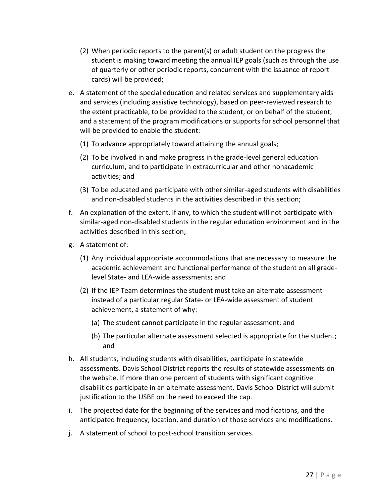- (2) When periodic reports to the parent(s) or adult student on the progress the student is making toward meeting the annual IEP goals (such as through the use of quarterly or other periodic reports, concurrent with the issuance of report cards) will be provided;
- e. A statement of the special education and related services and supplementary aids and services (including assistive technology), based on peer-reviewed research to the extent practicable, to be provided to the student, or on behalf of the student, and a statement of the program modifications or supports for school personnel that will be provided to enable the student:
	- (1) To advance appropriately toward attaining the annual goals;
	- (2) To be involved in and make progress in the grade-level general education curriculum, and to participate in extracurricular and other nonacademic activities; and
	- (3) To be educated and participate with other similar-aged students with disabilities and non-disabled students in the activities described in this section;
- f. An explanation of the extent, if any, to which the student will not participate with similar-aged non-disabled students in the regular education environment and in the activities described in this section;
- g. A statement of:
	- (1) Any individual appropriate accommodations that are necessary to measure the academic achievement and functional performance of the student on all gradelevel State- and LEA-wide assessments; and
	- (2) If the IEP Team determines the student must take an alternate assessment instead of a particular regular State- or LEA-wide assessment of student achievement, a statement of why:
		- (a) The student cannot participate in the regular assessment; and
		- (b) The particular alternate assessment selected is appropriate for the student; and
- h. All students, including students with disabilities, participate in statewide assessments. Davis School District reports the results of statewide assessments on the website. If more than one percent of students with significant cognitive disabilities participate in an alternate assessment, Davis School District will submit justification to the USBE on the need to exceed the cap.
- i. The projected date for the beginning of the services and modifications, and the anticipated frequency, location, and duration of those services and modifications.
- j. A statement of school to post-school transition services.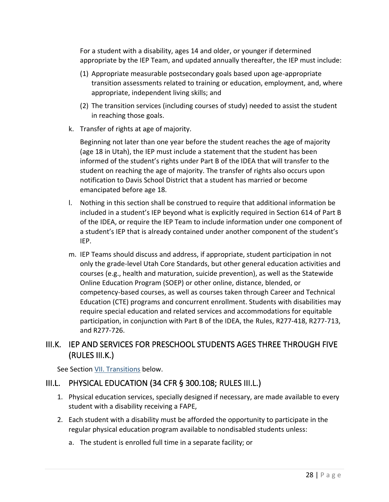For a student with a disability, ages 14 and older, or younger if determined appropriate by the IEP Team, and updated annually thereafter, the IEP must include:

- (1) Appropriate measurable postsecondary goals based upon age-appropriate transition assessments related to training or education, employment, and, where appropriate, independent living skills; and
- (2) The transition services (including courses of study) needed to assist the student in reaching those goals.
- k. Transfer of rights at age of majority.

Beginning not later than one year before the student reaches the age of majority (age 18 in Utah), the IEP must include a statement that the student has been informed of the student's rights under Part B of the IDEA that will transfer to the student on reaching the age of majority. The transfer of rights also occurs upon notification to Davis School District that a student has married or become emancipated before age 18.

- l. Nothing in this section shall be construed to require that additional information be included in a student's IEP beyond what is explicitly required in Section 614 of Part B of the IDEA, or require the IEP Team to include information under one component of a student's IEP that is already contained under another component of the student's IEP.
- m. IEP Teams should discuss and address, if appropriate, student participation in not only the grade-level Utah Core Standards, but other general education activities and courses (e.g., health and maturation, suicide prevention), as well as the Statewide Online Education Program (SOEP) or other online, distance, blended, or competency-based courses, as well as courses taken through Career and Technical Education (CTE) programs and concurrent enrollment. Students with disabilities may require special education and related services and accommodations for equitable participation, in conjunction with Part B of the IDEA, the Rules, R277-418, R277-713, and R277-726.

# <span id="page-33-0"></span>III.K. IEP AND SERVICES FOR PRESCHOOL STUDENTS AGES THREE THROUGH FIVE (RULES III.K.)

See Section [VII. Transitions](#page-73-0) below.

# <span id="page-33-1"></span>III.L. PHYSICAL EDUCATION (34 CFR § 300.108; RULES III.L.)

- 1. Physical education services, specially designed if necessary, are made available to every student with a disability receiving a FAPE,
- 2. Each student with a disability must be afforded the opportunity to participate in the regular physical education program available to nondisabled students unless:
	- a. The student is enrolled full time in a separate facility; or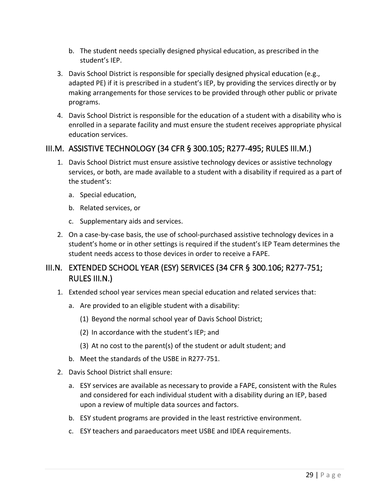- b. The student needs specially designed physical education, as prescribed in the student's IEP.
- 3. Davis School District is responsible for specially designed physical education (e.g., adapted PE) if it is prescribed in a student's IEP, by providing the services directly or by making arrangements for those services to be provided through other public or private programs.
- 4. Davis School District is responsible for the education of a student with a disability who is enrolled in a separate facility and must ensure the student receives appropriate physical education services.

#### <span id="page-34-0"></span>III.M. ASSISTIVE TECHNOLOGY (34 CFR § 300.105; R277-495; RULES III.M.)

- 1. Davis School District must ensure assistive technology devices or assistive technology services, or both, are made available to a student with a disability if required as a part of the student's:
	- a. Special education,
	- b. Related services, or
	- c. Supplementary aids and services.
- 2. On a case-by-case basis, the use of school-purchased assistive technology devices in a student's home or in other settings is required if the student's IEP Team determines the student needs access to those devices in order to receive a FAPE.

#### <span id="page-34-1"></span>III.N. EXTENDED SCHOOL YEAR (ESY) SERVICES (34 CFR § 300.106; R277-751; RULES III.N.)

- 1. Extended school year services mean special education and related services that:
	- a. Are provided to an eligible student with a disability:
		- (1) Beyond the normal school year of Davis School District;
		- (2) In accordance with the student's IEP; and
		- (3) At no cost to the parent(s) of the student or adult student; and
	- b. Meet the standards of the USBE in R277-751.
- 2. Davis School District shall ensure:
	- a. ESY services are available as necessary to provide a FAPE, consistent with the Rules and considered for each individual student with a disability during an IEP, based upon a review of multiple data sources and factors.
	- b. ESY student programs are provided in the least restrictive environment.
	- c. ESY teachers and paraeducators meet USBE and IDEA requirements.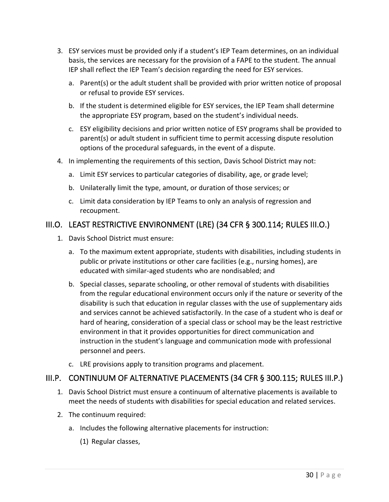- 3. ESY services must be provided only if a student's IEP Team determines, on an individual basis, the services are necessary for the provision of a FAPE to the student. The annual IEP shall reflect the IEP Team's decision regarding the need for ESY services.
	- a. Parent(s) or the adult student shall be provided with prior written notice of proposal or refusal to provide ESY services.
	- b. If the student is determined eligible for ESY services, the IEP Team shall determine the appropriate ESY program, based on the student's individual needs.
	- c. ESY eligibility decisions and prior written notice of ESY programs shall be provided to parent(s) or adult student in sufficient time to permit accessing dispute resolution options of the procedural safeguards, in the event of a dispute.
- 4. In implementing the requirements of this section, Davis School District may not:
	- a. Limit ESY services to particular categories of disability, age, or grade level;
	- b. Unilaterally limit the type, amount, or duration of those services; or
	- c. Limit data consideration by IEP Teams to only an analysis of regression and recoupment.

#### <span id="page-35-0"></span>III.O. LEAST RESTRICTIVE ENVIRONMENT (LRE) (34 CFR § 300.114; RULES III.O.)

- 1. Davis School District must ensure:
	- a. To the maximum extent appropriate, students with disabilities, including students in public or private institutions or other care facilities (e.g., nursing homes), are educated with similar-aged students who are nondisabled; and
	- b. Special classes, separate schooling, or other removal of students with disabilities from the regular educational environment occurs only if the nature or severity of the disability is such that education in regular classes with the use of supplementary aids and services cannot be achieved satisfactorily. In the case of a student who is deaf or hard of hearing, consideration of a special class or school may be the least restrictive environment in that it provides opportunities for direct communication and instruction in the student's language and communication mode with professional personnel and peers.
	- c. LRE provisions apply to transition programs and placement.

#### <span id="page-35-1"></span>III.P. CONTINUUM OF ALTERNATIVE PLACEMENTS (34 CFR § 300.115; RULES III.P.)

- 1. Davis School District must ensure a continuum of alternative placements is available to meet the needs of students with disabilities for special education and related services.
- 2. The continuum required:
	- a. Includes the following alternative placements for instruction:
		- (1) Regular classes,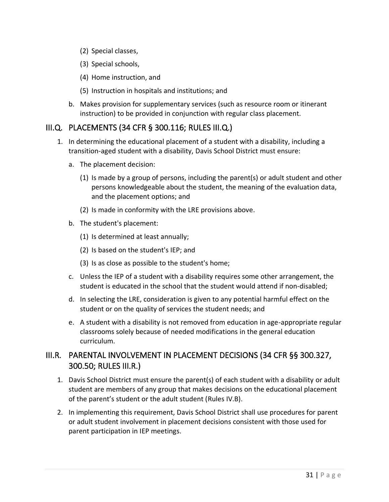- (2) Special classes,
- (3) Special schools,
- (4) Home instruction, and
- (5) Instruction in hospitals and institutions; and
- b. Makes provision for supplementary services (such as resource room or itinerant instruction) to be provided in conjunction with regular class placement.

#### III.Q. PLACEMENTS (34 CFR § 300.116; RULES III.Q.)

- 1. In determining the educational placement of a student with a disability, including a transition-aged student with a disability, Davis School District must ensure:
	- a. The placement decision:
		- (1) Is made by a group of persons, including the parent(s) or adult student and other persons knowledgeable about the student, the meaning of the evaluation data, and the placement options; and
		- (2) Is made in conformity with the LRE provisions above.
	- b. The student's placement:
		- (1) Is determined at least annually;
		- (2) Is based on the student's IEP; and
		- (3) Is as close as possible to the student's home;
	- c. Unless the IEP of a student with a disability requires some other arrangement, the student is educated in the school that the student would attend if non-disabled;
	- d. In selecting the LRE, consideration is given to any potential harmful effect on the student or on the quality of services the student needs; and
	- e. A student with a disability is not removed from education in age-appropriate regular classrooms solely because of needed modifications in the general education curriculum.

### III.R. PARENTAL INVOLVEMENT IN PLACEMENT DECISIONS (34 CFR §§ 300.327, 300.50; RULES III.R.)

- 1. Davis School District must ensure the parent(s) of each student with a disability or adult student are members of any group that makes decisions on the educational placement of the parent's student or the adult student (Rules IV.B).
- 2. In implementing this requirement, Davis School District shall use procedures for parent or adult student involvement in placement decisions consistent with those used for parent participation in IEP meetings.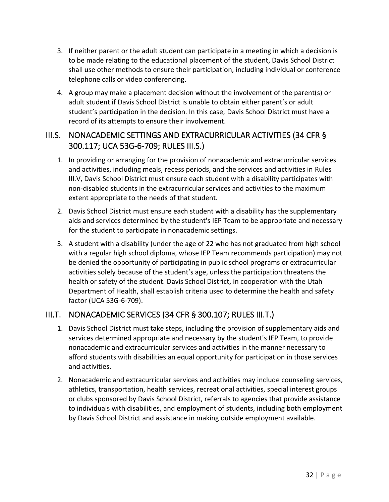- 3. If neither parent or the adult student can participate in a meeting in which a decision is to be made relating to the educational placement of the student, Davis School District shall use other methods to ensure their participation, including individual or conference telephone calls or video conferencing.
- 4. A group may make a placement decision without the involvement of the parent(s) or adult student if Davis School District is unable to obtain either parent's or adult student's participation in the decision. In this case, Davis School District must have a record of its attempts to ensure their involvement.

# III.S. NONACADEMIC SETTINGS AND EXTRACURRICULAR ACTIVITIES (34 CFR § 300.117; UCA 53G-6-709; RULES III.S.)

- 1. In providing or arranging for the provision of nonacademic and extracurricular services and activities, including meals, recess periods, and the services and activities in Rules III.V, Davis School District must ensure each student with a disability participates with non-disabled students in the extracurricular services and activities to the maximum extent appropriate to the needs of that student.
- 2. Davis School District must ensure each student with a disability has the supplementary aids and services determined by the student's IEP Team to be appropriate and necessary for the student to participate in nonacademic settings.
- 3. A student with a disability (under the age of 22 who has not graduated from high school with a regular high school diploma, whose IEP Team recommends participation) may not be denied the opportunity of participating in public school programs or extracurricular activities solely because of the student's age, unless the participation threatens the health or safety of the student. Davis School District, in cooperation with the Utah Department of Health, shall establish criteria used to determine the health and safety factor (UCA 53G-6-709).

# III.T. NONACADEMIC SERVICES (34 CFR § 300.107; RULES III.T.)

- 1. Davis School District must take steps, including the provision of supplementary aids and services determined appropriate and necessary by the student's IEP Team, to provide nonacademic and extracurricular services and activities in the manner necessary to afford students with disabilities an equal opportunity for participation in those services and activities.
- 2. Nonacademic and extracurricular services and activities may include counseling services, athletics, transportation, health services, recreational activities, special interest groups or clubs sponsored by Davis School District, referrals to agencies that provide assistance to individuals with disabilities, and employment of students, including both employment by Davis School District and assistance in making outside employment available.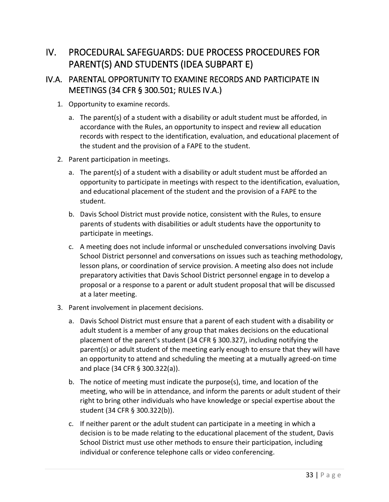# IV. PROCEDURAL SAFEGUARDS: DUE PROCESS PROCEDURES FOR PARENT(S) AND STUDENTS (IDEA SUBPART E)

# IV.A. PARENTAL OPPORTUNITY TO EXAMINE RECORDS AND PARTICIPATE IN MEETINGS (34 CFR § 300.501; RULES IV.A.)

- 1. Opportunity to examine records.
	- a. The parent(s) of a student with a disability or adult student must be afforded, in accordance with the Rules, an opportunity to inspect and review all education records with respect to the identification, evaluation, and educational placement of the student and the provision of a FAPE to the student.
- 2. Parent participation in meetings.
	- a. The parent(s) of a student with a disability or adult student must be afforded an opportunity to participate in meetings with respect to the identification, evaluation, and educational placement of the student and the provision of a FAPE to the student.
	- b. Davis School District must provide notice, consistent with the Rules, to ensure parents of students with disabilities or adult students have the opportunity to participate in meetings.
	- c. A meeting does not include informal or unscheduled conversations involving Davis School District personnel and conversations on issues such as teaching methodology, lesson plans, or coordination of service provision. A meeting also does not include preparatory activities that Davis School District personnel engage in to develop a proposal or a response to a parent or adult student proposal that will be discussed at a later meeting.
- 3. Parent involvement in placement decisions.
	- a. Davis School District must ensure that a parent of each student with a disability or adult student is a member of any group that makes decisions on the educational placement of the parent's student (34 CFR § 300.327), including notifying the parent(s) or adult student of the meeting early enough to ensure that they will have an opportunity to attend and scheduling the meeting at a mutually agreed-on time and place (34 CFR § 300.322(a)).
	- b. The notice of meeting must indicate the purpose(s), time, and location of the meeting, who will be in attendance, and inform the parents or adult student of their right to bring other individuals who have knowledge or special expertise about the student (34 CFR § 300.322(b)).
	- c. If neither parent or the adult student can participate in a meeting in which a decision is to be made relating to the educational placement of the student, Davis School District must use other methods to ensure their participation, including individual or conference telephone calls or video conferencing.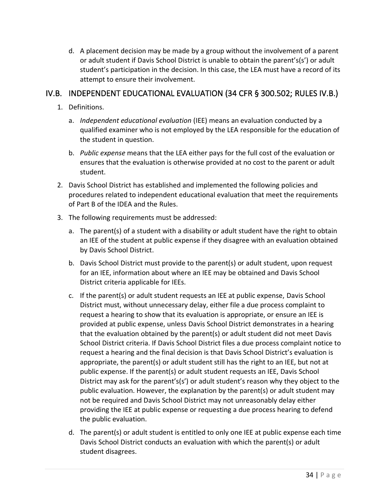d. A placement decision may be made by a group without the involvement of a parent or adult student if Davis School District is unable to obtain the parent's(s') or adult student's participation in the decision. In this case, the LEA must have a record of its attempt to ensure their involvement.

### IV.B. INDEPENDENT EDUCATIONAL EVALUATION (34 CFR § 300.502; RULES IV.B.)

- 1. Definitions.
	- a. *Independent educational evaluation* (IEE) means an evaluation conducted by a qualified examiner who is not employed by the LEA responsible for the education of the student in question.
	- b. *Public expense* means that the LEA either pays for the full cost of the evaluation or ensures that the evaluation is otherwise provided at no cost to the parent or adult student.
- 2. Davis School District has established and implemented the following policies and procedures related to independent educational evaluation that meet the requirements of Part B of the IDEA and the Rules.
- 3. The following requirements must be addressed:
	- a. The parent(s) of a student with a disability or adult student have the right to obtain an IEE of the student at public expense if they disagree with an evaluation obtained by Davis School District.
	- b. Davis School District must provide to the parent(s) or adult student, upon request for an IEE, information about where an IEE may be obtained and Davis School District criteria applicable for IEEs.
	- c. If the parent(s) or adult student requests an IEE at public expense, Davis School District must, without unnecessary delay, either file a due process complaint to request a hearing to show that its evaluation is appropriate, or ensure an IEE is provided at public expense, unless Davis School District demonstrates in a hearing that the evaluation obtained by the parent(s) or adult student did not meet Davis School District criteria. If Davis School District files a due process complaint notice to request a hearing and the final decision is that Davis School District's evaluation is appropriate, the parent(s) or adult student still has the right to an IEE, but not at public expense. If the parent(s) or adult student requests an IEE, Davis School District may ask for the parent's(s') or adult student's reason why they object to the public evaluation. However, the explanation by the parent(s) or adult student may not be required and Davis School District may not unreasonably delay either providing the IEE at public expense or requesting a due process hearing to defend the public evaluation.
	- d. The parent(s) or adult student is entitled to only one IEE at public expense each time Davis School District conducts an evaluation with which the parent(s) or adult student disagrees.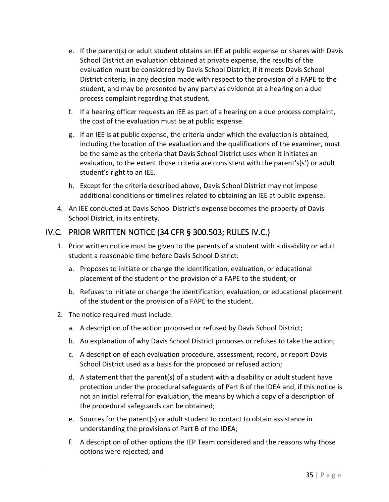- e. If the parent(s) or adult student obtains an IEE at public expense or shares with Davis School District an evaluation obtained at private expense, the results of the evaluation must be considered by Davis School District, if it meets Davis School District criteria, in any decision made with respect to the provision of a FAPE to the student, and may be presented by any party as evidence at a hearing on a due process complaint regarding that student.
- f. If a hearing officer requests an IEE as part of a hearing on a due process complaint, the cost of the evaluation must be at public expense.
- g. If an IEE is at public expense, the criteria under which the evaluation is obtained, including the location of the evaluation and the qualifications of the examiner, must be the same as the criteria that Davis School District uses when it initiates an evaluation, to the extent those criteria are consistent with the parent's(s') or adult student's right to an IEE.
- h. Except for the criteria described above, Davis School District may not impose additional conditions or timelines related to obtaining an IEE at public expense.
- 4. An IEE conducted at Davis School District's expense becomes the property of Davis School District, in its entirety.

# IV.C. PRIOR WRITTEN NOTICE (34 CFR § 300.503; RULES IV.C.)

- 1. Prior written notice must be given to the parents of a student with a disability or adult student a reasonable time before Davis School District:
	- a. Proposes to initiate or change the identification, evaluation, or educational placement of the student or the provision of a FAPE to the student; or
	- b. Refuses to initiate or change the identification, evaluation, or educational placement of the student or the provision of a FAPE to the student.
- 2. The notice required must include:
	- a. A description of the action proposed or refused by Davis School District;
	- b. An explanation of why Davis School District proposes or refuses to take the action;
	- c. A description of each evaluation procedure, assessment, record, or report Davis School District used as a basis for the proposed or refused action;
	- d. A statement that the parent(s) of a student with a disability or adult student have protection under the procedural safeguards of Part B of the IDEA and, if this notice is not an initial referral for evaluation, the means by which a copy of a description of the procedural safeguards can be obtained;
	- e. Sources for the parent(s) or adult student to contact to obtain assistance in understanding the provisions of Part B of the IDEA;
	- f. A description of other options the IEP Team considered and the reasons why those options were rejected; and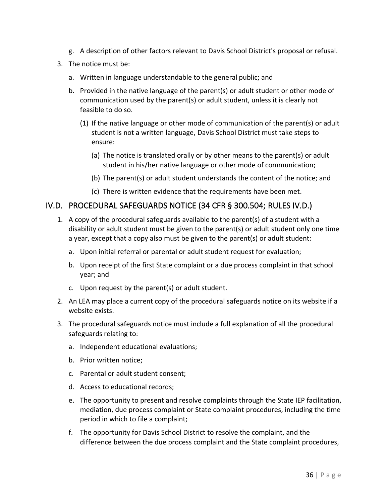- g. A description of other factors relevant to Davis School District's proposal or refusal.
- 3. The notice must be:
	- a. Written in language understandable to the general public; and
	- b. Provided in the native language of the parent(s) or adult student or other mode of communication used by the parent(s) or adult student, unless it is clearly not feasible to do so.
		- (1) If the native language or other mode of communication of the parent(s) or adult student is not a written language, Davis School District must take steps to ensure:
			- (a) The notice is translated orally or by other means to the parent(s) or adult student in his/her native language or other mode of communication;
			- (b) The parent(s) or adult student understands the content of the notice; and
			- (c) There is written evidence that the requirements have been met.

#### IV.D. PROCEDURAL SAFEGUARDS NOTICE (34 CFR § 300.504; RULES IV.D.)

- 1. A copy of the procedural safeguards available to the parent(s) of a student with a disability or adult student must be given to the parent(s) or adult student only one time a year, except that a copy also must be given to the parent(s) or adult student:
	- a. Upon initial referral or parental or adult student request for evaluation;
	- b. Upon receipt of the first State complaint or a due process complaint in that school year; and
	- c. Upon request by the parent(s) or adult student.
- 2. An LEA may place a current copy of the procedural safeguards notice on its website if a website exists.
- 3. The procedural safeguards notice must include a full explanation of all the procedural safeguards relating to:
	- a. Independent educational evaluations;
	- b. Prior written notice;
	- c. Parental or adult student consent;
	- d. Access to educational records;
	- e. The opportunity to present and resolve complaints through the State IEP facilitation, mediation, due process complaint or State complaint procedures, including the time period in which to file a complaint;
	- f. The opportunity for Davis School District to resolve the complaint, and the difference between the due process complaint and the State complaint procedures,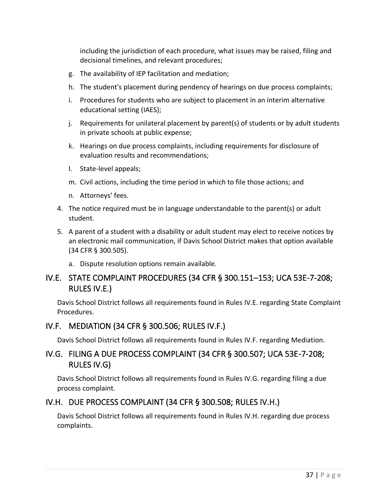including the jurisdiction of each procedure, what issues may be raised, filing and decisional timelines, and relevant procedures;

- g. The availability of IEP facilitation and mediation;
- h. The student's placement during pendency of hearings on due process complaints;
- i. Procedures for students who are subject to placement in an interim alternative educational setting (IAES);
- j. Requirements for unilateral placement by parent(s) of students or by adult students in private schools at public expense;
- k. Hearings on due process complaints, including requirements for disclosure of evaluation results and recommendations;
- l. State-level appeals;
- m. Civil actions, including the time period in which to file those actions; and
- n. Attorneys' fees.
- 4. The notice required must be in language understandable to the parent(s) or adult student.
- 5. A parent of a student with a disability or adult student may elect to receive notices by an electronic mail communication, if Davis School District makes that option available (34 CFR § 300.505).
	- a. Dispute resolution options remain available.

# IV.E. STATE COMPLAINT PROCEDURES (34 CFR § 300.151–153; UCA 53E-7-208; RULES IV.E.)

Davis School District follows all requirements found in Rules IV.E. regarding State Complaint Procedures.

# IV.F. MEDIATION (34 CFR § 300.506; RULES IV.F.)

Davis School District follows all requirements found in Rules IV.F. regarding Mediation.

### IV.G. FILING A DUE PROCESS COMPLAINT (34 CFR § 300.507; UCA 53E-7-208; RULES IV.G)

Davis School District follows all requirements found in Rules IV.G. regarding filing a due process complaint.

# IV.H. DUE PROCESS COMPLAINT (34 CFR § 300.508; RULES IV.H.)

Davis School District follows all requirements found in Rules IV.H. regarding due process complaints.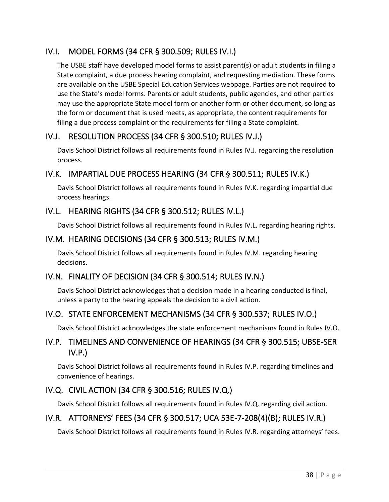# IV.I. MODEL FORMS (34 CFR § 300.509; RULES IV.I.)

The USBE staff have developed model forms to assist parent(s) or adult students in filing a State complaint, a due process hearing complaint, and requesting mediation. These forms are available on the USBE Special Education Services webpage. Parties are not required to use the State's model forms. Parents or adult students, public agencies, and other parties may use the appropriate State model form or another form or other document, so long as the form or document that is used meets, as appropriate, the content requirements for filing a due process complaint or the requirements for filing a State complaint.

### IV.J. RESOLUTION PROCESS (34 CFR § 300.510; RULES IV.J.)

Davis School District follows all requirements found in Rules IV.J. regarding the resolution process.

# IV.K. IMPARTIAL DUE PROCESS HEARING (34 CFR § 300.511; RULES IV.K.)

Davis School District follows all requirements found in Rules IV.K. regarding impartial due process hearings.

### IV.L. HEARING RIGHTS (34 CFR § 300.512; RULES IV.L.)

Davis School District follows all requirements found in Rules IV.L. regarding hearing rights.

#### IV.M. HEARING DECISIONS (34 CFR § 300.513; RULES IV.M.)

Davis School District follows all requirements found in Rules IV.M. regarding hearing decisions.

# IV.N. FINALITY OF DECISION (34 CFR § 300.514; RULES IV.N.)

Davis School District acknowledges that a decision made in a hearing conducted is final, unless a party to the hearing appeals the decision to a civil action.

#### IV.O. STATE ENFORCEMENT MECHANISMS (34 CFR § 300.537; RULES IV.O.)

Davis School District acknowledges the state enforcement mechanisms found in Rules IV.O.

### IV.P. TIMELINES AND CONVENIENCE OF HEARINGS (34 CFR § 300.515; UBSE-SER IV.P.)

Davis School District follows all requirements found in Rules IV.P. regarding timelines and convenience of hearings.

#### IV.Q. CIVIL ACTION (34 CFR § 300.516; RULES IV.Q.)

Davis School District follows all requirements found in Rules IV.Q. regarding civil action.

# IV.R. ATTORNEYS' FEES (34 CFR § 300.517; UCA 53E-7-208(4)(B); RULES IV.R.)

Davis School District follows all requirements found in Rules IV.R. regarding attorneys' fees.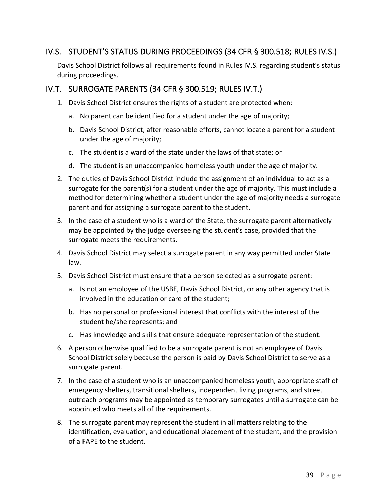### IV.S. STUDENT'S STATUS DURING PROCEEDINGS (34 CFR § 300.518; RULES IV.S.)

Davis School District follows all requirements found in Rules IV.S. regarding student's status during proceedings.

#### IV.T. SURROGATE PARENTS (34 CFR § 300.519; RULES IV.T.)

- 1. Davis School District ensures the rights of a student are protected when:
	- a. No parent can be identified for a student under the age of majority;
	- b. Davis School District, after reasonable efforts, cannot locate a parent for a student under the age of majority;
	- c. The student is a ward of the state under the laws of that state; or
	- d. The student is an unaccompanied homeless youth under the age of majority.
- 2. The duties of Davis School District include the assignment of an individual to act as a surrogate for the parent(s) for a student under the age of majority. This must include a method for determining whether a student under the age of majority needs a surrogate parent and for assigning a surrogate parent to the student.
- 3. In the case of a student who is a ward of the State, the surrogate parent alternatively may be appointed by the judge overseeing the student's case, provided that the surrogate meets the requirements.
- 4. Davis School District may select a surrogate parent in any way permitted under State law.
- 5. Davis School District must ensure that a person selected as a surrogate parent:
	- a. Is not an employee of the USBE, Davis School District, or any other agency that is involved in the education or care of the student;
	- b. Has no personal or professional interest that conflicts with the interest of the student he/she represents; and
	- c. Has knowledge and skills that ensure adequate representation of the student.
- 6. A person otherwise qualified to be a surrogate parent is not an employee of Davis School District solely because the person is paid by Davis School District to serve as a surrogate parent.
- 7. In the case of a student who is an unaccompanied homeless youth, appropriate staff of emergency shelters, transitional shelters, independent living programs, and street outreach programs may be appointed as temporary surrogates until a surrogate can be appointed who meets all of the requirements.
- 8. The surrogate parent may represent the student in all matters relating to the identification, evaluation, and educational placement of the student, and the provision of a FAPE to the student.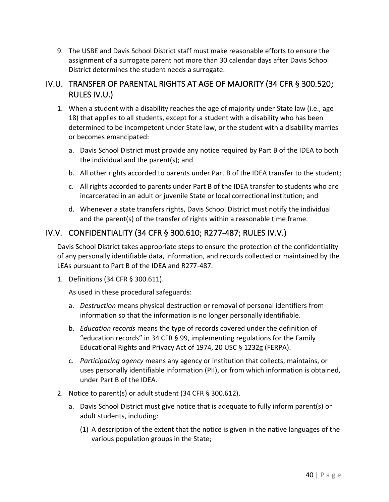9. The USBE and Davis School District staff must make reasonable efforts to ensure the assignment of a surrogate parent not more than 30 calendar days after Davis School District determines the student needs a surrogate.

### IV.U. TRANSFER OF PARENTAL RIGHTS AT AGE OF MAJORITY (34 CFR § 300.520; RULES IV.U.)

- 1. When a student with a disability reaches the age of majority under State law (i.e., age 18) that applies to all students, except for a student with a disability who has been determined to be incompetent under State law, or the student with a disability marries or becomes emancipated:
	- a. Davis School District must provide any notice required by Part B of the IDEA to both the individual and the parent(s); and
	- b. All other rights accorded to parents under Part B of the IDEA transfer to the student;
	- c. All rights accorded to parents under Part B of the IDEA transfer to students who are incarcerated in an adult or juvenile State or local correctional institution; and
	- d. Whenever a state transfers rights, Davis School District must notify the individual and the parent(s) of the transfer of rights within a reasonable time frame.

# IV.V. CONFIDENTIALITY (34 CFR § 300.610; R277-487; RULES IV.V.)

Davis School District takes appropriate steps to ensure the protection of the confidentiality of any personally identifiable data, information, and records collected or maintained by the LEAs pursuant to Part B of the IDEA and R277-487.

1. Definitions (34 CFR § 300.611).

As used in these procedural safeguards:

- a. *Destruction* means physical destruction or removal of personal identifiers from information so that the information is no longer personally identifiable.
- b. *Education records* means the type of records covered under the definition of "education records" in 34 CFR § 99, implementing regulations for the Family Educational Rights and Privacy Act of 1974, 20 USC § 1232g (FERPA).
- c. *Participating agency* means any agency or institution that collects, maintains, or uses personally identifiable information (PII), or from which information is obtained, under Part B of the IDEA.
- 2. Notice to parent(s) or adult student (34 CFR § 300.612).
	- a. Davis School District must give notice that is adequate to fully inform parent(s) or adult students, including:
		- (1) A description of the extent that the notice is given in the native languages of the various population groups in the State;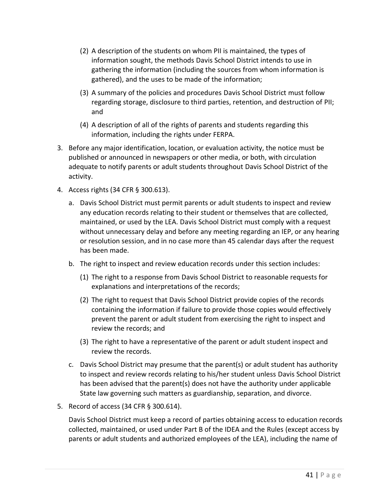- (2) A description of the students on whom PII is maintained, the types of information sought, the methods Davis School District intends to use in gathering the information (including the sources from whom information is gathered), and the uses to be made of the information;
- (3) A summary of the policies and procedures Davis School District must follow regarding storage, disclosure to third parties, retention, and destruction of PII; and
- (4) A description of all of the rights of parents and students regarding this information, including the rights under FERPA.
- 3. Before any major identification, location, or evaluation activity, the notice must be published or announced in newspapers or other media, or both, with circulation adequate to notify parents or adult students throughout Davis School District of the activity.
- 4. Access rights (34 CFR § 300.613).
	- a. Davis School District must permit parents or adult students to inspect and review any education records relating to their student or themselves that are collected, maintained, or used by the LEA. Davis School District must comply with a request without unnecessary delay and before any meeting regarding an IEP, or any hearing or resolution session, and in no case more than 45 calendar days after the request has been made.
	- b. The right to inspect and review education records under this section includes:
		- (1) The right to a response from Davis School District to reasonable requests for explanations and interpretations of the records;
		- (2) The right to request that Davis School District provide copies of the records containing the information if failure to provide those copies would effectively prevent the parent or adult student from exercising the right to inspect and review the records; and
		- (3) The right to have a representative of the parent or adult student inspect and review the records.
	- c. Davis School District may presume that the parent(s) or adult student has authority to inspect and review records relating to his/her student unless Davis School District has been advised that the parent(s) does not have the authority under applicable State law governing such matters as guardianship, separation, and divorce.
- 5. Record of access (34 CFR § 300.614).

Davis School District must keep a record of parties obtaining access to education records collected, maintained, or used under Part B of the IDEA and the Rules (except access by parents or adult students and authorized employees of the LEA), including the name of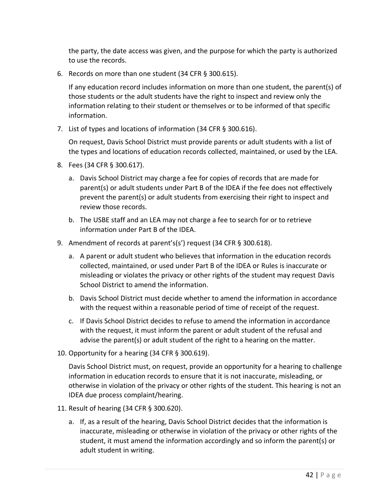the party, the date access was given, and the purpose for which the party is authorized to use the records.

6. Records on more than one student (34 CFR § 300.615).

If any education record includes information on more than one student, the parent(s) of those students or the adult students have the right to inspect and review only the information relating to their student or themselves or to be informed of that specific information.

7. List of types and locations of information (34 CFR § 300.616).

On request, Davis School District must provide parents or adult students with a list of the types and locations of education records collected, maintained, or used by the LEA.

- 8. Fees (34 CFR § 300.617).
	- a. Davis School District may charge a fee for copies of records that are made for parent(s) or adult students under Part B of the IDEA if the fee does not effectively prevent the parent(s) or adult students from exercising their right to inspect and review those records.
	- b. The USBE staff and an LEA may not charge a fee to search for or to retrieve information under Part B of the IDEA.
- 9. Amendment of records at parent's(s') request (34 CFR § 300.618).
	- a. A parent or adult student who believes that information in the education records collected, maintained, or used under Part B of the IDEA or Rules is inaccurate or misleading or violates the privacy or other rights of the student may request Davis School District to amend the information.
	- b. Davis School District must decide whether to amend the information in accordance with the request within a reasonable period of time of receipt of the request.
	- c. If Davis School District decides to refuse to amend the information in accordance with the request, it must inform the parent or adult student of the refusal and advise the parent(s) or adult student of the right to a hearing on the matter.
- 10. Opportunity for a hearing (34 CFR § 300.619).

Davis School District must, on request, provide an opportunity for a hearing to challenge information in education records to ensure that it is not inaccurate, misleading, or otherwise in violation of the privacy or other rights of the student. This hearing is not an IDEA due process complaint/hearing.

- 11. Result of hearing (34 CFR § 300.620).
	- a. If, as a result of the hearing, Davis School District decides that the information is inaccurate, misleading or otherwise in violation of the privacy or other rights of the student, it must amend the information accordingly and so inform the parent(s) or adult student in writing.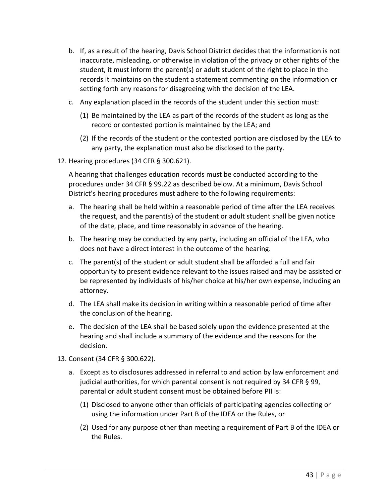- b. If, as a result of the hearing, Davis School District decides that the information is not inaccurate, misleading, or otherwise in violation of the privacy or other rights of the student, it must inform the parent(s) or adult student of the right to place in the records it maintains on the student a statement commenting on the information or setting forth any reasons for disagreeing with the decision of the LEA.
- c. Any explanation placed in the records of the student under this section must:
	- (1) Be maintained by the LEA as part of the records of the student as long as the record or contested portion is maintained by the LEA; and
	- (2) If the records of the student or the contested portion are disclosed by the LEA to any party, the explanation must also be disclosed to the party.
- 12. Hearing procedures (34 CFR § 300.621).

A hearing that challenges education records must be conducted according to the procedures under 34 CFR § 99.22 as described below. At a minimum, Davis School District's hearing procedures must adhere to the following requirements:

- a. The hearing shall be held within a reasonable period of time after the LEA receives the request, and the parent(s) of the student or adult student shall be given notice of the date, place, and time reasonably in advance of the hearing.
- b. The hearing may be conducted by any party, including an official of the LEA, who does not have a direct interest in the outcome of the hearing.
- c. The parent(s) of the student or adult student shall be afforded a full and fair opportunity to present evidence relevant to the issues raised and may be assisted or be represented by individuals of his/her choice at his/her own expense, including an attorney.
- d. The LEA shall make its decision in writing within a reasonable period of time after the conclusion of the hearing.
- e. The decision of the LEA shall be based solely upon the evidence presented at the hearing and shall include a summary of the evidence and the reasons for the decision.
- 13. Consent (34 CFR § 300.622).
	- a. Except as to disclosures addressed in referral to and action by law enforcement and judicial authorities, for which parental consent is not required by 34 CFR § 99, parental or adult student consent must be obtained before PII is:
		- (1) Disclosed to anyone other than officials of participating agencies collecting or using the information under Part B of the IDEA or the Rules, or
		- (2) Used for any purpose other than meeting a requirement of Part B of the IDEA or the Rules.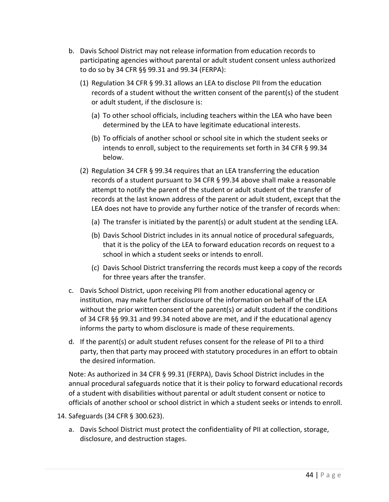- b. Davis School District may not release information from education records to participating agencies without parental or adult student consent unless authorized to do so by 34 CFR §§ 99.31 and 99.34 (FERPA):
	- (1) Regulation 34 CFR § 99.31 allows an LEA to disclose PII from the education records of a student without the written consent of the parent(s) of the student or adult student, if the disclosure is:
		- (a) To other school officials, including teachers within the LEA who have been determined by the LEA to have legitimate educational interests.
		- (b) To officials of another school or school site in which the student seeks or intends to enroll, subject to the requirements set forth in 34 CFR § 99.34 below.
	- (2) Regulation 34 CFR § 99.34 requires that an LEA transferring the education records of a student pursuant to 34 CFR § 99.34 above shall make a reasonable attempt to notify the parent of the student or adult student of the transfer of records at the last known address of the parent or adult student, except that the LEA does not have to provide any further notice of the transfer of records when:
		- (a) The transfer is initiated by the parent(s) or adult student at the sending LEA.
		- (b) Davis School District includes in its annual notice of procedural safeguards, that it is the policy of the LEA to forward education records on request to a school in which a student seeks or intends to enroll.
		- (c) Davis School District transferring the records must keep a copy of the records for three years after the transfer.
- c. Davis School District, upon receiving PII from another educational agency or institution, may make further disclosure of the information on behalf of the LEA without the prior written consent of the parent(s) or adult student if the conditions of 34 CFR §§ 99.31 and 99.34 noted above are met, and if the educational agency informs the party to whom disclosure is made of these requirements.
- d. If the parent(s) or adult student refuses consent for the release of PII to a third party, then that party may proceed with statutory procedures in an effort to obtain the desired information.

Note: As authorized in 34 CFR § 99.31 (FERPA), Davis School District includes in the annual procedural safeguards notice that it is their policy to forward educational records of a student with disabilities without parental or adult student consent or notice to officials of another school or school district in which a student seeks or intends to enroll.

- 14. Safeguards (34 CFR § 300.623).
	- a. Davis School District must protect the confidentiality of PII at collection, storage, disclosure, and destruction stages.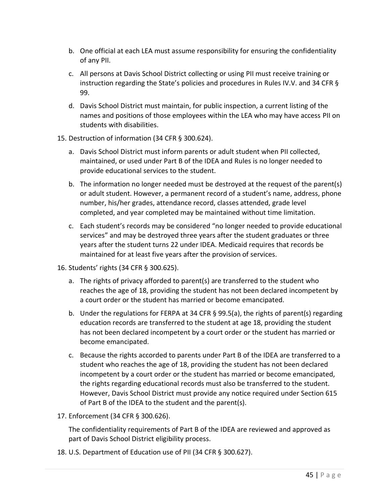- b. One official at each LEA must assume responsibility for ensuring the confidentiality of any PII.
- c. All persons at Davis School District collecting or using PII must receive training or instruction regarding the State's policies and procedures in Rules IV.V. and 34 CFR § 99.
- d. Davis School District must maintain, for public inspection, a current listing of the names and positions of those employees within the LEA who may have access PII on students with disabilities.
- 15. Destruction of information (34 CFR § 300.624).
	- a. Davis School District must inform parents or adult student when PII collected, maintained, or used under Part B of the IDEA and Rules is no longer needed to provide educational services to the student.
	- b. The information no longer needed must be destroyed at the request of the parent(s) or adult student. However, a permanent record of a student's name, address, phone number, his/her grades, attendance record, classes attended, grade level completed, and year completed may be maintained without time limitation.
	- c. Each student's records may be considered "no longer needed to provide educational services" and may be destroyed three years after the student graduates or three years after the student turns 22 under IDEA. Medicaid requires that records be maintained for at least five years after the provision of services.
- 16. Students' rights (34 CFR § 300.625).
	- a. The rights of privacy afforded to parent(s) are transferred to the student who reaches the age of 18, providing the student has not been declared incompetent by a court order or the student has married or become emancipated.
	- b. Under the regulations for FERPA at 34 CFR § 99.5(a), the rights of parent(s) regarding education records are transferred to the student at age 18, providing the student has not been declared incompetent by a court order or the student has married or become emancipated.
	- c. Because the rights accorded to parents under Part B of the IDEA are transferred to a student who reaches the age of 18, providing the student has not been declared incompetent by a court order or the student has married or become emancipated, the rights regarding educational records must also be transferred to the student. However, Davis School District must provide any notice required under Section 615 of Part B of the IDEA to the student and the parent(s).
- 17. Enforcement (34 CFR § 300.626).

The confidentiality requirements of Part B of the IDEA are reviewed and approved as part of Davis School District eligibility process.

18. U.S. Department of Education use of PII (34 CFR § 300.627).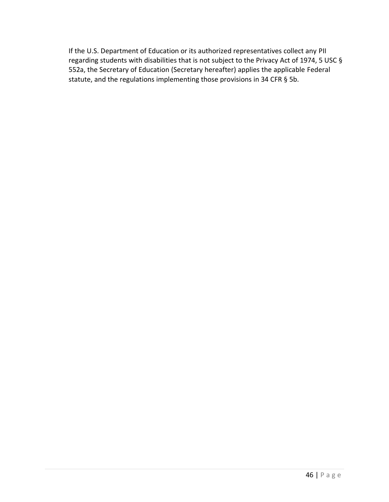If the U.S. Department of Education or its authorized representatives collect any PII regarding students with disabilities that is not subject to the Privacy Act of 1974, 5 USC § 552a, the Secretary of Education (Secretary hereafter) applies the applicable Federal statute, and the regulations implementing those provisions in 34 CFR § 5b.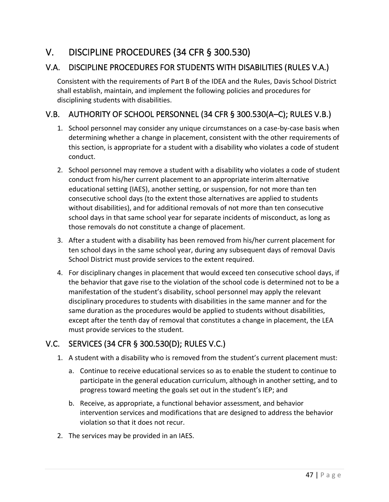# V. DISCIPLINE PROCEDURES (34 CFR § 300.530)

# V.A. DISCIPLINE PROCEDURES FOR STUDENTS WITH DISABILITIES (RULES V.A.)

Consistent with the requirements of Part B of the IDEA and the Rules, Davis School District shall establish, maintain, and implement the following policies and procedures for disciplining students with disabilities.

# V.B. AUTHORITY OF SCHOOL PERSONNEL (34 CFR § 300.530(A–C); RULES V.B.)

- 1. School personnel may consider any unique circumstances on a case-by-case basis when determining whether a change in placement, consistent with the other requirements of this section, is appropriate for a student with a disability who violates a code of student conduct.
- 2. School personnel may remove a student with a disability who violates a code of student conduct from his/her current placement to an appropriate interim alternative educational setting (IAES), another setting, or suspension, for not more than ten consecutive school days (to the extent those alternatives are applied to students without disabilities), and for additional removals of not more than ten consecutive school days in that same school year for separate incidents of misconduct, as long as those removals do not constitute a change of placement.
- 3. After a student with a disability has been removed from his/her current placement for ten school days in the same school year, during any subsequent days of removal Davis School District must provide services to the extent required.
- 4. For disciplinary changes in placement that would exceed ten consecutive school days, if the behavior that gave rise to the violation of the school code is determined not to be a manifestation of the student's disability, school personnel may apply the relevant disciplinary procedures to students with disabilities in the same manner and for the same duration as the procedures would be applied to students without disabilities, except after the tenth day of removal that constitutes a change in placement, the LEA must provide services to the student.

# V.C. SERVICES (34 CFR § 300.530(D); RULES V.C.)

- 1. A student with a disability who is removed from the student's current placement must:
	- a. Continue to receive educational services so as to enable the student to continue to participate in the general education curriculum, although in another setting, and to progress toward meeting the goals set out in the student's IEP; and
	- b. Receive, as appropriate, a functional behavior assessment, and behavior intervention services and modifications that are designed to address the behavior violation so that it does not recur.
- 2. The services may be provided in an IAES.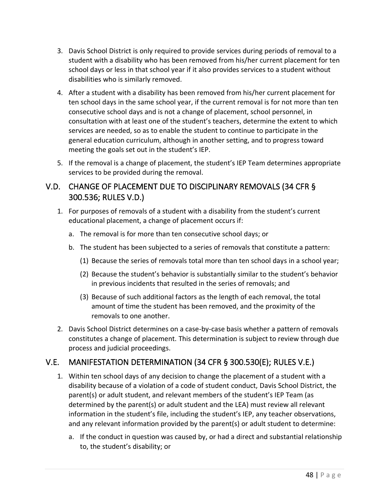- 3. Davis School District is only required to provide services during periods of removal to a student with a disability who has been removed from his/her current placement for ten school days or less in that school year if it also provides services to a student without disabilities who is similarly removed.
- 4. After a student with a disability has been removed from his/her current placement for ten school days in the same school year, if the current removal is for not more than ten consecutive school days and is not a change of placement, school personnel, in consultation with at least one of the student's teachers, determine the extent to which services are needed, so as to enable the student to continue to participate in the general education curriculum, although in another setting, and to progress toward meeting the goals set out in the student's IEP.
- 5. If the removal is a change of placement, the student's IEP Team determines appropriate services to be provided during the removal.

### V.D. CHANGE OF PLACEMENT DUE TO DISCIPLINARY REMOVALS (34 CFR § 300.536; RULES V.D.)

- 1. For purposes of removals of a student with a disability from the student's current educational placement, a change of placement occurs if:
	- a. The removal is for more than ten consecutive school days; or
	- b. The student has been subjected to a series of removals that constitute a pattern:
		- (1) Because the series of removals total more than ten school days in a school year;
		- (2) Because the student's behavior is substantially similar to the student's behavior in previous incidents that resulted in the series of removals; and
		- (3) Because of such additional factors as the length of each removal, the total amount of time the student has been removed, and the proximity of the removals to one another.
- 2. Davis School District determines on a case-by-case basis whether a pattern of removals constitutes a change of placement. This determination is subject to review through due process and judicial proceedings.

# V.E. MANIFESTATION DETERMINATION (34 CFR § 300.530(E); RULES V.E.)

- 1. Within ten school days of any decision to change the placement of a student with a disability because of a violation of a code of student conduct, Davis School District, the parent(s) or adult student, and relevant members of the student's IEP Team (as determined by the parent(s) or adult student and the LEA) must review all relevant information in the student's file, including the student's IEP, any teacher observations, and any relevant information provided by the parent(s) or adult student to determine:
	- a. If the conduct in question was caused by, or had a direct and substantial relationship to, the student's disability; or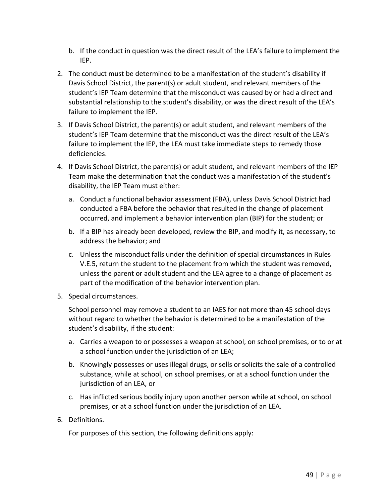- b. If the conduct in question was the direct result of the LEA's failure to implement the IEP.
- 2. The conduct must be determined to be a manifestation of the student's disability if Davis School District, the parent(s) or adult student, and relevant members of the student's IEP Team determine that the misconduct was caused by or had a direct and substantial relationship to the student's disability, or was the direct result of the LEA's failure to implement the IEP.
- 3. If Davis School District, the parent(s) or adult student, and relevant members of the student's IEP Team determine that the misconduct was the direct result of the LEA's failure to implement the IEP, the LEA must take immediate steps to remedy those deficiencies.
- 4. If Davis School District, the parent(s) or adult student, and relevant members of the IEP Team make the determination that the conduct was a manifestation of the student's disability, the IEP Team must either:
	- a. Conduct a functional behavior assessment (FBA), unless Davis School District had conducted a FBA before the behavior that resulted in the change of placement occurred, and implement a behavior intervention plan (BIP) for the student; or
	- b. If a BIP has already been developed, review the BIP, and modify it, as necessary, to address the behavior; and
	- c. Unless the misconduct falls under the definition of special circumstances in Rules V.E.5, return the student to the placement from which the student was removed, unless the parent or adult student and the LEA agree to a change of placement as part of the modification of the behavior intervention plan.
- 5. Special circumstances.

School personnel may remove a student to an IAES for not more than 45 school days without regard to whether the behavior is determined to be a manifestation of the student's disability, if the student:

- a. Carries a weapon to or possesses a weapon at school, on school premises, or to or at a school function under the jurisdiction of an LEA;
- b. Knowingly possesses or uses illegal drugs, or sells or solicits the sale of a controlled substance, while at school, on school premises, or at a school function under the jurisdiction of an LEA, or
- c. Has inflicted serious bodily injury upon another person while at school, on school premises, or at a school function under the jurisdiction of an LEA.
- 6. Definitions.

For purposes of this section, the following definitions apply: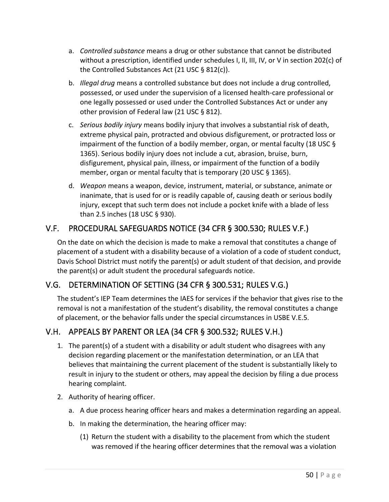- a. *Controlled substance* means a drug or other substance that cannot be distributed without a prescription, identified under schedules I, II, III, IV, or V in section 202(c) of the Controlled Substances Act (21 USC § 812(c)).
- b. *Illegal drug* means a controlled substance but does not include a drug controlled, possessed, or used under the supervision of a licensed health-care professional or one legally possessed or used under the Controlled Substances Act or under any other provision of Federal law (21 USC § 812).
- c. *Serious bodily injury* means bodily injury that involves a substantial risk of death, extreme physical pain, protracted and obvious disfigurement, or protracted loss or impairment of the function of a bodily member, organ, or mental faculty (18 USC § 1365). Serious bodily injury does not include a cut, abrasion, bruise, burn, disfigurement, physical pain, illness, or impairment of the function of a bodily member, organ or mental faculty that is temporary (20 USC § 1365).
- d. *Weapon* means a weapon, device, instrument, material, or substance, animate or inanimate, that is used for or is readily capable of, causing death or serious bodily injury, except that such term does not include a pocket knife with a blade of less than 2.5 inches (18 USC § 930).

# V.F. PROCEDURAL SAFEGUARDS NOTICE (34 CFR § 300.530; RULES V.F.)

On the date on which the decision is made to make a removal that constitutes a change of placement of a student with a disability because of a violation of a code of student conduct, Davis School District must notify the parent(s) or adult student of that decision, and provide the parent(s) or adult student the procedural safeguards notice.

# V.G. DETERMINATION OF SETTING (34 CFR § 300.531; RULES V.G.)

The student's IEP Team determines the IAES for services if the behavior that gives rise to the removal is not a manifestation of the student's disability, the removal constitutes a change of placement, or the behavior falls under the special circumstances in USBE V.E.5.

# V.H. APPEALS BY PARENT OR LEA (34 CFR § 300.532; RULES V.H.)

- 1. The parent(s) of a student with a disability or adult student who disagrees with any decision regarding placement or the manifestation determination, or an LEA that believes that maintaining the current placement of the student is substantially likely to result in injury to the student or others, may appeal the decision by filing a due process hearing complaint.
- 2. Authority of hearing officer.
	- a. A due process hearing officer hears and makes a determination regarding an appeal.
	- b. In making the determination, the hearing officer may:
		- (1) Return the student with a disability to the placement from which the student was removed if the hearing officer determines that the removal was a violation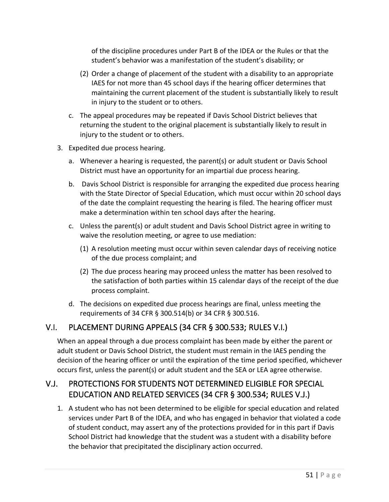of the discipline procedures under Part B of the IDEA or the Rules or that the student's behavior was a manifestation of the student's disability; or

- (2) Order a change of placement of the student with a disability to an appropriate IAES for not more than 45 school days if the hearing officer determines that maintaining the current placement of the student is substantially likely to result in injury to the student or to others.
- c. The appeal procedures may be repeated if Davis School District believes that returning the student to the original placement is substantially likely to result in injury to the student or to others.
- 3. Expedited due process hearing.
	- a. Whenever a hearing is requested, the parent(s) or adult student or Davis School District must have an opportunity for an impartial due process hearing.
	- b. Davis School District is responsible for arranging the expedited due process hearing with the State Director of Special Education, which must occur within 20 school days of the date the complaint requesting the hearing is filed. The hearing officer must make a determination within ten school days after the hearing.
	- c. Unless the parent(s) or adult student and Davis School District agree in writing to waive the resolution meeting, or agree to use mediation:
		- (1) A resolution meeting must occur within seven calendar days of receiving notice of the due process complaint; and
		- (2) The due process hearing may proceed unless the matter has been resolved to the satisfaction of both parties within 15 calendar days of the receipt of the due process complaint.
	- d. The decisions on expedited due process hearings are final, unless meeting the requirements of 34 CFR § 300.514(b) or 34 CFR § 300.516.

# V.I. PLACEMENT DURING APPEALS (34 CFR § 300.533; RULES V.I.)

When an appeal through a due process complaint has been made by either the parent or adult student or Davis School District, the student must remain in the IAES pending the decision of the hearing officer or until the expiration of the time period specified, whichever occurs first, unless the parent(s) or adult student and the SEA or LEA agree otherwise.

# V.J. PROTECTIONS FOR STUDENTS NOT DETERMINED ELIGIBLE FOR SPECIAL EDUCATION AND RELATED SERVICES (34 CFR § 300.534; RULES V.J.)

1. A student who has not been determined to be eligible for special education and related services under Part B of the IDEA, and who has engaged in behavior that violated a code of student conduct, may assert any of the protections provided for in this part if Davis School District had knowledge that the student was a student with a disability before the behavior that precipitated the disciplinary action occurred.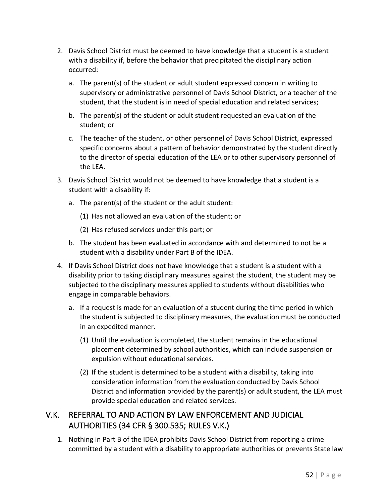- 2. Davis School District must be deemed to have knowledge that a student is a student with a disability if, before the behavior that precipitated the disciplinary action occurred:
	- a. The parent(s) of the student or adult student expressed concern in writing to supervisory or administrative personnel of Davis School District, or a teacher of the student, that the student is in need of special education and related services;
	- b. The parent(s) of the student or adult student requested an evaluation of the student; or
	- c. The teacher of the student, or other personnel of Davis School District, expressed specific concerns about a pattern of behavior demonstrated by the student directly to the director of special education of the LEA or to other supervisory personnel of the LEA.
- 3. Davis School District would not be deemed to have knowledge that a student is a student with a disability if:
	- a. The parent(s) of the student or the adult student:
		- (1) Has not allowed an evaluation of the student; or
		- (2) Has refused services under this part; or
	- b. The student has been evaluated in accordance with and determined to not be a student with a disability under Part B of the IDEA.
- 4. If Davis School District does not have knowledge that a student is a student with a disability prior to taking disciplinary measures against the student, the student may be subjected to the disciplinary measures applied to students without disabilities who engage in comparable behaviors.
	- a. If a request is made for an evaluation of a student during the time period in which the student is subjected to disciplinary measures, the evaluation must be conducted in an expedited manner.
		- (1) Until the evaluation is completed, the student remains in the educational placement determined by school authorities, which can include suspension or expulsion without educational services.
		- (2) If the student is determined to be a student with a disability, taking into consideration information from the evaluation conducted by Davis School District and information provided by the parent(s) or adult student, the LEA must provide special education and related services.

# V.K. REFERRAL TO AND ACTION BY LAW ENFORCEMENT AND JUDICIAL AUTHORITIES (34 CFR § 300.535; RULES V.K.)

1. Nothing in Part B of the IDEA prohibits Davis School District from reporting a crime committed by a student with a disability to appropriate authorities or prevents State law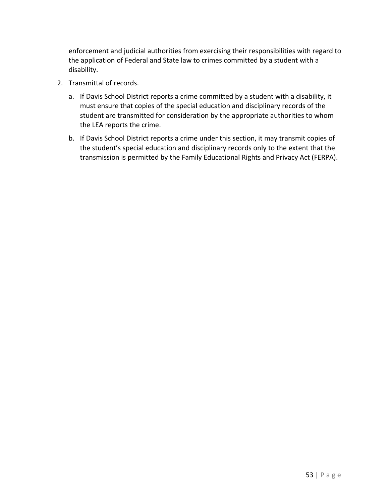enforcement and judicial authorities from exercising their responsibilities with regard to the application of Federal and State law to crimes committed by a student with a disability.

- 2. Transmittal of records.
	- a. If Davis School District reports a crime committed by a student with a disability, it must ensure that copies of the special education and disciplinary records of the student are transmitted for consideration by the appropriate authorities to whom the LEA reports the crime.
	- b. If Davis School District reports a crime under this section, it may transmit copies of the student's special education and disciplinary records only to the extent that the transmission is permitted by the Family Educational Rights and Privacy Act (FERPA).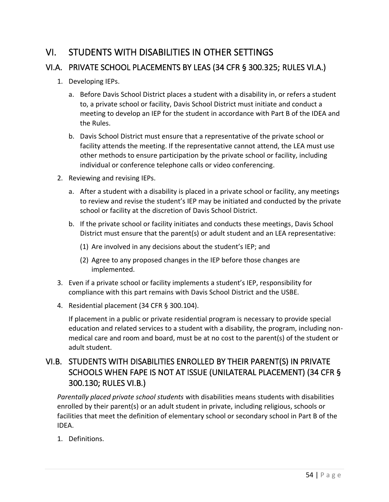# VI. STUDENTS WITH DISABILITIES IN OTHER SETTINGS

# VI.A. PRIVATE SCHOOL PLACEMENTS BY LEAS (34 CFR § 300.325; RULES VI.A.)

- 1. Developing IEPs.
	- a. Before Davis School District places a student with a disability in, or refers a student to, a private school or facility, Davis School District must initiate and conduct a meeting to develop an IEP for the student in accordance with Part B of the IDEA and the Rules.
	- b. Davis School District must ensure that a representative of the private school or facility attends the meeting. If the representative cannot attend, the LEA must use other methods to ensure participation by the private school or facility, including individual or conference telephone calls or video conferencing.
- 2. Reviewing and revising IEPs.
	- a. After a student with a disability is placed in a private school or facility, any meetings to review and revise the student's IEP may be initiated and conducted by the private school or facility at the discretion of Davis School District.
	- b. If the private school or facility initiates and conducts these meetings, Davis School District must ensure that the parent(s) or adult student and an LEA representative:
		- (1) Are involved in any decisions about the student's IEP; and
		- (2) Agree to any proposed changes in the IEP before those changes are implemented.
- 3. Even if a private school or facility implements a student's IEP, responsibility for compliance with this part remains with Davis School District and the USBE.
- 4. Residential placement (34 CFR § 300.104).

If placement in a public or private residential program is necessary to provide special education and related services to a student with a disability, the program, including nonmedical care and room and board, must be at no cost to the parent(s) of the student or adult student.

# VI.B. STUDENTS WITH DISABILITIES ENROLLED BY THEIR PARENT(S) IN PRIVATE SCHOOLS WHEN FAPE IS NOT AT ISSUE (UNILATERAL PLACEMENT) (34 CFR § 300.130; RULES VI.B.)

*Parentally placed private school students* with disabilities means students with disabilities enrolled by their parent(s) or an adult student in private, including religious, schools or facilities that meet the definition of elementary school or secondary school in Part B of the IDEA.

1. Definitions.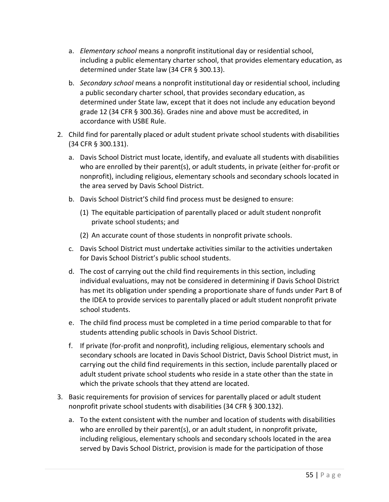- a. *Elementary school* means a nonprofit institutional day or residential school, including a public elementary charter school, that provides elementary education, as determined under State law (34 CFR § 300.13).
- b. *Secondary school* means a nonprofit institutional day or residential school, including a public secondary charter school, that provides secondary education, as determined under State law, except that it does not include any education beyond grade 12 (34 CFR § 300.36). Grades nine and above must be accredited, in accordance with USBE Rule.
- 2. Child find for parentally placed or adult student private school students with disabilities (34 CFR § 300.131).
	- a. Davis School District must locate, identify, and evaluate all students with disabilities who are enrolled by their parent(s), or adult students, in private (either for-profit or nonprofit), including religious, elementary schools and secondary schools located in the area served by Davis School District.
	- b. Davis School District'S child find process must be designed to ensure:
		- (1) The equitable participation of parentally placed or adult student nonprofit private school students; and
		- (2) An accurate count of those students in nonprofit private schools.
	- c. Davis School District must undertake activities similar to the activities undertaken for Davis School District's public school students.
	- d. The cost of carrying out the child find requirements in this section, including individual evaluations, may not be considered in determining if Davis School District has met its obligation under spending a proportionate share of funds under Part B of the IDEA to provide services to parentally placed or adult student nonprofit private school students.
	- e. The child find process must be completed in a time period comparable to that for students attending public schools in Davis School District.
	- f. If private (for-profit and nonprofit), including religious, elementary schools and secondary schools are located in Davis School District, Davis School District must, in carrying out the child find requirements in this section, include parentally placed or adult student private school students who reside in a state other than the state in which the private schools that they attend are located.
- 3. Basic requirements for provision of services for parentally placed or adult student nonprofit private school students with disabilities (34 CFR § 300.132).
	- a. To the extent consistent with the number and location of students with disabilities who are enrolled by their parent(s), or an adult student, in nonprofit private, including religious, elementary schools and secondary schools located in the area served by Davis School District, provision is made for the participation of those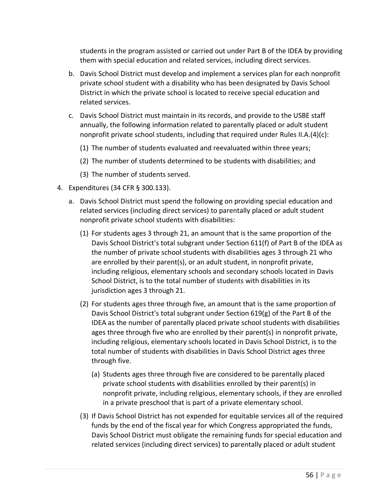students in the program assisted or carried out under Part B of the IDEA by providing them with special education and related services, including direct services.

- b. Davis School District must develop and implement a services plan for each nonprofit private school student with a disability who has been designated by Davis School District in which the private school is located to receive special education and related services.
- c. Davis School District must maintain in its records, and provide to the USBE staff annually, the following information related to parentally placed or adult student nonprofit private school students, including that required under Rules II.A.(4)(c):
	- (1) The number of students evaluated and reevaluated within three years;
	- (2) The number of students determined to be students with disabilities; and
	- (3) The number of students served.
- 4. Expenditures (34 CFR § 300.133).
	- a. Davis School District must spend the following on providing special education and related services (including direct services) to parentally placed or adult student nonprofit private school students with disabilities:
		- (1) For students ages 3 through 21, an amount that is the same proportion of the Davis School District's total subgrant under Section 611(f) of Part B of the IDEA as the number of private school students with disabilities ages 3 through 21 who are enrolled by their parent(s), or an adult student, in nonprofit private, including religious, elementary schools and secondary schools located in Davis School District, is to the total number of students with disabilities in its jurisdiction ages 3 through 21.
		- (2) For students ages three through five, an amount that is the same proportion of Davis School District's total subgrant under Section 619(g) of the Part B of the IDEA as the number of parentally placed private school students with disabilities ages three through five who are enrolled by their parent(s) in nonprofit private, including religious, elementary schools located in Davis School District, is to the total number of students with disabilities in Davis School District ages three through five.
			- (a) Students ages three through five are considered to be parentally placed private school students with disabilities enrolled by their parent(s) in nonprofit private, including religious, elementary schools, if they are enrolled in a private preschool that is part of a private elementary school.
		- (3) If Davis School District has not expended for equitable services all of the required funds by the end of the fiscal year for which Congress appropriated the funds, Davis School District must obligate the remaining funds for special education and related services (including direct services) to parentally placed or adult student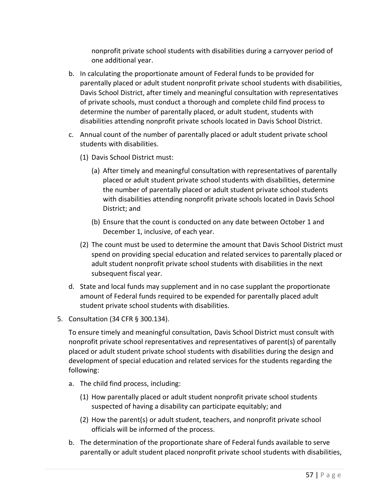nonprofit private school students with disabilities during a carryover period of one additional year.

- b. In calculating the proportionate amount of Federal funds to be provided for parentally placed or adult student nonprofit private school students with disabilities, Davis School District, after timely and meaningful consultation with representatives of private schools, must conduct a thorough and complete child find process to determine the number of parentally placed, or adult student, students with disabilities attending nonprofit private schools located in Davis School District.
- c. Annual count of the number of parentally placed or adult student private school students with disabilities.
	- (1) Davis School District must:
		- (a) After timely and meaningful consultation with representatives of parentally placed or adult student private school students with disabilities, determine the number of parentally placed or adult student private school students with disabilities attending nonprofit private schools located in Davis School District; and
		- (b) Ensure that the count is conducted on any date between October 1 and December 1, inclusive, of each year.
	- (2) The count must be used to determine the amount that Davis School District must spend on providing special education and related services to parentally placed or adult student nonprofit private school students with disabilities in the next subsequent fiscal year.
- d. State and local funds may supplement and in no case supplant the proportionate amount of Federal funds required to be expended for parentally placed adult student private school students with disabilities.
- 5. Consultation (34 CFR § 300.134).

To ensure timely and meaningful consultation, Davis School District must consult with nonprofit private school representatives and representatives of parent(s) of parentally placed or adult student private school students with disabilities during the design and development of special education and related services for the students regarding the following:

- a. The child find process, including:
	- (1) How parentally placed or adult student nonprofit private school students suspected of having a disability can participate equitably; and
	- (2) How the parent(s) or adult student, teachers, and nonprofit private school officials will be informed of the process.
- b. The determination of the proportionate share of Federal funds available to serve parentally or adult student placed nonprofit private school students with disabilities,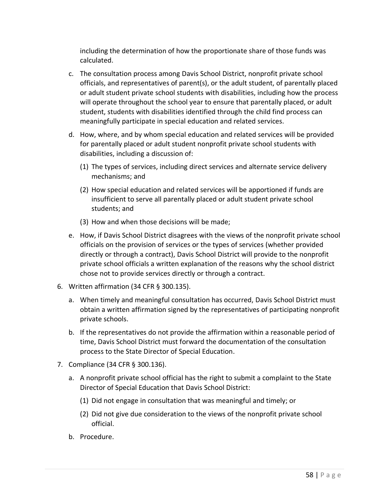including the determination of how the proportionate share of those funds was calculated.

- c. The consultation process among Davis School District, nonprofit private school officials, and representatives of parent(s), or the adult student, of parentally placed or adult student private school students with disabilities, including how the process will operate throughout the school year to ensure that parentally placed, or adult student, students with disabilities identified through the child find process can meaningfully participate in special education and related services.
- d. How, where, and by whom special education and related services will be provided for parentally placed or adult student nonprofit private school students with disabilities, including a discussion of:
	- (1) The types of services, including direct services and alternate service delivery mechanisms; and
	- (2) How special education and related services will be apportioned if funds are insufficient to serve all parentally placed or adult student private school students; and
	- (3) How and when those decisions will be made;
- e. How, if Davis School District disagrees with the views of the nonprofit private school officials on the provision of services or the types of services (whether provided directly or through a contract), Davis School District will provide to the nonprofit private school officials a written explanation of the reasons why the school district chose not to provide services directly or through a contract.
- 6. Written affirmation (34 CFR § 300.135).
	- a. When timely and meaningful consultation has occurred, Davis School District must obtain a written affirmation signed by the representatives of participating nonprofit private schools.
	- b. If the representatives do not provide the affirmation within a reasonable period of time, Davis School District must forward the documentation of the consultation process to the State Director of Special Education.
- 7. Compliance (34 CFR § 300.136).
	- a. A nonprofit private school official has the right to submit a complaint to the State Director of Special Education that Davis School District:
		- (1) Did not engage in consultation that was meaningful and timely; or
		- (2) Did not give due consideration to the views of the nonprofit private school official.
	- b. Procedure.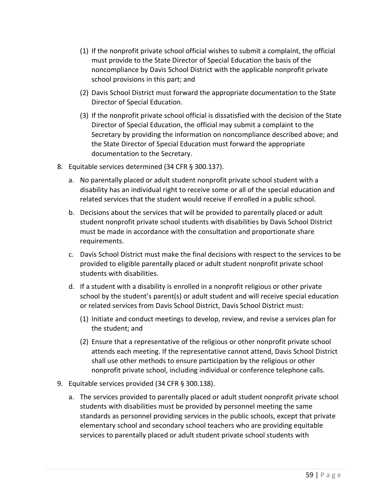- (1) If the nonprofit private school official wishes to submit a complaint, the official must provide to the State Director of Special Education the basis of the noncompliance by Davis School District with the applicable nonprofit private school provisions in this part; and
- (2) Davis School District must forward the appropriate documentation to the State Director of Special Education.
- (3) If the nonprofit private school official is dissatisfied with the decision of the State Director of Special Education, the official may submit a complaint to the Secretary by providing the information on noncompliance described above; and the State Director of Special Education must forward the appropriate documentation to the Secretary.
- 8. Equitable services determined (34 CFR § 300.137).
	- a. No parentally placed or adult student nonprofit private school student with a disability has an individual right to receive some or all of the special education and related services that the student would receive if enrolled in a public school.
	- b. Decisions about the services that will be provided to parentally placed or adult student nonprofit private school students with disabilities by Davis School District must be made in accordance with the consultation and proportionate share requirements.
	- c. Davis School District must make the final decisions with respect to the services to be provided to eligible parentally placed or adult student nonprofit private school students with disabilities.
	- d. If a student with a disability is enrolled in a nonprofit religious or other private school by the student's parent(s) or adult student and will receive special education or related services from Davis School District, Davis School District must:
		- (1) Initiate and conduct meetings to develop, review, and revise a services plan for the student; and
		- (2) Ensure that a representative of the religious or other nonprofit private school attends each meeting. If the representative cannot attend, Davis School District shall use other methods to ensure participation by the religious or other nonprofit private school, including individual or conference telephone calls.
- 9. Equitable services provided (34 CFR § 300.138).
	- a. The services provided to parentally placed or adult student nonprofit private school students with disabilities must be provided by personnel meeting the same standards as personnel providing services in the public schools, except that private elementary school and secondary school teachers who are providing equitable services to parentally placed or adult student private school students with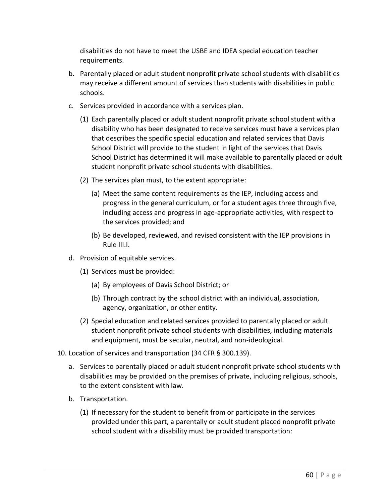disabilities do not have to meet the USBE and IDEA special education teacher requirements.

- b. Parentally placed or adult student nonprofit private school students with disabilities may receive a different amount of services than students with disabilities in public schools.
- c. Services provided in accordance with a services plan.
	- (1) Each parentally placed or adult student nonprofit private school student with a disability who has been designated to receive services must have a services plan that describes the specific special education and related services that Davis School District will provide to the student in light of the services that Davis School District has determined it will make available to parentally placed or adult student nonprofit private school students with disabilities.
	- (2) The services plan must, to the extent appropriate:
		- (a) Meet the same content requirements as the IEP, including access and progress in the general curriculum, or for a student ages three through five, including access and progress in age-appropriate activities, with respect to the services provided; and
		- (b) Be developed, reviewed, and revised consistent with the IEP provisions in Rule III.I.
- d. Provision of equitable services.
	- (1) Services must be provided:
		- (a) By employees of Davis School District; or
		- (b) Through contract by the school district with an individual, association, agency, organization, or other entity.
	- (2) Special education and related services provided to parentally placed or adult student nonprofit private school students with disabilities, including materials and equipment, must be secular, neutral, and non-ideological.
- 10. Location of services and transportation (34 CFR § 300.139).
	- a. Services to parentally placed or adult student nonprofit private school students with disabilities may be provided on the premises of private, including religious, schools, to the extent consistent with law.
	- b. Transportation.
		- (1) If necessary for the student to benefit from or participate in the services provided under this part, a parentally or adult student placed nonprofit private school student with a disability must be provided transportation: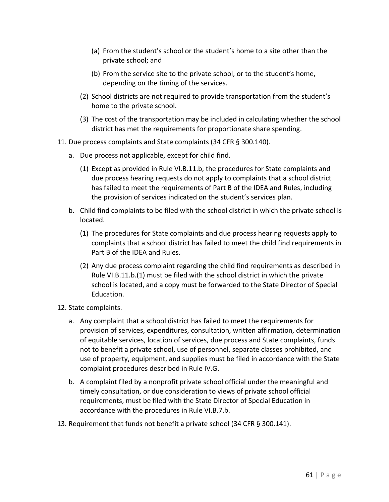- (a) From the student's school or the student's home to a site other than the private school; and
- (b) From the service site to the private school, or to the student's home, depending on the timing of the services.
- (2) School districts are not required to provide transportation from the student's home to the private school.
- (3) The cost of the transportation may be included in calculating whether the school district has met the requirements for proportionate share spending.
- 11. Due process complaints and State complaints (34 CFR § 300.140).
	- a. Due process not applicable, except for child find.
		- (1) Except as provided in Rule VI.B.11.b, the procedures for State complaints and due process hearing requests do not apply to complaints that a school district has failed to meet the requirements of Part B of the IDEA and Rules, including the provision of services indicated on the student's services plan.
	- b. Child find complaints to be filed with the school district in which the private school is located.
		- (1) The procedures for State complaints and due process hearing requests apply to complaints that a school district has failed to meet the child find requirements in Part B of the IDEA and Rules.
		- (2) Any due process complaint regarding the child find requirements as described in Rule VI.B.11.b.(1) must be filed with the school district in which the private school is located, and a copy must be forwarded to the State Director of Special Education.
- 12. State complaints.
	- a. Any complaint that a school district has failed to meet the requirements for provision of services, expenditures, consultation, written affirmation, determination of equitable services, location of services, due process and State complaints, funds not to benefit a private school, use of personnel, separate classes prohibited, and use of property, equipment, and supplies must be filed in accordance with the State complaint procedures described in Rule IV.G.
	- b. A complaint filed by a nonprofit private school official under the meaningful and timely consultation, or due consideration to views of private school official requirements, must be filed with the State Director of Special Education in accordance with the procedures in Rule VI.B.7.b.
- 13. Requirement that funds not benefit a private school (34 CFR § 300.141).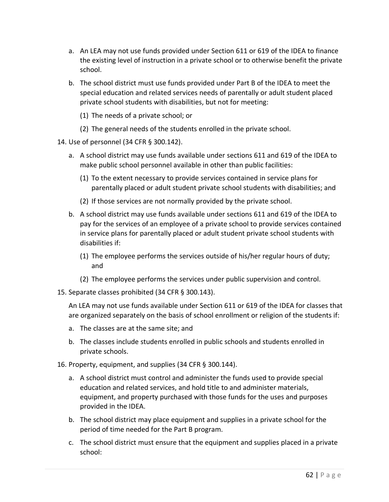- a. An LEA may not use funds provided under Section 611 or 619 of the IDEA to finance the existing level of instruction in a private school or to otherwise benefit the private school.
- b. The school district must use funds provided under Part B of the IDEA to meet the special education and related services needs of parentally or adult student placed private school students with disabilities, but not for meeting:
	- (1) The needs of a private school; or
	- (2) The general needs of the students enrolled in the private school.
- 14. Use of personnel (34 CFR § 300.142).
	- a. A school district may use funds available under sections 611 and 619 of the IDEA to make public school personnel available in other than public facilities:
		- (1) To the extent necessary to provide services contained in service plans for parentally placed or adult student private school students with disabilities; and
		- (2) If those services are not normally provided by the private school.
	- b. A school district may use funds available under sections 611 and 619 of the IDEA to pay for the services of an employee of a private school to provide services contained in service plans for parentally placed or adult student private school students with disabilities if:
		- (1) The employee performs the services outside of his/her regular hours of duty; and
		- (2) The employee performs the services under public supervision and control.
- 15. Separate classes prohibited (34 CFR § 300.143).

An LEA may not use funds available under Section 611 or 619 of the IDEA for classes that are organized separately on the basis of school enrollment or religion of the students if:

- a. The classes are at the same site; and
- b. The classes include students enrolled in public schools and students enrolled in private schools.
- 16. Property, equipment, and supplies (34 CFR § 300.144).
	- a. A school district must control and administer the funds used to provide special education and related services, and hold title to and administer materials, equipment, and property purchased with those funds for the uses and purposes provided in the IDEA.
	- b. The school district may place equipment and supplies in a private school for the period of time needed for the Part B program.
	- c. The school district must ensure that the equipment and supplies placed in a private school: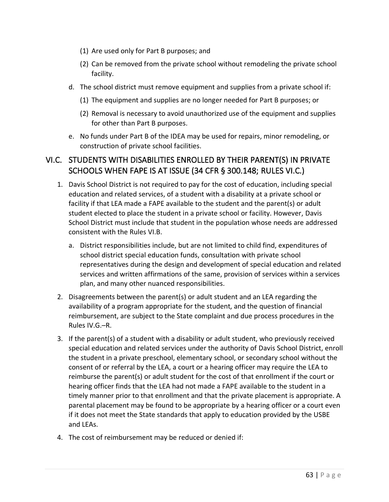- (1) Are used only for Part B purposes; and
- (2) Can be removed from the private school without remodeling the private school facility.
- d. The school district must remove equipment and supplies from a private school if:
	- (1) The equipment and supplies are no longer needed for Part B purposes; or
	- (2) Removal is necessary to avoid unauthorized use of the equipment and supplies for other than Part B purposes.
- e. No funds under Part B of the IDEA may be used for repairs, minor remodeling, or construction of private school facilities.

### VI.C. STUDENTS WITH DISABILITIES ENROLLED BY THEIR PARENT(S) IN PRIVATE SCHOOLS WHEN FAPE IS AT ISSUE (34 CFR § 300.148; RULES VI.C.)

- 1. Davis School District is not required to pay for the cost of education, including special education and related services, of a student with a disability at a private school or facility if that LEA made a FAPE available to the student and the parent(s) or adult student elected to place the student in a private school or facility. However, Davis School District must include that student in the population whose needs are addressed consistent with the Rules VI.B.
	- a. District responsibilities include, but are not limited to child find, expenditures of school district special education funds, consultation with private school representatives during the design and development of special education and related services and written affirmations of the same, provision of services within a services plan, and many other nuanced responsibilities.
- 2. Disagreements between the parent(s) or adult student and an LEA regarding the availability of a program appropriate for the student, and the question of financial reimbursement, are subject to the State complaint and due process procedures in the Rules IV.G.–R.
- 3. If the parent(s) of a student with a disability or adult student, who previously received special education and related services under the authority of Davis School District, enroll the student in a private preschool, elementary school, or secondary school without the consent of or referral by the LEA, a court or a hearing officer may require the LEA to reimburse the parent(s) or adult student for the cost of that enrollment if the court or hearing officer finds that the LEA had not made a FAPE available to the student in a timely manner prior to that enrollment and that the private placement is appropriate. A parental placement may be found to be appropriate by a hearing officer or a court even if it does not meet the State standards that apply to education provided by the USBE and LEAs.
- 4. The cost of reimbursement may be reduced or denied if: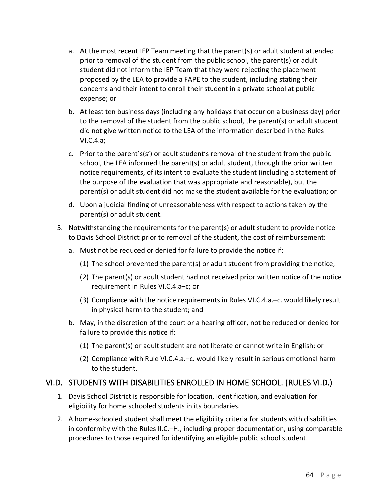- a. At the most recent IEP Team meeting that the parent(s) or adult student attended prior to removal of the student from the public school, the parent(s) or adult student did not inform the IEP Team that they were rejecting the placement proposed by the LEA to provide a FAPE to the student, including stating their concerns and their intent to enroll their student in a private school at public expense; or
- b. At least ten business days (including any holidays that occur on a business day) prior to the removal of the student from the public school, the parent(s) or adult student did not give written notice to the LEA of the information described in the Rules VI.C.4.a;
- c. Prior to the parent's(s') or adult student's removal of the student from the public school, the LEA informed the parent(s) or adult student, through the prior written notice requirements, of its intent to evaluate the student (including a statement of the purpose of the evaluation that was appropriate and reasonable), but the parent(s) or adult student did not make the student available for the evaluation; or
- d. Upon a judicial finding of unreasonableness with respect to actions taken by the parent(s) or adult student.
- 5. Notwithstanding the requirements for the parent(s) or adult student to provide notice to Davis School District prior to removal of the student, the cost of reimbursement:
	- a. Must not be reduced or denied for failure to provide the notice if:
		- (1) The school prevented the parent(s) or adult student from providing the notice;
		- (2) The parent(s) or adult student had not received prior written notice of the notice requirement in Rules VI.C.4.a–c; or
		- (3) Compliance with the notice requirements in Rules VI.C.4.a.–c. would likely result in physical harm to the student; and
	- b. May, in the discretion of the court or a hearing officer, not be reduced or denied for failure to provide this notice if:
		- (1) The parent(s) or adult student are not literate or cannot write in English; or
		- (2) Compliance with Rule VI.C.4.a.–c. would likely result in serious emotional harm to the student.

# VI.D. STUDENTS WITH DISABILITIES ENROLLED IN HOME SCHOOL. (RULES VI.D.)

- 1. Davis School District is responsible for location, identification, and evaluation for eligibility for home schooled students in its boundaries.
- 2. A home-schooled student shall meet the eligibility criteria for students with disabilities in conformity with the Rules II.C.–H., including proper documentation, using comparable procedures to those required for identifying an eligible public school student.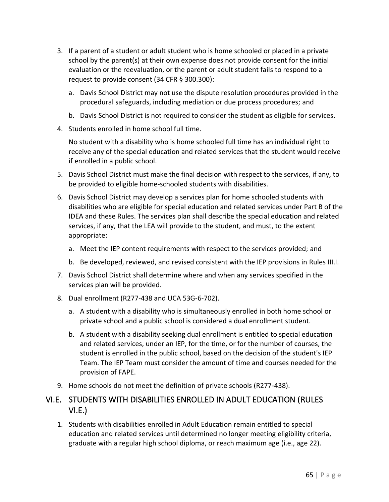- 3. If a parent of a student or adult student who is home schooled or placed in a private school by the parent(s) at their own expense does not provide consent for the initial evaluation or the reevaluation, or the parent or adult student fails to respond to a request to provide consent (34 CFR § 300.300):
	- a. Davis School District may not use the dispute resolution procedures provided in the procedural safeguards, including mediation or due process procedures; and
	- b. Davis School District is not required to consider the student as eligible for services.
- 4. Students enrolled in home school full time.

No student with a disability who is home schooled full time has an individual right to receive any of the special education and related services that the student would receive if enrolled in a public school.

- 5. Davis School District must make the final decision with respect to the services, if any, to be provided to eligible home-schooled students with disabilities.
- 6. Davis School District may develop a services plan for home schooled students with disabilities who are eligible for special education and related services under Part B of the IDEA and these Rules. The services plan shall describe the special education and related services, if any, that the LEA will provide to the student, and must, to the extent appropriate:
	- a. Meet the IEP content requirements with respect to the services provided; and
	- b. Be developed, reviewed, and revised consistent with the IEP provisions in Rules III.I.
- 7. Davis School District shall determine where and when any services specified in the services plan will be provided.
- 8. Dual enrollment (R277-438 and UCA 53G-6-702).
	- a. A student with a disability who is simultaneously enrolled in both home school or private school and a public school is considered a dual enrollment student.
	- b. A student with a disability seeking dual enrollment is entitled to special education and related services, under an IEP, for the time, or for the number of courses, the student is enrolled in the public school, based on the decision of the student's IEP Team. The IEP Team must consider the amount of time and courses needed for the provision of FAPE.
- 9. Home schools do not meet the definition of private schools (R277-438).

### VI.E. STUDENTS WITH DISABILITIES ENROLLED IN ADULT EDUCATION (RULES VI.E.)

1. Students with disabilities enrolled in Adult Education remain entitled to special education and related services until determined no longer meeting eligibility criteria, graduate with a regular high school diploma, or reach maximum age (i.e., age 22).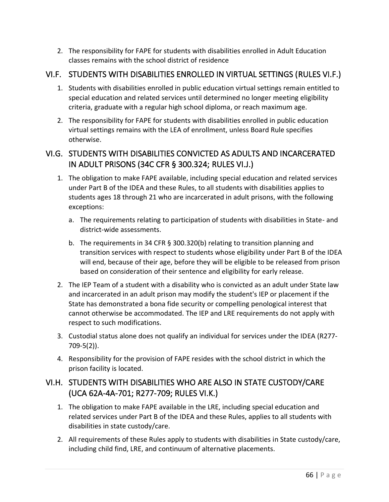2. The responsibility for FAPE for students with disabilities enrolled in Adult Education classes remains with the school district of residence

# VI.F. STUDENTS WITH DISABILITIES ENROLLED IN VIRTUAL SETTINGS (RULES VI.F.)

- 1. Students with disabilities enrolled in public education virtual settings remain entitled to special education and related services until determined no longer meeting eligibility criteria, graduate with a regular high school diploma, or reach maximum age.
- 2. The responsibility for FAPE for students with disabilities enrolled in public education virtual settings remains with the LEA of enrollment, unless Board Rule specifies otherwise.

# VI.G. STUDENTS WITH DISABILITIES CONVICTED AS ADULTS AND INCARCERATED IN ADULT PRISONS (34C CFR § 300.324; RULES VI.J.)

- 1. The obligation to make FAPE available, including special education and related services under Part B of the IDEA and these Rules, to all students with disabilities applies to students ages 18 through 21 who are incarcerated in adult prisons, with the following exceptions:
	- a. The requirements relating to participation of students with disabilities in State- and district-wide assessments.
	- b. The requirements in 34 CFR § 300.320(b) relating to transition planning and transition services with respect to students whose eligibility under Part B of the IDEA will end, because of their age, before they will be eligible to be released from prison based on consideration of their sentence and eligibility for early release.
- 2. The IEP Team of a student with a disability who is convicted as an adult under State law and incarcerated in an adult prison may modify the student's IEP or placement if the State has demonstrated a bona fide security or compelling penological interest that cannot otherwise be accommodated. The IEP and LRE requirements do not apply with respect to such modifications.
- 3. Custodial status alone does not qualify an individual for services under the IDEA (R277- 709-5(2)).
- 4. Responsibility for the provision of FAPE resides with the school district in which the prison facility is located.

# VI.H. STUDENTS WITH DISABILITIES WHO ARE ALSO IN STATE CUSTODY/CARE (UCA 62A-4A-701; R277-709; RULES VI.K.)

- 1. The obligation to make FAPE available in the LRE, including special education and related services under Part B of the IDEA and these Rules, applies to all students with disabilities in state custody/care.
- 2. All requirements of these Rules apply to students with disabilities in State custody/care, including child find, LRE, and continuum of alternative placements.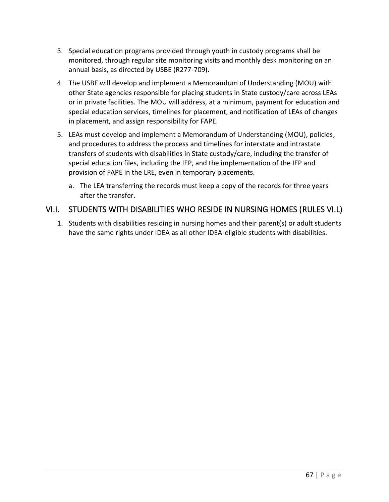- 3. Special education programs provided through youth in custody programs shall be monitored, through regular site monitoring visits and monthly desk monitoring on an annual basis, as directed by USBE (R277-709).
- 4. The USBE will develop and implement a Memorandum of Understanding (MOU) with other State agencies responsible for placing students in State custody/care across LEAs or in private facilities. The MOU will address, at a minimum, payment for education and special education services, timelines for placement, and notification of LEAs of changes in placement, and assign responsibility for FAPE.
- 5. LEAs must develop and implement a Memorandum of Understanding (MOU), policies, and procedures to address the process and timelines for interstate and intrastate transfers of students with disabilities in State custody/care, including the transfer of special education files, including the IEP, and the implementation of the IEP and provision of FAPE in the LRE, even in temporary placements.
	- a. The LEA transferring the records must keep a copy of the records for three years after the transfer.

#### VI.I. STUDENTS WITH DISABILITIES WHO RESIDE IN NURSING HOMES (RULES VI.L)

1. Students with disabilities residing in nursing homes and their parent(s) or adult students have the same rights under IDEA as all other IDEA-eligible students with disabilities.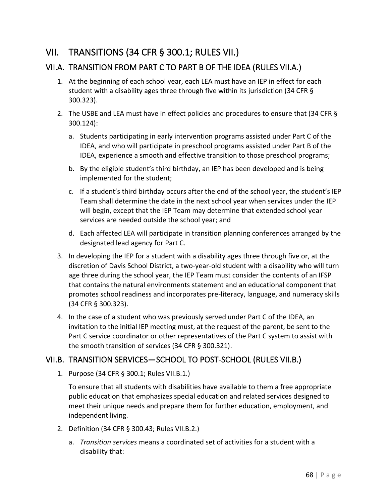# VII. TRANSITIONS (34 CFR § 300.1; RULES VII.)

#### VII.A. TRANSITION FROM PART C TO PART B OF THE IDEA (RULES VII.A.)

- 1. At the beginning of each school year, each LEA must have an IEP in effect for each student with a disability ages three through five within its jurisdiction (34 CFR § 300.323).
- 2. The USBE and LEA must have in effect policies and procedures to ensure that (34 CFR § 300.124):
	- a. Students participating in early intervention programs assisted under Part C of the IDEA, and who will participate in preschool programs assisted under Part B of the IDEA, experience a smooth and effective transition to those preschool programs;
	- b. By the eligible student's third birthday, an IEP has been developed and is being implemented for the student;
	- c. If a student's third birthday occurs after the end of the school year, the student's IEP Team shall determine the date in the next school year when services under the IEP will begin, except that the IEP Team may determine that extended school year services are needed outside the school year; and
	- d. Each affected LEA will participate in transition planning conferences arranged by the designated lead agency for Part C.
- 3. In developing the IEP for a student with a disability ages three through five or, at the discretion of Davis School District, a two-year-old student with a disability who will turn age three during the school year, the IEP Team must consider the contents of an IFSP that contains the natural environments statement and an educational component that promotes school readiness and incorporates pre-literacy, language, and numeracy skills (34 CFR § 300.323).
- 4. In the case of a student who was previously served under Part C of the IDEA, an invitation to the initial IEP meeting must, at the request of the parent, be sent to the Part C service coordinator or other representatives of the Part C system to assist with the smooth transition of services (34 CFR § 300.321).

#### VII.B. TRANSITION SERVICES—SCHOOL TO POST-SCHOOL (RULES VII.B.)

1. Purpose (34 CFR § 300.1; Rules VII.B.1.)

To ensure that all students with disabilities have available to them a free appropriate public education that emphasizes special education and related services designed to meet their unique needs and prepare them for further education, employment, and independent living.

- 2. Definition (34 CFR § 300.43; Rules VII.B.2.)
	- a. *Transition services* means a coordinated set of activities for a student with a disability that: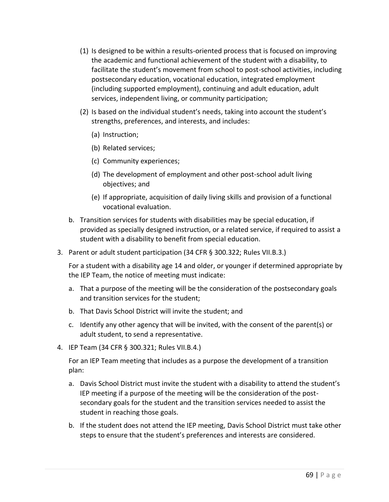- (1) Is designed to be within a results-oriented process that is focused on improving the academic and functional achievement of the student with a disability, to facilitate the student's movement from school to post-school activities, including postsecondary education, vocational education, integrated employment (including supported employment), continuing and adult education, adult services, independent living, or community participation;
- (2) Is based on the individual student's needs, taking into account the student's strengths, preferences, and interests, and includes:
	- (a) Instruction;
	- (b) Related services;
	- (c) Community experiences;
	- (d) The development of employment and other post-school adult living objectives; and
	- (e) If appropriate, acquisition of daily living skills and provision of a functional vocational evaluation.
- b. Transition services for students with disabilities may be special education, if provided as specially designed instruction, or a related service, if required to assist a student with a disability to benefit from special education.
- 3. Parent or adult student participation (34 CFR § 300.322; Rules VII.B.3.)

For a student with a disability age 14 and older, or younger if determined appropriate by the IEP Team, the notice of meeting must indicate:

- a. That a purpose of the meeting will be the consideration of the postsecondary goals and transition services for the student;
- b. That Davis School District will invite the student; and
- c. Identify any other agency that will be invited, with the consent of the parent(s) or adult student, to send a representative.
- 4. IEP Team (34 CFR § 300.321; Rules VII.B.4.)

For an IEP Team meeting that includes as a purpose the development of a transition plan:

- a. Davis School District must invite the student with a disability to attend the student's IEP meeting if a purpose of the meeting will be the consideration of the postsecondary goals for the student and the transition services needed to assist the student in reaching those goals.
- b. If the student does not attend the IEP meeting, Davis School District must take other steps to ensure that the student's preferences and interests are considered.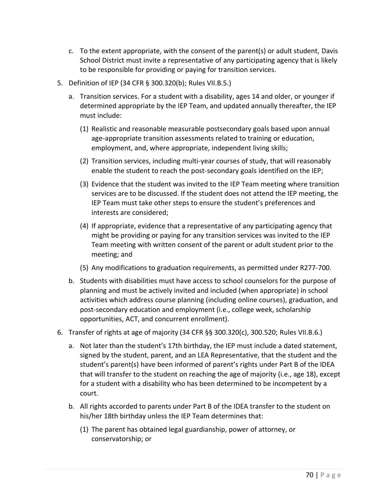- c. To the extent appropriate, with the consent of the parent(s) or adult student, Davis School District must invite a representative of any participating agency that is likely to be responsible for providing or paying for transition services.
- 5. Definition of IEP (34 CFR § 300.320(b); Rules VII.B.5.)
	- a. Transition services. For a student with a disability, ages 14 and older, or younger if determined appropriate by the IEP Team, and updated annually thereafter, the IEP must include:
		- (1) Realistic and reasonable measurable postsecondary goals based upon annual age-appropriate transition assessments related to training or education, employment, and, where appropriate, independent living skills;
		- (2) Transition services, including multi-year courses of study, that will reasonably enable the student to reach the post-secondary goals identified on the IEP;
		- (3) Evidence that the student was invited to the IEP Team meeting where transition services are to be discussed. If the student does not attend the IEP meeting, the IEP Team must take other steps to ensure the student's preferences and interests are considered;
		- (4) If appropriate, evidence that a representative of any participating agency that might be providing or paying for any transition services was invited to the IEP Team meeting with written consent of the parent or adult student prior to the meeting; and
		- (5) Any modifications to graduation requirements, as permitted under R277-700.
	- b. Students with disabilities must have access to school counselors for the purpose of planning and must be actively invited and included (when appropriate) in school activities which address course planning (including online courses), graduation, and post-secondary education and employment (i.e., college week, scholarship opportunities, ACT, and concurrent enrollment).
- 6. Transfer of rights at age of majority (34 CFR §§ 300.320(c), 300.520; Rules VII.B.6.)
	- a. Not later than the student's 17th birthday, the IEP must include a dated statement, signed by the student, parent, and an LEA Representative, that the student and the student's parent(s) have been informed of parent's rights under Part B of the IDEA that will transfer to the student on reaching the age of majority (i.e., age 18), except for a student with a disability who has been determined to be incompetent by a court.
	- b. All rights accorded to parents under Part B of the IDEA transfer to the student on his/her 18th birthday unless the IEP Team determines that:
		- (1) The parent has obtained legal guardianship, power of attorney, or conservatorship; or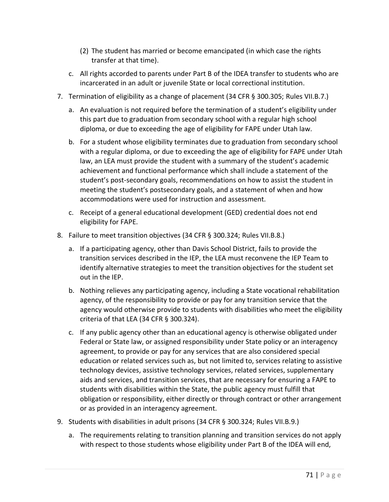- (2) The student has married or become emancipated (in which case the rights transfer at that time).
- c. All rights accorded to parents under Part B of the IDEA transfer to students who are incarcerated in an adult or juvenile State or local correctional institution.
- 7. Termination of eligibility as a change of placement (34 CFR § 300.305; Rules VII.B.7.)
	- a. An evaluation is not required before the termination of a student's eligibility under this part due to graduation from secondary school with a regular high school diploma, or due to exceeding the age of eligibility for FAPE under Utah law.
	- b. For a student whose eligibility terminates due to graduation from secondary school with a regular diploma, or due to exceeding the age of eligibility for FAPE under Utah law, an LEA must provide the student with a summary of the student's academic achievement and functional performance which shall include a statement of the student's post-secondary goals, recommendations on how to assist the student in meeting the student's postsecondary goals, and a statement of when and how accommodations were used for instruction and assessment.
	- c. Receipt of a general educational development (GED) credential does not end eligibility for FAPE.
- 8. Failure to meet transition objectives (34 CFR § 300.324; Rules VII.B.8.)
	- a. If a participating agency, other than Davis School District, fails to provide the transition services described in the IEP, the LEA must reconvene the IEP Team to identify alternative strategies to meet the transition objectives for the student set out in the IEP.
	- b. Nothing relieves any participating agency, including a State vocational rehabilitation agency, of the responsibility to provide or pay for any transition service that the agency would otherwise provide to students with disabilities who meet the eligibility criteria of that LEA (34 CFR § 300.324).
	- c. If any public agency other than an educational agency is otherwise obligated under Federal or State law, or assigned responsibility under State policy or an interagency agreement, to provide or pay for any services that are also considered special education or related services such as, but not limited to, services relating to assistive technology devices, assistive technology services, related services, supplementary aids and services, and transition services, that are necessary for ensuring a FAPE to students with disabilities within the State, the public agency must fulfill that obligation or responsibility, either directly or through contract or other arrangement or as provided in an interagency agreement.
- 9. Students with disabilities in adult prisons (34 CFR § 300.324; Rules VII.B.9.)
	- a. The requirements relating to transition planning and transition services do not apply with respect to those students whose eligibility under Part B of the IDEA will end,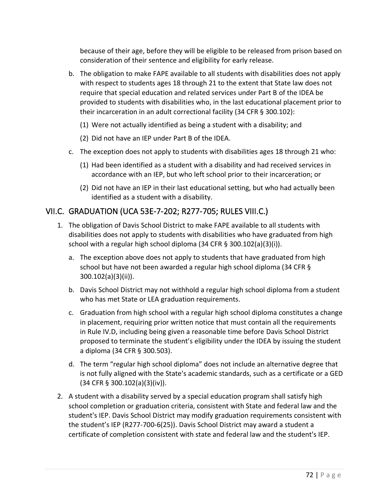because of their age, before they will be eligible to be released from prison based on consideration of their sentence and eligibility for early release.

- b. The obligation to make FAPE available to all students with disabilities does not apply with respect to students ages 18 through 21 to the extent that State law does not require that special education and related services under Part B of the IDEA be provided to students with disabilities who, in the last educational placement prior to their incarceration in an adult correctional facility (34 CFR § 300.102):
	- (1) Were not actually identified as being a student with a disability; and
	- (2) Did not have an IEP under Part B of the IDEA.
- c. The exception does not apply to students with disabilities ages 18 through 21 who:
	- (1) Had been identified as a student with a disability and had received services in accordance with an IEP, but who left school prior to their incarceration; or
	- (2) Did not have an IEP in their last educational setting, but who had actually been identified as a student with a disability.

#### VII.C. GRADUATION (UCA 53E-7-202; R277-705; RULES VIII.C.)

- 1. The obligation of Davis School District to make FAPE available to all students with disabilities does not apply to students with disabilities who have graduated from high school with a regular high school diploma (34 CFR § 300.102(a)(3)(i)).
	- a. The exception above does not apply to students that have graduated from high school but have not been awarded a regular high school diploma (34 CFR § 300.102(a)(3)(ii)).
	- b. Davis School District may not withhold a regular high school diploma from a student who has met State or LEA graduation requirements.
	- c. Graduation from high school with a regular high school diploma constitutes a change in placement, requiring prior written notice that must contain all the requirements in Rule IV.D, including being given a reasonable time before Davis School District proposed to terminate the student's eligibility under the IDEA by issuing the student a diploma (34 CFR § 300.503).
	- d. The term "regular high school diploma" does not include an alternative degree that is not fully aligned with the State's academic standards, such as a certificate or a GED (34 CFR § 300.102(a)(3)(iv)).
- 2. A student with a disability served by a special education program shall satisfy high school completion or graduation criteria, consistent with State and federal law and the student's IEP. Davis School District may modify graduation requirements consistent with the student's IEP (R277-700-6(25)). Davis School District may award a student a certificate of completion consistent with state and federal law and the student's IEP.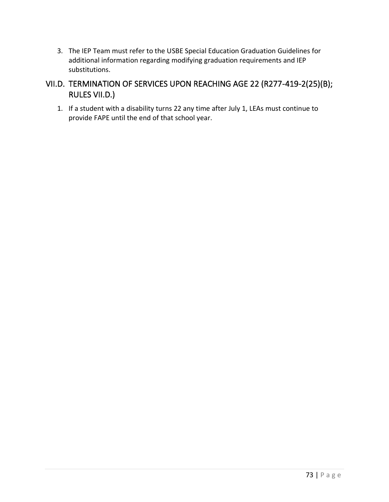3. The IEP Team must refer to the USBE Special Education Graduation Guidelines for additional information regarding modifying graduation requirements and IEP substitutions.

#### VII.D. TERMINATION OF SERVICES UPON REACHING AGE 22 (R277-419-2(25)(B); RULES VII.D.)

1. If a student with a disability turns 22 any time after July 1, LEAs must continue to provide FAPE until the end of that school year.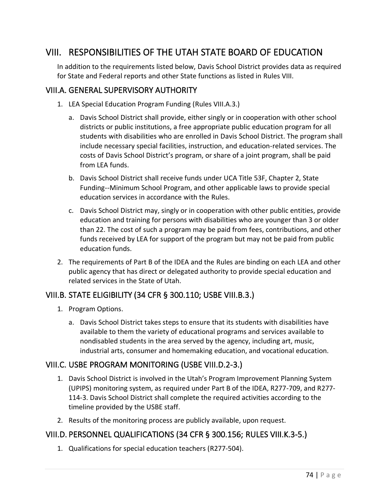# VIII. RESPONSIBILITIES OF THE UTAH STATE BOARD OF EDUCATION

In addition to the requirements listed below, Davis School District provides data as required for State and Federal reports and other State functions as listed in Rules VIII.

#### VIII.A. GENERAL SUPERVISORY AUTHORITY

- 1. LEA Special Education Program Funding (Rules VIII.A.3.)
	- a. Davis School District shall provide, either singly or in cooperation with other school districts or public institutions, a free appropriate public education program for all students with disabilities who are enrolled in Davis School District. The program shall include necessary special facilities, instruction, and education-related services. The costs of Davis School District's program, or share of a joint program, shall be paid from LEA funds.
	- b. Davis School District shall receive funds under UCA Title 53F, Chapter 2, State Funding--Minimum School Program, and other applicable laws to provide special education services in accordance with the Rules.
	- c. Davis School District may, singly or in cooperation with other public entities, provide education and training for persons with disabilities who are younger than 3 or older than 22. The cost of such a program may be paid from fees, contributions, and other funds received by LEA for support of the program but may not be paid from public education funds.
- 2. The requirements of Part B of the IDEA and the Rules are binding on each LEA and other public agency that has direct or delegated authority to provide special education and related services in the State of Utah.

#### VIII.B. STATE ELIGIBILITY (34 CFR § 300.110; USBE VIII.B.3.)

- 1. Program Options.
	- a. Davis School District takes steps to ensure that its students with disabilities have available to them the variety of educational programs and services available to nondisabled students in the area served by the agency, including art, music, industrial arts, consumer and homemaking education, and vocational education.

#### VIII.C. USBE PROGRAM MONITORING (USBE VIII.D.2-3.)

- 1. Davis School District is involved in the Utah's Program Improvement Planning System (UPIPS) monitoring system, as required under Part B of the IDEA, R277-709, and R277- 114-3. Davis School District shall complete the required activities according to the timeline provided by the USBE staff.
- 2. Results of the monitoring process are publicly available, upon request.

#### VIII.D. PERSONNEL QUALIFICATIONS (34 CFR § 300.156; RULES VIII.K.3-5.)

1. Qualifications for special education teachers (R277-504).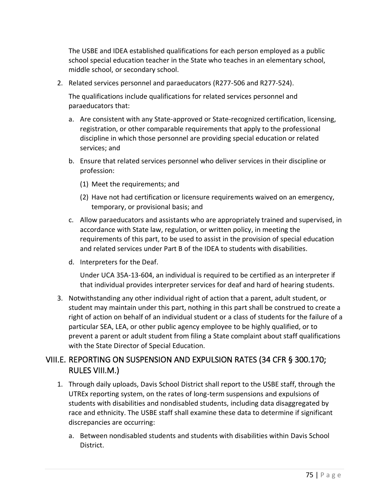The USBE and IDEA established qualifications for each person employed as a public school special education teacher in the State who teaches in an elementary school, middle school, or secondary school.

2. Related services personnel and paraeducators (R277-506 and R277-524).

The qualifications include qualifications for related services personnel and paraeducators that:

- a. Are consistent with any State-approved or State-recognized certification, licensing, registration, or other comparable requirements that apply to the professional discipline in which those personnel are providing special education or related services; and
- b. Ensure that related services personnel who deliver services in their discipline or profession:
	- (1) Meet the requirements; and
	- (2) Have not had certification or licensure requirements waived on an emergency, temporary, or provisional basis; and
- c. Allow paraeducators and assistants who are appropriately trained and supervised, in accordance with State law, regulation, or written policy, in meeting the requirements of this part, to be used to assist in the provision of special education and related services under Part B of the IDEA to students with disabilities.
- d. Interpreters for the Deaf.

Under UCA 35A-13-604, an individual is required to be certified as an interpreter if that individual provides interpreter services for deaf and hard of hearing students.

3. Notwithstanding any other individual right of action that a parent, adult student, or student may maintain under this part, nothing in this part shall be construed to create a right of action on behalf of an individual student or a class of students for the failure of a particular SEA, LEA, or other public agency employee to be highly qualified, or to prevent a parent or adult student from filing a State complaint about staff qualifications with the State Director of Special Education.

#### VIII.E. REPORTING ON SUSPENSION AND EXPULSION RATES (34 CFR § 300.170; RULES VIII.M.)

- 1. Through daily uploads, Davis School District shall report to the USBE staff, through the UTREx reporting system, on the rates of long-term suspensions and expulsions of students with disabilities and nondisabled students, including data disaggregated by race and ethnicity. The USBE staff shall examine these data to determine if significant discrepancies are occurring:
	- a. Between nondisabled students and students with disabilities within Davis School District.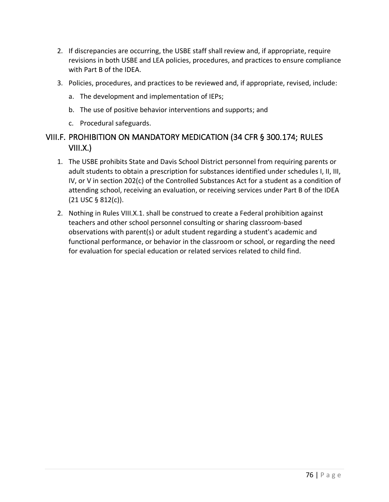- 2. If discrepancies are occurring, the USBE staff shall review and, if appropriate, require revisions in both USBE and LEA policies, procedures, and practices to ensure compliance with Part B of the IDEA.
- 3. Policies, procedures, and practices to be reviewed and, if appropriate, revised, include:
	- a. The development and implementation of IEPs;
	- b. The use of positive behavior interventions and supports; and
	- c. Procedural safeguards.

#### VIII.F. PROHIBITION ON MANDATORY MEDICATION (34 CFR § 300.174; RULES VIII.X.)

- 1. The USBE prohibits State and Davis School District personnel from requiring parents or adult students to obtain a prescription for substances identified under schedules I, II, III, IV, or V in section 202(c) of the Controlled Substances Act for a student as a condition of attending school, receiving an evaluation, or receiving services under Part B of the IDEA (21 USC § 812(c)).
- 2. Nothing in Rules VIII.X.1. shall be construed to create a Federal prohibition against teachers and other school personnel consulting or sharing classroom-based observations with parent(s) or adult student regarding a student's academic and functional performance, or behavior in the classroom or school, or regarding the need for evaluation for special education or related services related to child find.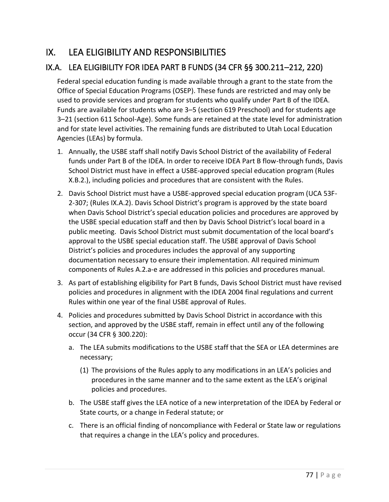# IX. LEA ELIGIBILITY AND RESPONSIBILITIES

# IX.A. LEA ELIGIBILITY FOR IDEA PART B FUNDS (34 CFR §§ 300.211–212, 220)

Federal special education funding is made available through a grant to the state from the Office of Special Education Programs (OSEP). These funds are restricted and may only be used to provide services and program for students who qualify under Part B of the IDEA. Funds are available for students who are 3–5 (section 619 Preschool) and for students age 3–21 (section 611 School-Age). Some funds are retained at the state level for administration and for state level activities. The remaining funds are distributed to Utah Local Education Agencies (LEAs) by formula.

- 1. Annually, the USBE staff shall notify Davis School District of the availability of Federal funds under Part B of the IDEA. In order to receive IDEA Part B flow-through funds, Davis School District must have in effect a USBE-approved special education program (Rules X.B.2.), including policies and procedures that are consistent with the Rules.
- 2. Davis School District must have a USBE-approved special education program (UCA 53F-2-307; (Rules IX.A.2). Davis School District's program is approved by the state board when Davis School District's special education policies and procedures are approved by the USBE special education staff and then by Davis School District's local board in a public meeting. Davis School District must submit documentation of the local board's approval to the USBE special education staff. The USBE approval of Davis School District's policies and procedures includes the approval of any supporting documentation necessary to ensure their implementation. All required minimum components of Rules A.2.a-e are addressed in this policies and procedures manual.
- 3. As part of establishing eligibility for Part B funds, Davis School District must have revised policies and procedures in alignment with the IDEA 2004 final regulations and current Rules within one year of the final USBE approval of Rules.
- 4. Policies and procedures submitted by Davis School District in accordance with this section, and approved by the USBE staff, remain in effect until any of the following occur (34 CFR § 300.220):
	- a. The LEA submits modifications to the USBE staff that the SEA or LEA determines are necessary;
		- (1) The provisions of the Rules apply to any modifications in an LEA's policies and procedures in the same manner and to the same extent as the LEA's original policies and procedures.
	- b. The USBE staff gives the LEA notice of a new interpretation of the IDEA by Federal or State courts, or a change in Federal statute; or
	- c. There is an official finding of noncompliance with Federal or State law or regulations that requires a change in the LEA's policy and procedures.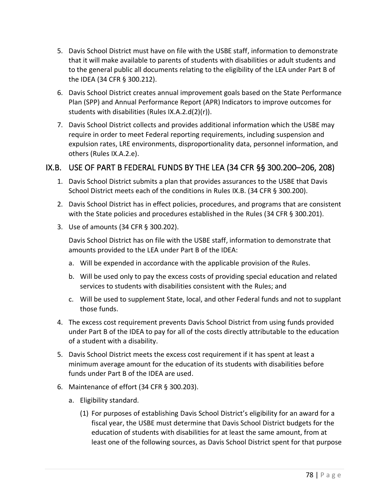- 5. Davis School District must have on file with the USBE staff, information to demonstrate that it will make available to parents of students with disabilities or adult students and to the general public all documents relating to the eligibility of the LEA under Part B of the IDEA (34 CFR § 300.212).
- 6. Davis School District creates annual improvement goals based on the State Performance Plan (SPP) and Annual Performance Report (APR) Indicators to improve outcomes for students with disabilities (Rules IX.A.2.d(2)(r)).
- 7. Davis School District collects and provides additional information which the USBE may require in order to meet Federal reporting requirements, including suspension and expulsion rates, LRE environments, disproportionality data, personnel information, and others (Rules IX.A.2.e).

#### IX.B. USE OF PART B FEDERAL FUNDS BY THE LEA (34 CFR §§ 300.200–206, 208)

- 1. Davis School District submits a plan that provides assurances to the USBE that Davis School District meets each of the conditions in Rules IX.B. (34 CFR § 300.200).
- 2. Davis School District has in effect policies, procedures, and programs that are consistent with the State policies and procedures established in the Rules (34 CFR § 300.201).
- 3. Use of amounts (34 CFR § 300.202).

Davis School District has on file with the USBE staff, information to demonstrate that amounts provided to the LEA under Part B of the IDEA:

- a. Will be expended in accordance with the applicable provision of the Rules.
- b. Will be used only to pay the excess costs of providing special education and related services to students with disabilities consistent with the Rules; and
- c. Will be used to supplement State, local, and other Federal funds and not to supplant those funds.
- 4. The excess cost requirement prevents Davis School District from using funds provided under Part B of the IDEA to pay for all of the costs directly attributable to the education of a student with a disability.
- 5. Davis School District meets the excess cost requirement if it has spent at least a minimum average amount for the education of its students with disabilities before funds under Part B of the IDEA are used.
- 6. Maintenance of effort (34 CFR § 300.203).
	- a. Eligibility standard.
		- (1) For purposes of establishing Davis School District's eligibility for an award for a fiscal year, the USBE must determine that Davis School District budgets for the education of students with disabilities for at least the same amount, from at least one of the following sources, as Davis School District spent for that purpose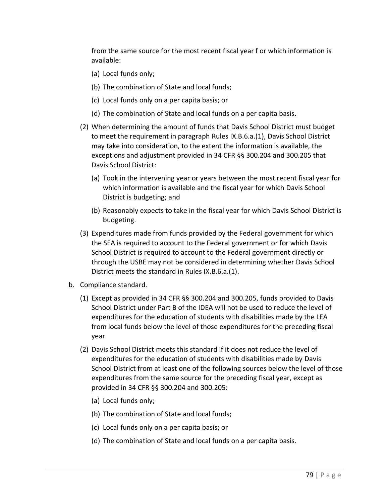from the same source for the most recent fiscal year f or which information is available:

- (a) Local funds only;
- (b) The combination of State and local funds;
- (c) Local funds only on a per capita basis; or
- (d) The combination of State and local funds on a per capita basis.
- (2) When determining the amount of funds that Davis School District must budget to meet the requirement in paragraph Rules IX.B.6.a.(1), Davis School District may take into consideration, to the extent the information is available, the exceptions and adjustment provided in 34 CFR §§ 300.204 and 300.205 that Davis School District:
	- (a) Took in the intervening year or years between the most recent fiscal year for which information is available and the fiscal year for which Davis School District is budgeting; and
	- (b) Reasonably expects to take in the fiscal year for which Davis School District is budgeting.
- (3) Expenditures made from funds provided by the Federal government for which the SEA is required to account to the Federal government or for which Davis School District is required to account to the Federal government directly or through the USBE may not be considered in determining whether Davis School District meets the standard in Rules IX.B.6.a.(1).
- b. Compliance standard.
	- (1) Except as provided in 34 CFR §§ 300.204 and 300.205, funds provided to Davis School District under Part B of the IDEA will not be used to reduce the level of expenditures for the education of students with disabilities made by the LEA from local funds below the level of those expenditures for the preceding fiscal year.
	- (2) Davis School District meets this standard if it does not reduce the level of expenditures for the education of students with disabilities made by Davis School District from at least one of the following sources below the level of those expenditures from the same source for the preceding fiscal year, except as provided in 34 CFR §§ 300.204 and 300.205:
		- (a) Local funds only;
		- (b) The combination of State and local funds;
		- (c) Local funds only on a per capita basis; or
		- (d) The combination of State and local funds on a per capita basis.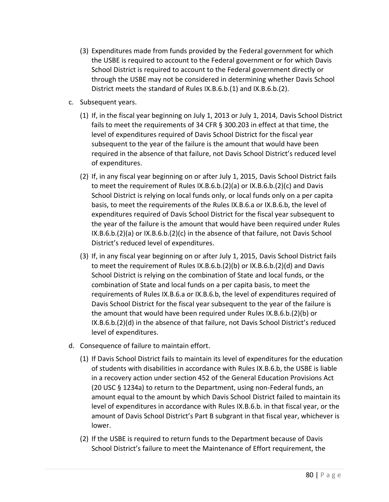- (3) Expenditures made from funds provided by the Federal government for which the USBE is required to account to the Federal government or for which Davis School District is required to account to the Federal government directly or through the USBE may not be considered in determining whether Davis School District meets the standard of Rules IX.B.6.b.(1) and IX.B.6.b.(2).
- c. Subsequent years.
	- (1) If, in the fiscal year beginning on July 1, 2013 or July 1, 2014, Davis School District fails to meet the requirements of 34 CFR § 300.203 in effect at that time, the level of expenditures required of Davis School District for the fiscal year subsequent to the year of the failure is the amount that would have been required in the absence of that failure, not Davis School District's reduced level of expenditures.
	- (2) If, in any fiscal year beginning on or after July 1, 2015, Davis School District fails to meet the requirement of Rules IX.B.6.b.(2)(a) or IX.B.6.b.(2)(c) and Davis School District is relying on local funds only, or local funds only on a per capita basis, to meet the requirements of the Rules IX.B.6.a or IX.B.6.b, the level of expenditures required of Davis School District for the fiscal year subsequent to the year of the failure is the amount that would have been required under Rules IX.B.6.b.(2)(a) or IX.B.6.b.(2)(c) in the absence of that failure, not Davis School District's reduced level of expenditures.
	- (3) If, in any fiscal year beginning on or after July 1, 2015, Davis School District fails to meet the requirement of Rules IX.B.6.b.(2)(b) or IX.B.6.b.(2)(d) and Davis School District is relying on the combination of State and local funds, or the combination of State and local funds on a per capita basis, to meet the requirements of Rules IX.B.6.a or IX.B.6.b, the level of expenditures required of Davis School District for the fiscal year subsequent to the year of the failure is the amount that would have been required under Rules IX.B.6.b.(2)(b) or IX.B.6.b.(2)(d) in the absence of that failure, not Davis School District's reduced level of expenditures.
- d. Consequence of failure to maintain effort.
	- (1) If Davis School District fails to maintain its level of expenditures for the education of students with disabilities in accordance with Rules IX.B.6.b, the USBE is liable in a recovery action under section 452 of the General Education Provisions Act (20 USC § 1234a) to return to the Department, using non-Federal funds, an amount equal to the amount by which Davis School District failed to maintain its level of expenditures in accordance with Rules IX.B.6.b. in that fiscal year, or the amount of Davis School District's Part B subgrant in that fiscal year, whichever is lower.
	- (2) If the USBE is required to return funds to the Department because of Davis School District's failure to meet the Maintenance of Effort requirement, the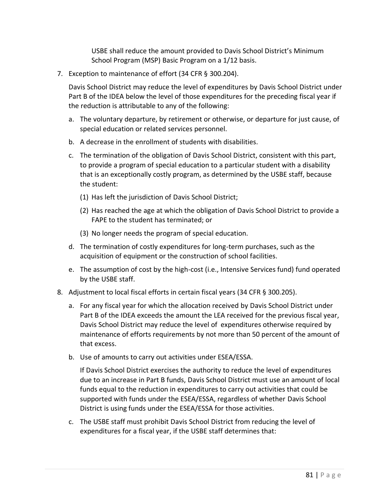USBE shall reduce the amount provided to Davis School District's Minimum School Program (MSP) Basic Program on a 1/12 basis.

7. Exception to maintenance of effort (34 CFR § 300.204).

Davis School District may reduce the level of expenditures by Davis School District under Part B of the IDEA below the level of those expenditures for the preceding fiscal year if the reduction is attributable to any of the following:

- a. The voluntary departure, by retirement or otherwise, or departure for just cause, of special education or related services personnel.
- b. A decrease in the enrollment of students with disabilities.
- c. The termination of the obligation of Davis School District, consistent with this part, to provide a program of special education to a particular student with a disability that is an exceptionally costly program, as determined by the USBE staff, because the student:
	- (1) Has left the jurisdiction of Davis School District;
	- (2) Has reached the age at which the obligation of Davis School District to provide a FAPE to the student has terminated; or
	- (3) No longer needs the program of special education.
- d. The termination of costly expenditures for long-term purchases, such as the acquisition of equipment or the construction of school facilities.
- e. The assumption of cost by the high-cost (i.e., Intensive Services fund) fund operated by the USBE staff.
- 8. Adjustment to local fiscal efforts in certain fiscal years (34 CFR § 300.205).
	- a. For any fiscal year for which the allocation received by Davis School District under Part B of the IDEA exceeds the amount the LEA received for the previous fiscal year, Davis School District may reduce the level of expenditures otherwise required by maintenance of efforts requirements by not more than 50 percent of the amount of that excess.
	- b. Use of amounts to carry out activities under ESEA/ESSA.

If Davis School District exercises the authority to reduce the level of expenditures due to an increase in Part B funds, Davis School District must use an amount of local funds equal to the reduction in expenditures to carry out activities that could be supported with funds under the ESEA/ESSA, regardless of whether Davis School District is using funds under the ESEA/ESSA for those activities.

c. The USBE staff must prohibit Davis School District from reducing the level of expenditures for a fiscal year, if the USBE staff determines that: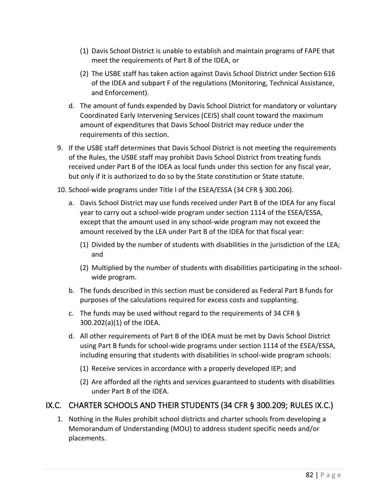- (1) Davis School District is unable to establish and maintain programs of FAPE that meet the requirements of Part B of the IDEA, or
- (2) The USBE staff has taken action against Davis School District under Section 616 of the IDEA and subpart F of the regulations (Monitoring, Technical Assistance, and Enforcement).
- d. The amount of funds expended by Davis School District for mandatory or voluntary Coordinated Early Intervening Services (CEIS) shall count toward the maximum amount of expenditures that Davis School District may reduce under the requirements of this section.
- 9. If the USBE staff determines that Davis School District is not meeting the requirements of the Rules, the USBE staff may prohibit Davis School District from treating funds received under Part B of the IDEA as local funds under this section for any fiscal year, but only if it is authorized to do so by the State constitution or State statute.
- 10. School-wide programs under Title I of the ESEA/ESSA (34 CFR § 300.206).
	- a. Davis School District may use funds received under Part B of the IDEA for any fiscal year to carry out a school-wide program under section 1114 of the ESEA/ESSA, except that the amount used in any school-wide program may not exceed the amount received by the LEA under Part B of the IDEA for that fiscal year:
		- (1) Divided by the number of students with disabilities in the jurisdiction of the LEA; and
		- (2) Multiplied by the number of students with disabilities participating in the schoolwide program.
	- b. The funds described in this section must be considered as Federal Part B funds for purposes of the calculations required for excess costs and supplanting.
	- c. The funds may be used without regard to the requirements of 34 CFR § 300.202(a)(1) of the IDEA.
	- d. All other requirements of Part B of the IDEA must be met by Davis School District using Part B funds for school-wide programs under section 1114 of the ESEA/ESSA, including ensuring that students with disabilities in school-wide program schools:
		- (1) Receive services in accordance with a properly developed IEP; and
		- (2) Are afforded all the rights and services guaranteed to students with disabilities under Part B of the IDEA.

# IX.C. CHARTER SCHOOLS AND THEIR STUDENTS (34 CFR § 300.209; RULES IX.C.)

1. Nothing in the Rules prohibit school districts and charter schools from developing a Memorandum of Understanding (MOU) to address student specific needs and/or placements.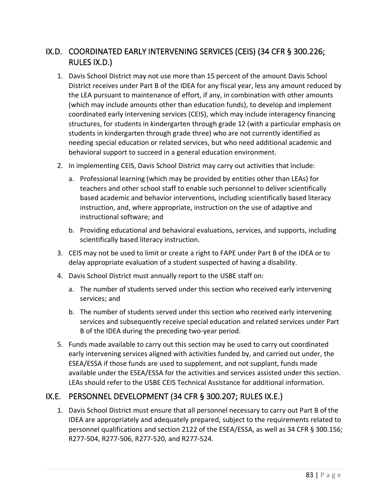# IX.D. COORDINATED EARLY INTERVENING SERVICES (CEIS) (34 CFR § 300.226; RULES IX.D.)

- 1. Davis School District may not use more than 15 percent of the amount Davis School District receives under Part B of the IDEA for any fiscal year, less any amount reduced by the LEA pursuant to maintenance of effort, if any, in combination with other amounts (which may include amounts other than education funds), to develop and implement coordinated early intervening services (CEIS), which may include interagency financing structures, for students in kindergarten through grade 12 (with a particular emphasis on students in kindergarten through grade three) who are not currently identified as needing special education or related services, but who need additional academic and behavioral support to succeed in a general education environment.
- 2. In implementing CEIS, Davis School District may carry out activities that include:
	- a. Professional learning (which may be provided by entities other than LEAs) for teachers and other school staff to enable such personnel to deliver scientifically based academic and behavior interventions, including scientifically based literacy instruction, and, where appropriate, instruction on the use of adaptive and instructional software; and
	- b. Providing educational and behavioral evaluations, services, and supports, including scientifically based literacy instruction.
- 3. CEIS may not be used to limit or create a right to FAPE under Part B of the IDEA or to delay appropriate evaluation of a student suspected of having a disability.
- 4. Davis School District must annually report to the USBE staff on:
	- a. The number of students served under this section who received early intervening services; and
	- b. The number of students served under this section who received early intervening services and subsequently receive special education and related services under Part B of the IDEA during the preceding two-year period.
- 5. Funds made available to carry out this section may be used to carry out coordinated early intervening services aligned with activities funded by, and carried out under, the ESEA/ESSA if those funds are used to supplement, and not supplant, funds made available under the ESEA/ESSA for the activities and services assisted under this section. LEAs should refer to the USBE CEIS Technical Assistance for additional information.

#### IX.E. PERSONNEL DEVELOPMENT (34 CFR § 300.207; RULES IX.E.)

1. Davis School District must ensure that all personnel necessary to carry out Part B of the IDEA are appropriately and adequately prepared, subject to the requirements related to personnel qualifications and section 2122 of the ESEA/ESSA, as well as 34 CFR § 300.156; R277-504, R277-506, R277-520, and R277-524.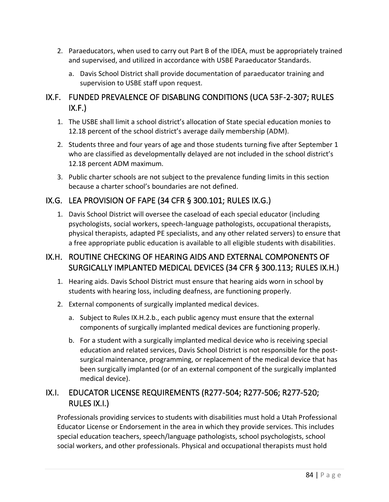- 2. Paraeducators, when used to carry out Part B of the IDEA, must be appropriately trained and supervised, and utilized in accordance with USBE Paraeducator Standards.
	- a. Davis School District shall provide documentation of paraeducator training and supervision to USBE staff upon request.

#### IX.F. FUNDED PREVALENCE OF DISABLING CONDITIONS (UCA 53F-2-307; RULES  $IX.F.$

- 1. The USBE shall limit a school district's allocation of State special education monies to 12.18 percent of the school district's average daily membership (ADM).
- 2. Students three and four years of age and those students turning five after September 1 who are classified as developmentally delayed are not included in the school district's 12.18 percent ADM maximum.
- 3. Public charter schools are not subject to the prevalence funding limits in this section because a charter school's boundaries are not defined.

#### IX.G. LEA PROVISION OF FAPE (34 CFR § 300.101; RULES IX.G.)

1. Davis School District will oversee the caseload of each special educator (including psychologists, social workers, speech-language pathologists, occupational therapists, physical therapists, adapted PE specialists, and any other related servers) to ensure that a free appropriate public education is available to all eligible students with disabilities.

#### IX.H. ROUTINE CHECKING OF HEARING AIDS AND EXTERNAL COMPONENTS OF SURGICALLY IMPLANTED MEDICAL DEVICES (34 CFR § 300.113; RULES IX.H.)

- 1. Hearing aids. Davis School District must ensure that hearing aids worn in school by students with hearing loss, including deafness, are functioning properly.
- 2. External components of surgically implanted medical devices.
	- a. Subject to Rules IX.H.2.b., each public agency must ensure that the external components of surgically implanted medical devices are functioning properly.
	- b. For a student with a surgically implanted medical device who is receiving special education and related services, Davis School District is not responsible for the postsurgical maintenance, programming, or replacement of the medical device that has been surgically implanted (or of an external component of the surgically implanted medical device).

# IX.I. EDUCATOR LICENSE REQUIREMENTS (R277-504; R277-506; R277-520; RULES IX.I.)

Professionals providing services to students with disabilities must hold a Utah Professional Educator License or Endorsement in the area in which they provide services. This includes special education teachers, speech/language pathologists, school psychologists, school social workers, and other professionals. Physical and occupational therapists must hold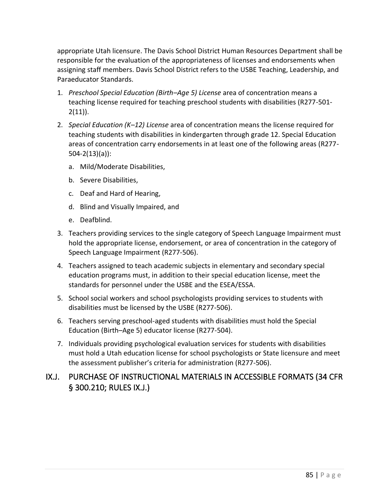appropriate Utah licensure. The Davis School District Human Resources Department shall be responsible for the evaluation of the appropriateness of licenses and endorsements when assigning staff members. Davis School District refers to the USBE Teaching, Leadership, and Paraeducator Standards.

- 1. *Preschool Special Education (Birth–Age 5) License* area of concentration means a teaching license required for teaching preschool students with disabilities (R277-501-  $2(11)$ ).
- 2. *Special Education (K–12) License* area of concentration means the license required for teaching students with disabilities in kindergarten through grade 12. Special Education areas of concentration carry endorsements in at least one of the following areas (R277- 504-2(13)(a)):
	- a. Mild/Moderate Disabilities,
	- b. Severe Disabilities,
	- c. Deaf and Hard of Hearing,
	- d. Blind and Visually Impaired, and
	- e. Deafblind.
- 3. Teachers providing services to the single category of Speech Language Impairment must hold the appropriate license, endorsement, or area of concentration in the category of Speech Language Impairment (R277-506).
- 4. Teachers assigned to teach academic subjects in elementary and secondary special education programs must, in addition to their special education license, meet the standards for personnel under the USBE and the ESEA/ESSA.
- 5. School social workers and school psychologists providing services to students with disabilities must be licensed by the USBE (R277-506).
- 6. Teachers serving preschool-aged students with disabilities must hold the Special Education (Birth–Age 5) educator license (R277-504).
- 7. Individuals providing psychological evaluation services for students with disabilities must hold a Utah education license for school psychologists or State licensure and meet the assessment publisher's criteria for administration (R277-506).

#### IX.J. PURCHASE OF INSTRUCTIONAL MATERIALS IN ACCESSIBLE FORMATS (34 CFR § 300.210; RULES IX.J.)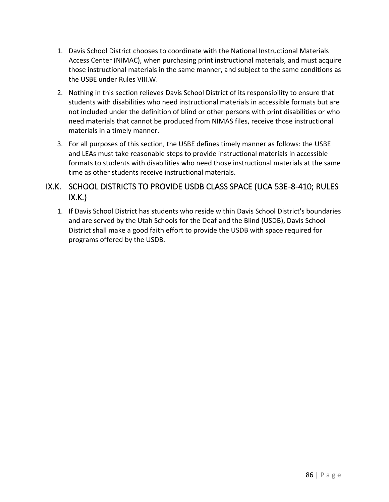- 1. Davis School District chooses to coordinate with the National Instructional Materials Access Center (NIMAC), when purchasing print instructional materials, and must acquire those instructional materials in the same manner, and subject to the same conditions as the USBE under Rules VIII.W.
- 2. Nothing in this section relieves Davis School District of its responsibility to ensure that students with disabilities who need instructional materials in accessible formats but are not included under the definition of blind or other persons with print disabilities or who need materials that cannot be produced from NIMAS files, receive those instructional materials in a timely manner.
- 3. For all purposes of this section, the USBE defines timely manner as follows: the USBE and LEAs must take reasonable steps to provide instructional materials in accessible formats to students with disabilities who need those instructional materials at the same time as other students receive instructional materials.

#### IX.K. SCHOOL DISTRICTS TO PROVIDE USDB CLASS SPACE (UCA 53E-8-410; RULES  $IX.K.$

1. If Davis School District has students who reside within Davis School District's boundaries and are served by the Utah Schools for the Deaf and the Blind (USDB), Davis School District shall make a good faith effort to provide the USDB with space required for programs offered by the USDB.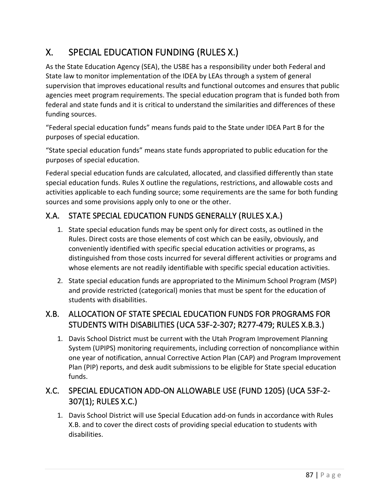# X. SPECIAL EDUCATION FUNDING (RULES X.)

As the State Education Agency (SEA), the USBE has a responsibility under both Federal and State law to monitor implementation of the IDEA by LEAs through a system of general supervision that improves educational results and functional outcomes and ensures that public agencies meet program requirements. The special education program that is funded both from federal and state funds and it is critical to understand the similarities and differences of these funding sources.

"Federal special education funds" means funds paid to the State under IDEA Part B for the purposes of special education.

"State special education funds" means state funds appropriated to public education for the purposes of special education.

Federal special education funds are calculated, allocated, and classified differently than state special education funds. Rules X outline the regulations, restrictions, and allowable costs and activities applicable to each funding source; some requirements are the same for both funding sources and some provisions apply only to one or the other.

# X.A. STATE SPECIAL EDUCATION FUNDS GENERALLY (RULES X.A.)

- 1. State special education funds may be spent only for direct costs, as outlined in the Rules. Direct costs are those elements of cost which can be easily, obviously, and conveniently identified with specific special education activities or programs, as distinguished from those costs incurred for several different activities or programs and whose elements are not readily identifiable with specific special education activities.
- 2. State special education funds are appropriated to the Minimum School Program (MSP) and provide restricted (categorical) monies that must be spent for the education of students with disabilities.

# X.B. ALLOCATION OF STATE SPECIAL EDUCATION FUNDS FOR PROGRAMS FOR STUDENTS WITH DISABILITIES (UCA 53F-2-307; R277-479; RULES X.B.3.)

1. Davis School District must be current with the Utah Program Improvement Planning System (UPIPS) monitoring requirements, including correction of noncompliance within one year of notification, annual Corrective Action Plan (CAP) and Program Improvement Plan (PIP) reports, and desk audit submissions to be eligible for State special education funds.

# X.C. SPECIAL EDUCATION ADD-ON ALLOWABLE USE (FUND 1205) (UCA 53F-2- 307(1); RULES X.C.)

1. Davis School District will use Special Education add-on funds in accordance with Rules X.B. and to cover the direct costs of providing special education to students with disabilities.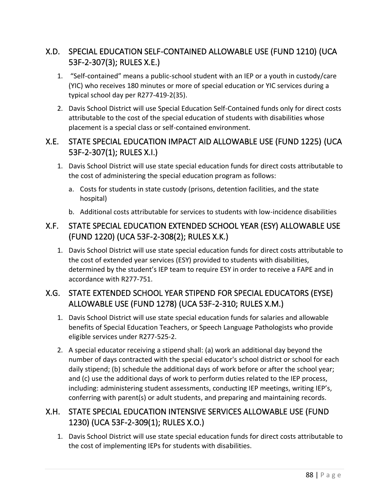## X.D. SPECIAL EDUCATION SELF-CONTAINED ALLOWABLE USE (FUND 1210) (UCA 53F-2-307(3); RULES X.E.)

- 1. "Self-contained" means a public-school student with an IEP or a youth in custody/care (YIC) who receives 180 minutes or more of special education or YIC services during a typical school day per R277-419-2(35).
- 2. Davis School District will use Special Education Self-Contained funds only for direct costs attributable to the cost of the special education of students with disabilities whose placement is a special class or self-contained environment.

#### X.E. STATE SPECIAL EDUCATION IMPACT AID ALLOWABLE USE (FUND 1225) (UCA 53F-2-307(1); RULES X.I.)

- 1. Davis School District will use state special education funds for direct costs attributable to the cost of administering the special education program as follows:
	- a. Costs for students in state custody (prisons, detention facilities, and the state hospital)
	- b. Additional costs attributable for services to students with low-incidence disabilities

#### X.F. STATE SPECIAL EDUCATION EXTENDED SCHOOL YEAR (ESY) ALLOWABLE USE (FUND 1220) (UCA 53F-2-308(2); RULES X.K.)

1. Davis School District will use state special education funds for direct costs attributable to the cost of extended year services (ESY) provided to students with disabilities, determined by the student's IEP team to require ESY in order to receive a FAPE and in accordance with R277-751.

# X.G. STATE EXTENDED SCHOOL YEAR STIPEND FOR SPECIAL EDUCATORS (EYSE) ALLOWABLE USE (FUND 1278) (UCA 53F-2-310; RULES X.M.)

- 1. Davis School District will use state special education funds for salaries and allowable benefits of Special Education Teachers, or Speech Language Pathologists who provide eligible services under R277-525-2.
- 2. A special educator receiving a stipend shall: (a) work an additional day beyond the number of days contracted with the special educator's school district or school for each daily stipend; (b) schedule the additional days of work before or after the school year; and (c) use the additional days of work to perform duties related to the IEP process, including: administering student assessments, conducting IEP meetings, writing IEP's, conferring with parent(s) or adult students, and preparing and maintaining records.

#### X.H. STATE SPECIAL EDUCATION INTENSIVE SERVICES ALLOWABLE USE (FUND 1230) (UCA 53F-2-309(1); RULES X.O.)

1. Davis School District will use state special education funds for direct costs attributable to the cost of implementing IEPs for students with disabilities.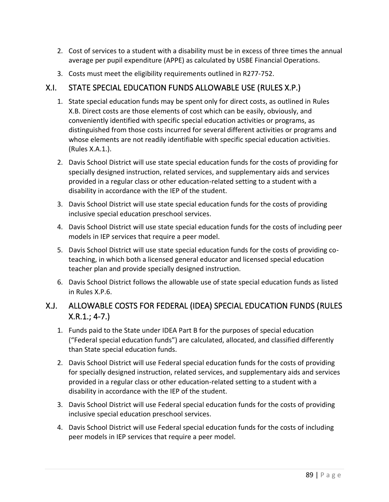- 2. Cost of services to a student with a disability must be in excess of three times the annual average per pupil expenditure (APPE) as calculated by USBE Financial Operations.
- 3. Costs must meet the eligibility requirements outlined in R277-752.

#### X.I. STATE SPECIAL EDUCATION FUNDS ALLOWABLE USE (RULES X.P.)

- 1. State special education funds may be spent only for direct costs, as outlined in Rules X.B. Direct costs are those elements of cost which can be easily, obviously, and conveniently identified with specific special education activities or programs, as distinguished from those costs incurred for several different activities or programs and whose elements are not readily identifiable with specific special education activities. (Rules X.A.1.).
- 2. Davis School District will use state special education funds for the costs of providing for specially designed instruction, related services, and supplementary aids and services provided in a regular class or other education-related setting to a student with a disability in accordance with the IEP of the student.
- 3. Davis School District will use state special education funds for the costs of providing inclusive special education preschool services.
- 4. Davis School District will use state special education funds for the costs of including peer models in IEP services that require a peer model.
- 5. Davis School District will use state special education funds for the costs of providing coteaching, in which both a licensed general educator and licensed special education teacher plan and provide specially designed instruction.
- 6. Davis School District follows the allowable use of state special education funds as listed in Rules X.P.6.

#### X.J. ALLOWABLE COSTS FOR FEDERAL (IDEA) SPECIAL EDUCATION FUNDS (RULES X.R.1.; 4-7.)

- 1. Funds paid to the State under IDEA Part B for the purposes of special education ("Federal special education funds") are calculated, allocated, and classified differently than State special education funds.
- 2. Davis School District will use Federal special education funds for the costs of providing for specially designed instruction, related services, and supplementary aids and services provided in a regular class or other education-related setting to a student with a disability in accordance with the IEP of the student.
- 3. Davis School District will use Federal special education funds for the costs of providing inclusive special education preschool services.
- 4. Davis School District will use Federal special education funds for the costs of including peer models in IEP services that require a peer model.